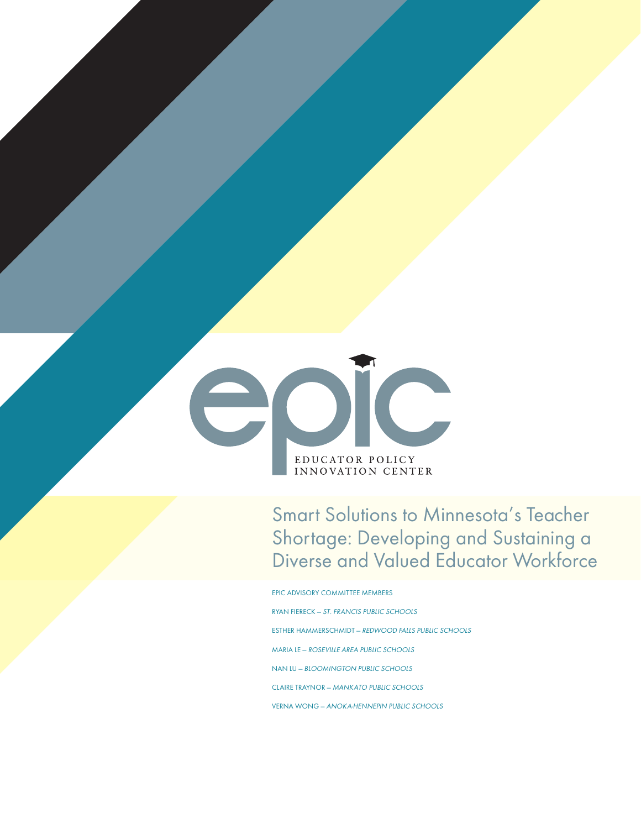

Smart Solutions to Minnesota's Teacher Shortage: Developing and Sustaining a Diverse and Valued Educator Workforce

EPIC ADVISORY COMMITTEE MEMBERS RYAN FIERECK — ST. FRANCIS PUBLIC SCHOOLS ESTHER HAMMERSCHMIDT — REDWOOD FALLS PUBLIC SCHOOLS MARIA LE — ROSEVILLE AREA PUBLIC SCHOOLS NAN LU — BLOOMINGTON PUBLIC SCHOOLS CLAIRE TRAYNOR — MANKATO PUBLIC SCHOOLS VERNA WONG — ANOKA-HENNEPIN PUBLIC SCHOOLS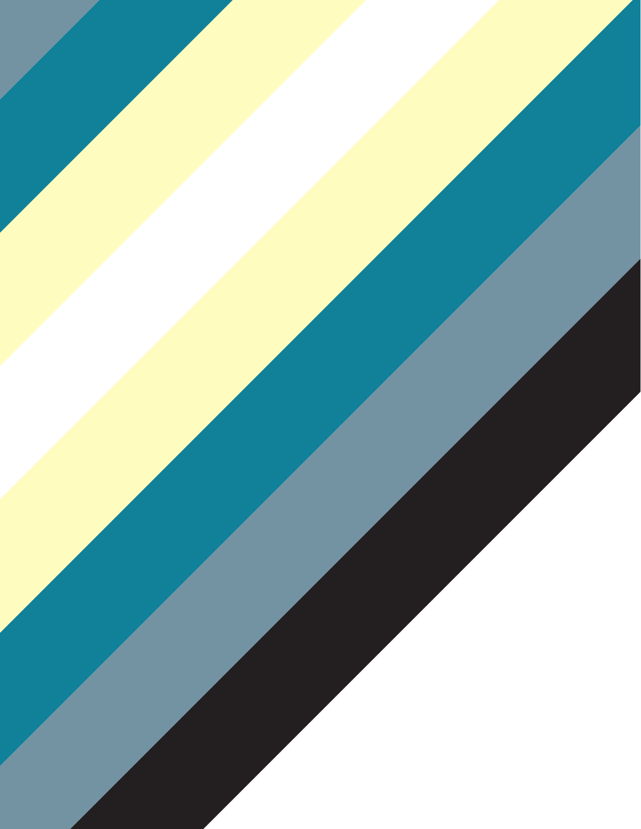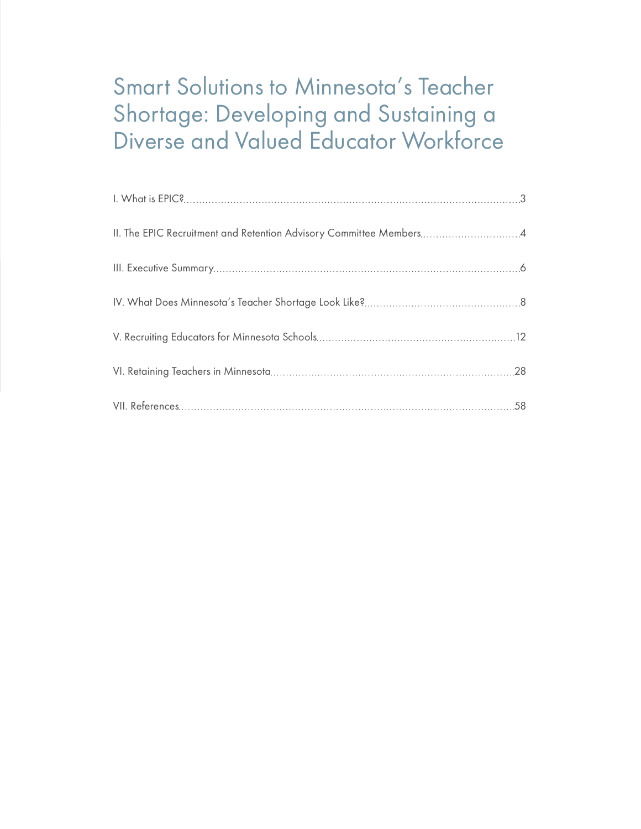# Smart Solutions to Minnesota's Teacher Shortage: Developing and Sustaining a Diverse and Valued Educator Workforce

| II. The EPIC Recruitment and Retention Advisory Committee Members4 |
|--------------------------------------------------------------------|
|                                                                    |
|                                                                    |
|                                                                    |
|                                                                    |
|                                                                    |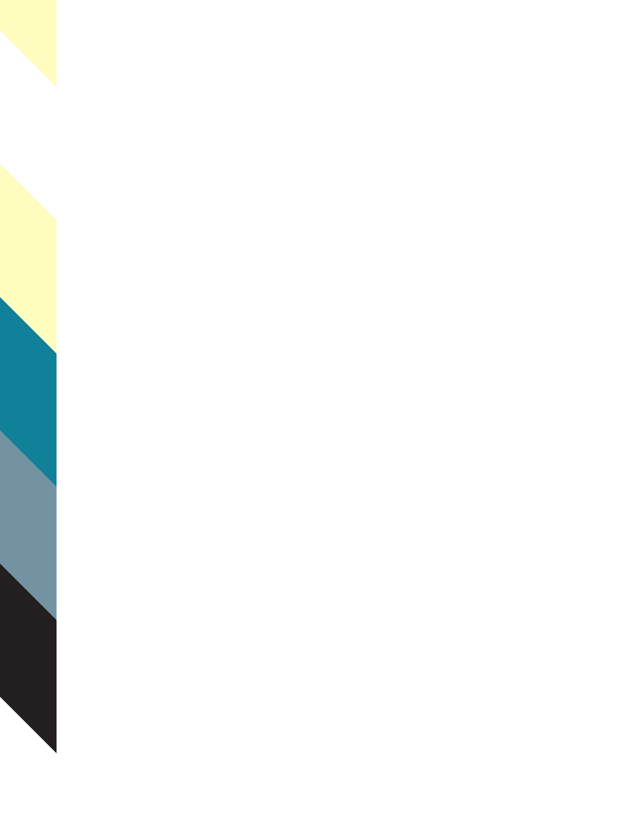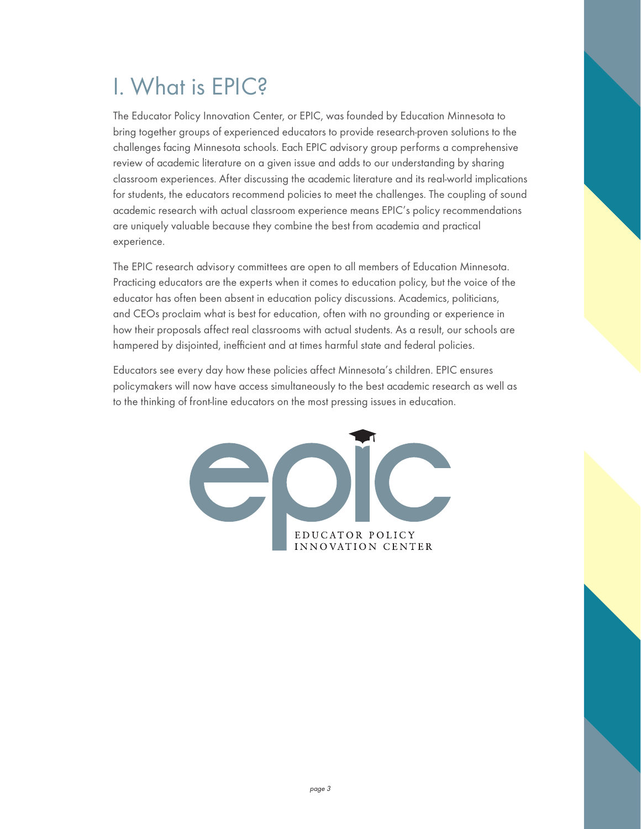# I. What is EPIC?

The Educator Policy Innovation Center, or EPIC, was founded by Education Minnesota to bring together groups of experienced educators to provide research-proven solutions to the challenges facing Minnesota schools. Each EPIC advisory group performs a comprehensive review of academic literature on a given issue and adds to our understanding by sharing classroom experiences. After discussing the academic literature and its real-world implications for students, the educators recommend policies to meet the challenges. The coupling of sound academic research with actual classroom experience means EPIC's policy recommendations are uniquely valuable because they combine the best from academia and practical experience.

The EPIC research advisory committees are open to all members of Education Minnesota. Practicing educators are the experts when it comes to education policy, but the voice of the educator has often been absent in education policy discussions. Academics, politicians, and CEOs proclaim what is best for education, often with no grounding or experience in how their proposals affect real classrooms with actual students. As a result, our schools are hampered by disjointed, inefficient and at times harmful state and federal policies.

Educators see every day how these policies affect Minnesota's children. EPIC ensures policymakers will now have access simultaneously to the best academic research as well as to the thinking of front-line educators on the most pressing issues in education.

EDUCATOR POLICY NOVATION CENTER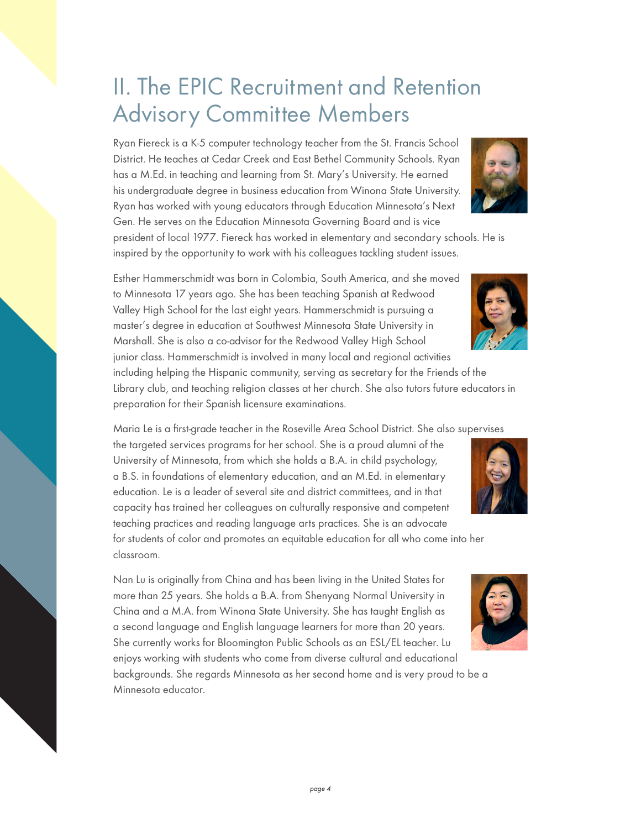## II. The EPIC Recruitment and Retention **Advisory Committee Members**

Ryan Fiereck is a K-5 computer technology teacher from the St. Francis School District. He teaches at Cedar Creek and East Bethel Community Schools. Ryan has a M.Ed. in teaching and learning from St. Mary's University. He earned his undergraduate degree in business education from Winona State University. Ryan has worked with young educators through Education Minnesota's Next Gen. He serves on the Education Minnesota Governing Board and is vice president of local 1977. Fiereck has worked in elementary and secondary schools. He is

inspired by the opportunity to work with his colleagues tackling student issues.

Esther Hammerschmidt was born in Colombia, South America, and she moved to Minnesota 17 years ago. She has been teaching Spanish at Redwood Valley High School for the last eight years. Hammerschmidt is pursuing a master's degree in education at Southwest Minnesota State University in Marshall. She is also a co-advisor for the Redwood Valley High School junior class. Hammerschmidt is involved in many local and regional activities

including helping the Hispanic community, serving as secretary for the Friends of the Library club, and teaching religion classes at her church. She also tutors future educators in preparation for their Spanish licensure examinations.

Maria Le is a first-grade teacher in the Roseville Area School District. She also supervises

the targeted services programs for her school. She is a proud alumni of the University of Minnesota, from which she holds a B.A. in child psychology, a B.S. in foundations of elementary education, and an M.Ed. in elementary education. Le is a leader of several site and district committees, and in that capacity has trained her colleagues on culturally responsive and competent teaching practices and reading language arts practices. She is an advocate for students of color and promotes an equitable education for all who come into her classroom.

Nan Lu is originally from China and has been living in the United States for more than 25 years. She holds a B.A. from Shenyang Normal University in China and a M.A. from Winona State University. She has taught English as a second language and English language learners for more than 20 years. She currently works for Bloomington Public Schools as an ESL/EL teacher. Lu enjoys working with students who come from diverse cultural and educational

backgrounds. She regards Minnesota as her second home and is very proud to be a Minnesota educator.







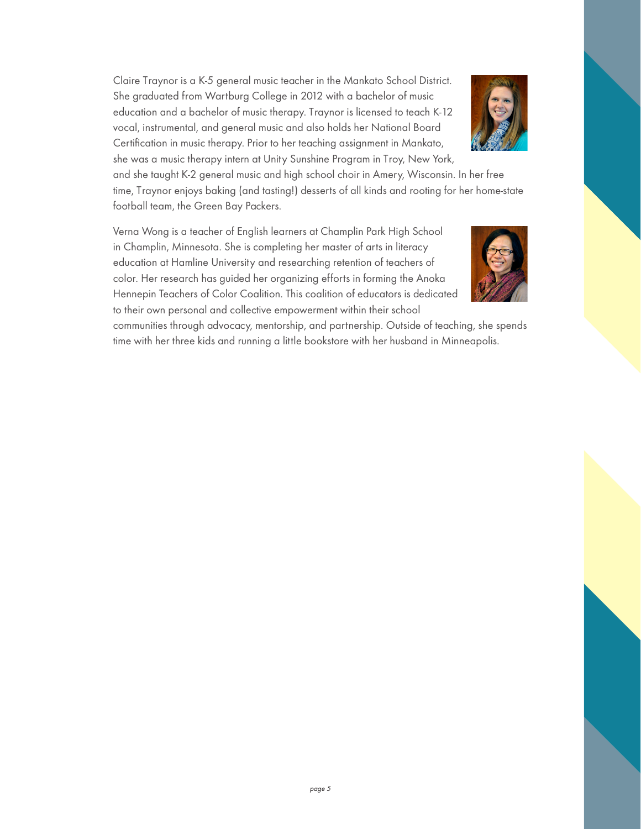Claire Traynor is a K-5 general music teacher in the Mankato School District. She graduated from Wartburg College in 2012 with a bachelor of music education and a bachelor of music therapy. Traynor is licensed to teach K-12 vocal, instrumental, and general music and also holds her National Board Certification in music therapy. Prior to her teaching assignment in Mankato, she was a music therapy intern at Unity Sunshine Program in Troy, New York,



and she taught K-2 general music and high school choir in Amery, Wisconsin. In her free time, Traynor enjoys baking (and tasting!) desserts of all kinds and rooting for her home-state football team, the Green Bay Packers.

Verna Wong is a teacher of English learners at Champlin Park High School in Champlin, Minnesota. She is completing her master of arts in literacy education at Hamline University and researching retention of teachers of color. Her research has guided her organizing efforts in forming the Anoka Hennepin Teachers of Color Coalition. This coalition of educators is dedicated to their own personal and collective empowerment within their school



communities through advocacy, mentorship, and partnership. Outside of teaching, she spends time with her three kids and running a little bookstore with her husband in Minneapolis.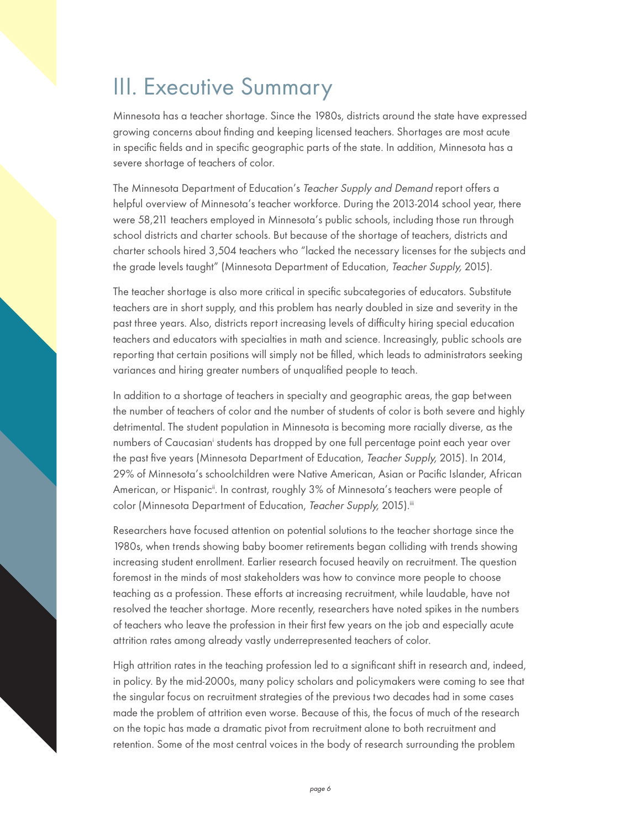# III. Executive Summary

Minnesota has a teacher shortage. Since the 1980s, districts around the state have expressed growing concerns about finding and keeping licensed teachers. Shortages are most acute in specific fields and in specific geographic parts of the state. In addition, Minnesota has a severe shortage of teachers of color.

The Minnesota Department of Education's Teacher Supply and Demand report offers a helpful overview of Minnesota's teacher workforce. During the 2013-2014 school year, there were 58,211 teachers employed in Minnesota's public schools, including those run through school districts and charter schools. But because of the shortage of teachers, districts and charter schools hired 3,504 teachers who "lacked the necessary licenses for the subjects and the grade levels taught" (Minnesota Department of Education, Teacher Supply, 2015).

The teacher shortage is also more critical in specific subcategories of educators. Substitute teachers are in short supply, and this problem has nearly doubled in size and severity in the past three years. Also, districts report increasing levels of difficulty hiring special education teachers and educators with specialties in math and science. Increasingly, public schools are reporting that certain positions will simply not be filled, which leads to administrators seeking variances and hiring greater numbers of unqualified people to teach.

In addition to a shortage of teachers in specialty and geographic areas, the gap between the number of teachers of color and the number of students of color is both severe and highly detrimental. The student population in Minnesota is becoming more racially diverse, as the numbers of Caucasian<sup>i</sup> students has dropped by one full percentage point each year over the past five years (Minnesota Department of Education, Teacher Supply, 2015). In 2014, 29% of Minnesota's schoolchildren were Native American, Asian or Pacific Islander, African American, or Hispanic<sup>ii</sup>. In contrast, roughly 3% of Minnesota's teachers were people of color (Minnesota Department of Education, Teacher Supply, 2015).<sup>iii</sup>

Researchers have focused attention on potential solutions to the teacher shortage since the 1980s, when trends showing baby boomer retirements began colliding with trends showing increasing student enrollment. Earlier research focused heavily on recruitment. The question foremost in the minds of most stakeholders was how to convince more people to choose teaching as a profession. These efforts at increasing recruitment, while laudable, have not resolved the teacher shortage. More recently, researchers have noted spikes in the numbers of teachers who leave the profession in their first few years on the job and especially acute attrition rates among already vastly underrepresented teachers of color.

High attrition rates in the teaching profession led to a significant shift in research and, indeed, in policy. By the mid-2000s, many policy scholars and policymakers were coming to see that the singular focus on recruitment strategies of the previous two decades had in some cases made the problem of attrition even worse. Because of this, the focus of much of the research on the topic has made a dramatic pivot from recruitment alone to both recruitment and retention. Some of the most central voices in the body of research surrounding the problem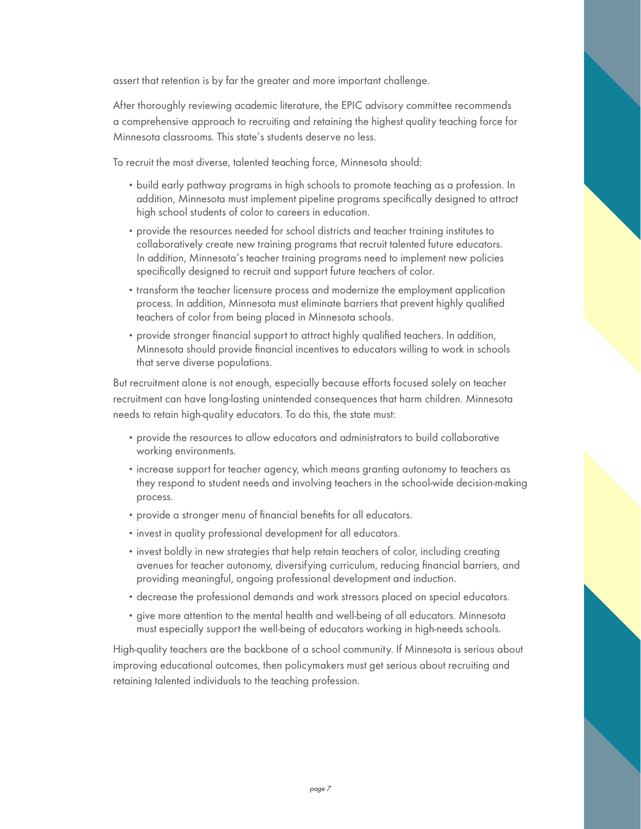assert that retention is by far the greater and more important challenge.

After thoroughly reviewing academic literature, the EPIC advisory committee recommends a comprehensive approach to recruiting and retaining the highest quality teaching force for Minnesota classrooms. This state's students deserve no less.

To recruit the most diverse, talented teaching force, Minnesota should:

- •build early pathway programs in high schools to promote teaching as a profession. In addition, Minnesota must implement pipeline programs specifically designed to attract high school students of color to careers in education.
- •provide the resources needed for school districts and teacher training institutes to collaboratively create new training programs that recruit talented future educators. In addition, Minnesota's teacher training programs need to implement new policies specifically designed to recruit and support future teachers of color.
- •transform the teacher licensure process and modernize the employment application process. In addition, Minnesota must eliminate barriers that prevent highly qualified teachers of color from being placed in Minnesota schools.
- •provide stronger financial support to attract highly qualified teachers. In addition, Minnesota should provide financial incentives to educators willing to work in schools that serve diverse populations.

But recruitment alone is not enough, especially because efforts focused solely on teacher recruitment can have long-lasting unintended consequences that harm children. Minnesota needs to retain high-quality educators. To do this, the state must:

- •provide the resources to allow educators and administrators to build collaborative working environments.
- •increase support for teacher agency, which means granting autonomy to teachers as they respond to student needs and involving teachers in the school-wide decision-making process.
- •provide a stronger menu of financial benefits for all educators.
- •invest in quality professional development for all educators.
- •invest boldly in new strategies that help retain teachers of color, including creating avenues for teacher autonomy, diversifying curriculum, reducing financial barriers, and providing meaningful, ongoing professional development and induction.
- •decrease the professional demands and work stressors placed on special educators.
- •give more attention to the mental health and well-being of all educators. Minnesota must especially support the well-being of educators working in high-needs schools.

High-quality teachers are the backbone of a school community. If Minnesota is serious about improving educational outcomes, then policymakers must get serious about recruiting and retaining talented individuals to the teaching profession.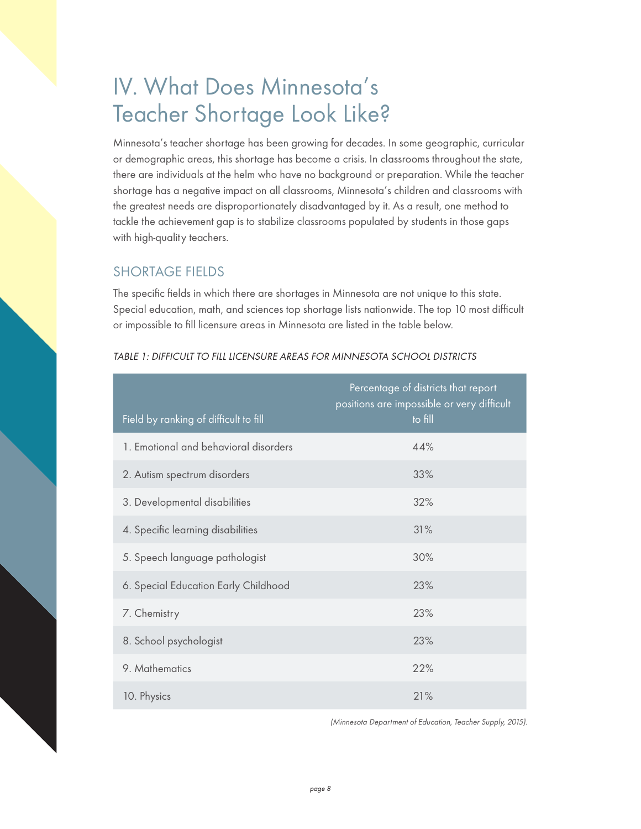# IV. What Does Minnesota's Teacher Shortage Look Like?

Minnesota's teacher shortage has been growing for decades. In some geographic, curricular or demographic areas, this shortage has become a crisis. In classrooms throughout the state, there are individuals at the helm who have no background or preparation. While the teacher shortage has a negative impact on all classrooms, Minnesota's children and classrooms with the greatest needs are disproportionately disadvantaged by it. As a result, one method to tackle the achievement gap is to stabilize classrooms populated by students in those gaps with high-quality teachers.

### SHORTAGE FIELDS

The specific fields in which there are shortages in Minnesota are not unique to this state. Special education, math, and sciences top shortage lists nationwide. The top 10 most difficult or impossible to fill licensure areas in Minnesota are listed in the table below.

|  | TABLE 1: DIFFICULT TO FILL LICENSURE AREAS FOR MINNESOTA SCHOOL DISTRICTS |
|--|---------------------------------------------------------------------------|

| Field by ranking of difficult to fill | Percentage of districts that report<br>positions are impossible or very difficult<br>to fill |
|---------------------------------------|----------------------------------------------------------------------------------------------|
| 1. Emotional and behavioral disorders | 44%                                                                                          |
| 2. Autism spectrum disorders          | 33%                                                                                          |
| 3. Developmental disabilities         | 32%                                                                                          |
| 4. Specific learning disabilities     | 31%                                                                                          |
| 5. Speech language pathologist        | 30%                                                                                          |
| 6. Special Education Early Childhood  | 23%                                                                                          |
| 7. Chemistry                          | 23%                                                                                          |
| 8. School psychologist                | 23%                                                                                          |
| 9. Mathematics                        | 22%                                                                                          |
| 10. Physics                           | 21%                                                                                          |

(Minnesota Department of Education, Teacher Supply, 2015).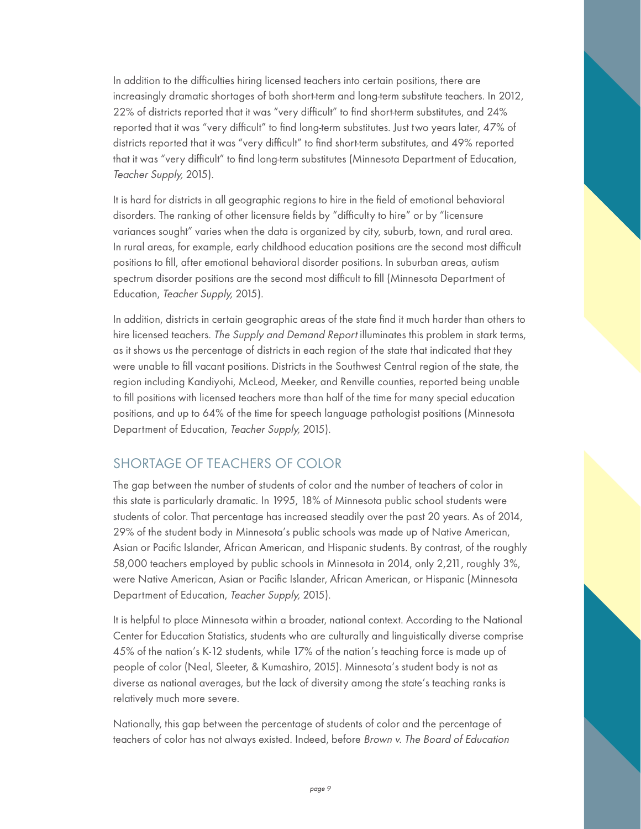In addition to the difficulties hiring licensed teachers into certain positions, there are increasingly dramatic shortages of both short-term and long-term substitute teachers. In 2012, 22% of districts reported that it was "very difficult" to find short-term substitutes, and 24% reported that it was "very difficult" to find long-term substitutes. Just two years later, 47% of districts reported that it was "very difficult" to find short-term substitutes, and 49% reported that it was "very difficult" to find long-term substitutes (Minnesota Department of Education, Teacher Supply, 2015).

It is hard for districts in all geographic regions to hire in the field of emotional behavioral disorders. The ranking of other licensure fields by "difficulty to hire" or by "licensure variances sought" varies when the data is organized by city, suburb, town, and rural area. In rural areas, for example, early childhood education positions are the second most difficult positions to fill, after emotional behavioral disorder positions. In suburban areas, autism spectrum disorder positions are the second most difficult to fill (Minnesota Department of Education, Teacher Supply, 2015).

In addition, districts in certain geographic areas of the state find it much harder than others to hire licensed teachers. The Supply and Demand Report illuminates this problem in stark terms, as it shows us the percentage of districts in each region of the state that indicated that they were unable to fill vacant positions. Districts in the Southwest Central region of the state, the region including Kandiyohi, McLeod, Meeker, and Renville counties, reported being unable to fill positions with licensed teachers more than half of the time for many special education positions, and up to 64% of the time for speech language pathologist positions (Minnesota Department of Education, Teacher Supply, 2015).

#### SHORTAGE OF TEACHERS OF COLOR

The gap between the number of students of color and the number of teachers of color in this state is particularly dramatic. In 1995, 18% of Minnesota public school students were students of color. That percentage has increased steadily over the past 20 years. As of 2014, 29% of the student body in Minnesota's public schools was made up of Native American, Asian or Pacific Islander, African American, and Hispanic students. By contrast, of the roughly 58,000 teachers employed by public schools in Minnesota in 2014, only 2,211, roughly 3%, were Native American, Asian or Pacific Islander, African American, or Hispanic (Minnesota Department of Education, Teacher Supply, 2015).

It is helpful to place Minnesota within a broader, national context. According to the National Center for Education Statistics, students who are culturally and linguistically diverse comprise 45% of the nation's K-12 students, while 17% of the nation's teaching force is made up of people of color (Neal, Sleeter, & Kumashiro, 2015). Minnesota's student body is not as diverse as national averages, but the lack of diversity among the state's teaching ranks is relatively much more severe.

Nationally, this gap between the percentage of students of color and the percentage of teachers of color has not always existed. Indeed, before Brown v. The Board of Education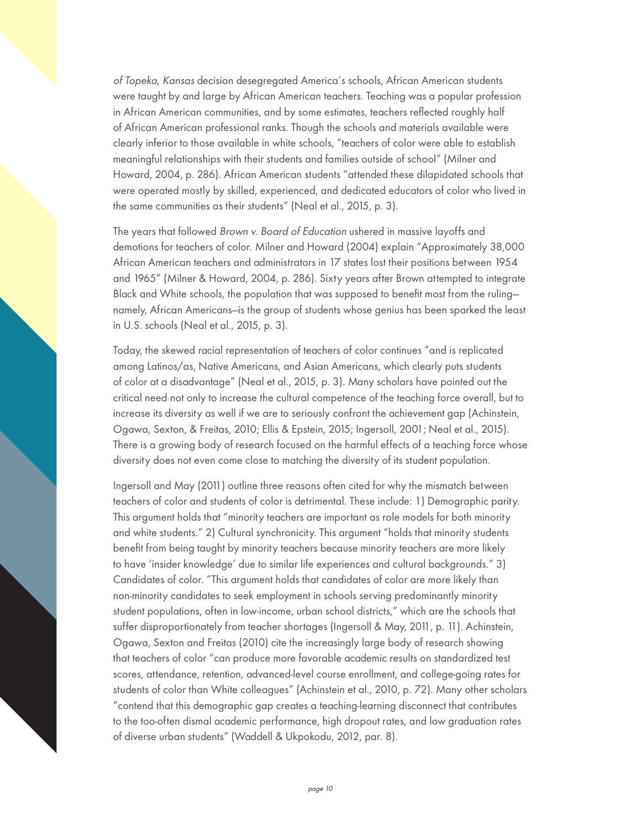of Topeka, Kansas decision desegregated America's schools, African American students were taught by and large by African American teachers. Teaching was a popular profession in African American communities, and by some estimates, teachers reflected roughly half of African American professional ranks. Though the schools and materials available were clearly inferior to those available in white schools, "teachers of color were able to establish meaningful relationships with their students and families outside of school" (Milner and Howard, 2004, p. 286). African American students "attended these dilapidated schools that were operated mostly by skilled, experienced, and dedicated educators of color who lived in the same communities as their students" (Neal et al., 2015, p. 3).

The years that followed Brown v. Board of Education ushered in massive layoffs and demotions for teachers of color. Milner and Howard (2004) explain "Approximately 38,000 African American teachers and administrators in 17 states lost their positions between 1954 and 1965" (Milner & Howard, 2004, p. 286). Sixty years after Brown attempted to integrate Black and White schools, the population that was supposed to benefit most from the ruling namely, African Americans—is the group of students whose genius has been sparked the least in U.S. schools (Neal et al., 2015, p. 3).

Today, the skewed racial representation of teachers of color continues "and is replicated among Latinos/as, Native Americans, and Asian Americans, which clearly puts students of color at a disadvantage" (Neal et al., 2015, p. 3). Many scholars have pointed out the critical need not only to increase the cultural competence of the teaching force overall, but to increase its diversity as well if we are to seriously confront the achievement gap (Achinstein, Ogawa, Sexton, & Freitas, 2010; Ellis & Epstein, 2015; Ingersoll, 2001; Neal et al., 2015). There is a growing body of research focused on the harmful effects of a teaching force whose diversity does not even come close to matching the diversity of its student population.

Ingersoll and May (2011) outline three reasons often cited for why the mismatch between teachers of color and students of color is detrimental. These include: 1) Demographic parity. This argument holds that "minority teachers are important as role models for both minority and white students." 2) Cultural synchronicity. This argument "holds that minority students benefit from being taught by minority teachers because minority teachers are more likely to have 'insider knowledge' due to similar life experiences and cultural backgrounds." 3) Candidates of color. "This argument holds that candidates of color are more likely than non-minority candidates to seek employment in schools serving predominantly minority student populations, often in low-income, urban school districts," which are the schools that suffer disproportionately from teacher shortages (Ingersoll & May, 2011, p. 11). Achinstein, Ogawa, Sexton and Freitas (2010) cite the increasingly large body of research showing that teachers of color "can produce more favorable academic results on standardized test scores, attendance, retention, advanced-level course enrollment, and college-going rates for students of color than White colleagues" (Achinstein et al., 2010, p. 72). Many other scholars "contend that this demographic gap creates a teaching-learning disconnect that contributes to the too-often dismal academic performance, high dropout rates, and low graduation rates of diverse urban students" (Waddell & Ukpokodu, 2012, par. 8).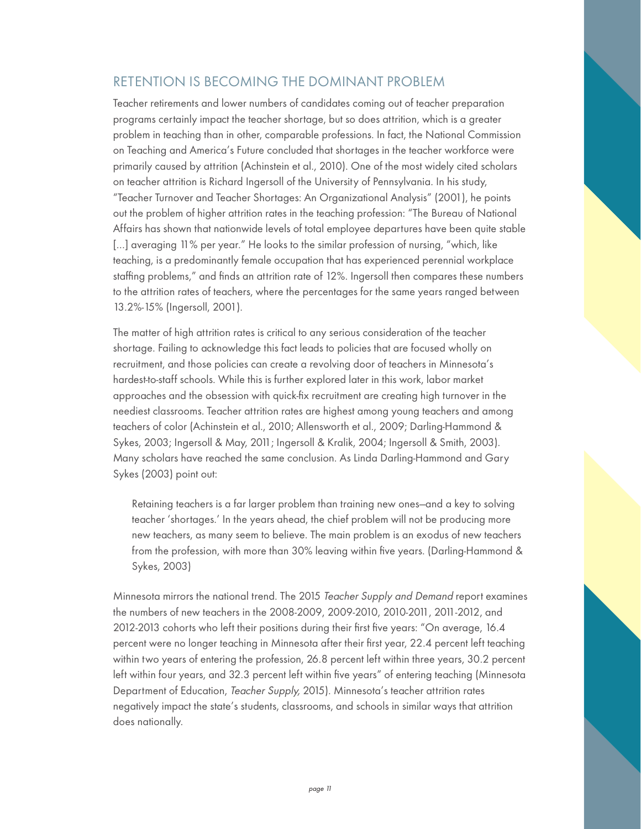### RETENTION IS BECOMING THE DOMINANT PROBLEM

Teacher retirements and lower numbers of candidates coming out of teacher preparation programs certainly impact the teacher shortage, but so does attrition, which is a greater problem in teaching than in other, comparable professions. In fact, the National Commission on Teaching and America's Future concluded that shortages in the teacher workforce were primarily caused by attrition (Achinstein et al., 2010). One of the most widely cited scholars on teacher attrition is Richard Ingersoll of the University of Pennsylvania. In his study, "Teacher Turnover and Teacher Shortages: An Organizational Analysis" (2001), he points out the problem of higher attrition rates in the teaching profession: "The Bureau of National Affairs has shown that nationwide levels of total employee departures have been quite stable [...] averaging 11% per year." He looks to the similar profession of nursing, "which, like teaching, is a predominantly female occupation that has experienced perennial workplace staffing problems," and finds an attrition rate of 12%. Ingersoll then compares these numbers to the attrition rates of teachers, where the percentages for the same years ranged between 13.2%-15% (Ingersoll, 2001).

The matter of high attrition rates is critical to any serious consideration of the teacher shortage. Failing to acknowledge this fact leads to policies that are focused wholly on recruitment, and those policies can create a revolving door of teachers in Minnesota's hardest-to-staff schools. While this is further explored later in this work, labor market approaches and the obsession with quick-fix recruitment are creating high turnover in the neediest classrooms. Teacher attrition rates are highest among young teachers and among teachers of color (Achinstein et al., 2010; Allensworth et al., 2009; Darling-Hammond & Sykes, 2003; Ingersoll & May, 2011; Ingersoll & Kralik, 2004; Ingersoll & Smith, 2003). Many scholars have reached the same conclusion. As Linda Darling-Hammond and Gary Sykes (2003) point out:

Retaining teachers is a far larger problem than training new ones—and a key to solving teacher 'shortages.' In the years ahead, the chief problem will not be producing more new teachers, as many seem to believe. The main problem is an exodus of new teachers from the profession, with more than 30% leaving within five years. (Darling-Hammond & Sykes, 2003)

Minnesota mirrors the national trend. The 2015 Teacher Supply and Demand report examines the numbers of new teachers in the 2008-2009, 2009-2010, 2010-2011, 2011-2012, and 2012-2013 cohorts who left their positions during their first five years: "On average, 16.4 percent were no longer teaching in Minnesota after their first year, 22.4 percent left teaching within two years of entering the profession, 26.8 percent left within three years, 30.2 percent left within four years, and 32.3 percent left within five years" of entering teaching (Minnesota Department of Education, Teacher Supply, 2015). Minnesota's teacher attrition rates negatively impact the state's students, classrooms, and schools in similar ways that attrition does nationally.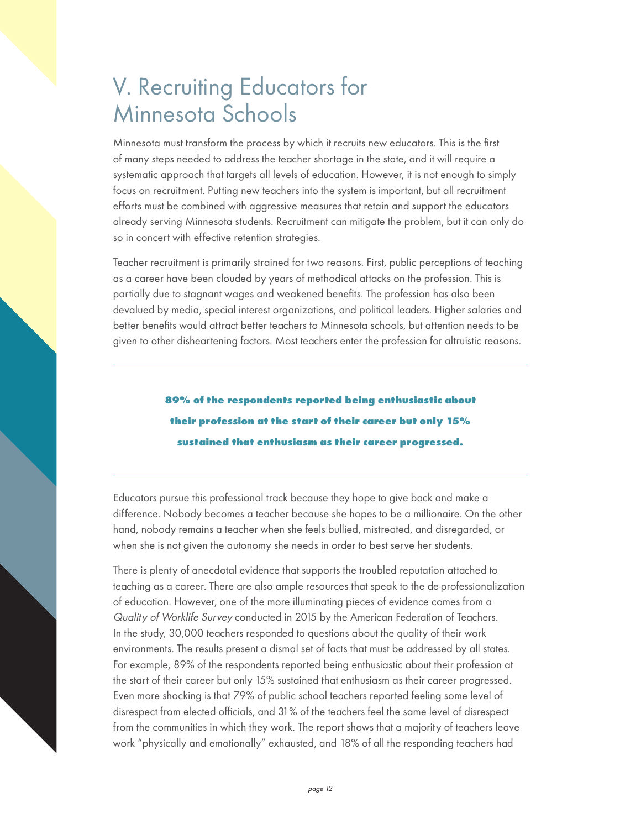## V. Recruiting Educators for Minnesota Schools

Minnesota must transform the process by which it recruits new educators. This is the first of many steps needed to address the teacher shortage in the state, and it will require a systematic approach that targets all levels of education. However, it is not enough to simply focus on recruitment. Putting new teachers into the system is important, but all recruitment efforts must be combined with aggressive measures that retain and support the educators already serving Minnesota students. Recruitment can mitigate the problem, but it can only do so in concert with effective retention strategies.

Teacher recruitment is primarily strained for two reasons. First, public perceptions of teaching as a career have been clouded by years of methodical attacks on the profession. This is partially due to stagnant wages and weakened benefits. The profession has also been devalued by media, special interest organizations, and political leaders. Higher salaries and better benefits would attract better teachers to Minnesota schools, but attention needs to be given to other disheartening factors. Most teachers enter the profession for altruistic reasons.

> **89% of the respondents reported being enthusiastic about their profession at the start of their career but only 15% sustained that enthusiasm as their career progressed.**

Educators pursue this professional track because they hope to give back and make a difference. Nobody becomes a teacher because she hopes to be a millionaire. On the other hand, nobody remains a teacher when she feels bullied, mistreated, and disregarded, or when she is not given the autonomy she needs in order to best serve her students.

There is plenty of anecdotal evidence that supports the troubled reputation attached to teaching as a career. There are also ample resources that speak to the de-professionalization of education. However, one of the more illuminating pieces of evidence comes from a Quality of Worklife Survey conducted in 2015 by the American Federation of Teachers. In the study, 30,000 teachers responded to questions about the quality of their work environments. The results present a dismal set of facts that must be addressed by all states. For example, 89% of the respondents reported being enthusiastic about their profession at the start of their career but only 15% sustained that enthusiasm as their career progressed. Even more shocking is that 79% of public school teachers reported feeling some level of disrespect from elected officials, and 31% of the teachers feel the same level of disrespect from the communities in which they work. The report shows that a majority of teachers leave work "physically and emotionally" exhausted, and 18% of all the responding teachers had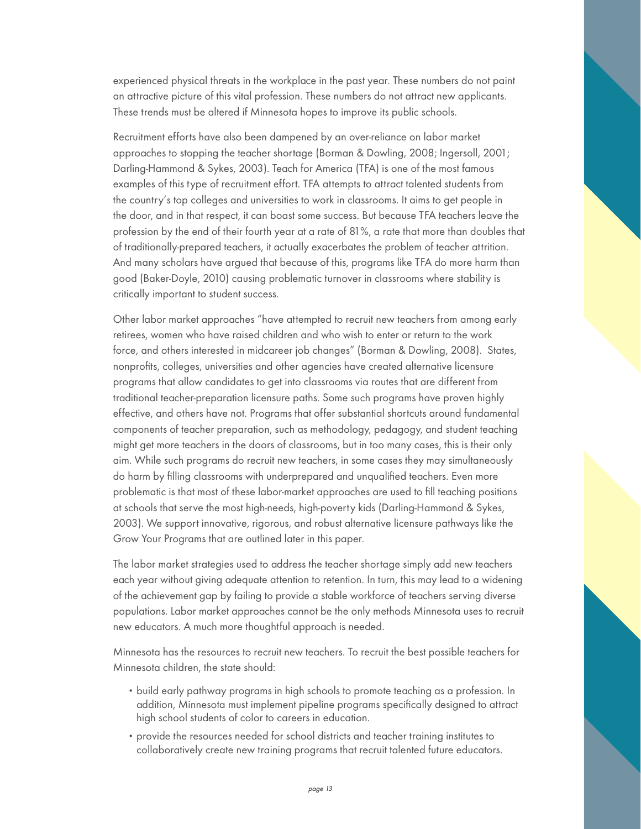experienced physical threats in the workplace in the past year. These numbers do not paint an attractive picture of this vital profession. These numbers do not attract new applicants. These trends must be altered if Minnesota hopes to improve its public schools.

Recruitment efforts have also been dampened by an over-reliance on labor market approaches to stopping the teacher shortage (Borman & Dowling, 2008; Ingersoll, 2001; Darling-Hammond & Sykes, 2003). Teach for America (TFA) is one of the most famous examples of this type of recruitment effort. TFA attempts to attract talented students from the country's top colleges and universities to work in classrooms. It aims to get people in the door, and in that respect, it can boast some success. But because TFA teachers leave the profession by the end of their fourth year at a rate of 81%, a rate that more than doubles that of traditionally-prepared teachers, it actually exacerbates the problem of teacher attrition. And many scholars have argued that because of this, programs like TFA do more harm than good (Baker-Doyle, 2010) causing problematic turnover in classrooms where stability is critically important to student success.

Other labor market approaches "have attempted to recruit new teachers from among early retirees, women who have raised children and who wish to enter or return to the work force, and others interested in midcareer job changes" (Borman & Dowling, 2008). States, nonprofits, colleges, universities and other agencies have created alternative licensure programs that allow candidates to get into classrooms via routes that are different from traditional teacher-preparation licensure paths. Some such programs have proven highly effective, and others have not. Programs that offer substantial shortcuts around fundamental components of teacher preparation, such as methodology, pedagogy, and student teaching might get more teachers in the doors of classrooms, but in too many cases, this is their only aim. While such programs do recruit new teachers, in some cases they may simultaneously do harm by filling classrooms with underprepared and unqualified teachers. Even more problematic is that most of these labor-market approaches are used to fill teaching positions at schools that serve the most high-needs, high-poverty kids (Darling-Hammond & Sykes, 2003). We support innovative, rigorous, and robust alternative licensure pathways like the Grow Your Programs that are outlined later in this paper.

The labor market strategies used to address the teacher shortage simply add new teachers each year without giving adequate attention to retention. In turn, this may lead to a widening of the achievement gap by failing to provide a stable workforce of teachers serving diverse populations. Labor market approaches cannot be the only methods Minnesota uses to recruit new educators. A much more thoughtful approach is needed.

Minnesota has the resources to recruit new teachers. To recruit the best possible teachers for Minnesota children, the state should:

- •build early pathway programs in high schools to promote teaching as a profession. In addition, Minnesota must implement pipeline programs specifically designed to attract high school students of color to careers in education.
- •provide the resources needed for school districts and teacher training institutes to collaboratively create new training programs that recruit talented future educators.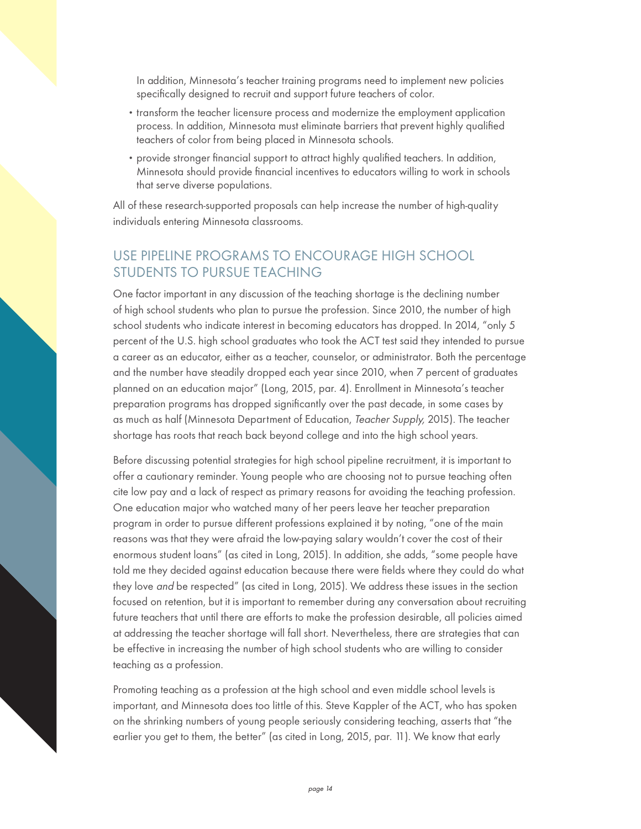In addition, Minnesota's teacher training programs need to implement new policies specifically designed to recruit and support future teachers of color.

- •transform the teacher licensure process and modernize the employment application process. In addition, Minnesota must eliminate barriers that prevent highly qualified teachers of color from being placed in Minnesota schools.
- •provide stronger financial support to attract highly qualified teachers. In addition, Minnesota should provide financial incentives to educators willing to work in schools that serve diverse populations.

All of these research-supported proposals can help increase the number of high-quality individuals entering Minnesota classrooms.

### USE PIPELINE PROGRAMS TO ENCOURAGE HIGH SCHOOL STUDENTS TO PURSUE TEACHING

One factor important in any discussion of the teaching shortage is the declining number of high school students who plan to pursue the profession. Since 2010, the number of high school students who indicate interest in becoming educators has dropped. In 2014, "only 5 percent of the U.S. high school graduates who took the ACT test said they intended to pursue a career as an educator, either as a teacher, counselor, or administrator. Both the percentage and the number have steadily dropped each year since 2010, when 7 percent of graduates planned on an education major" (Long, 2015, par. 4). Enrollment in Minnesota's teacher preparation programs has dropped significantly over the past decade, in some cases by as much as half (Minnesota Department of Education, Teacher Supply, 2015). The teacher shortage has roots that reach back beyond college and into the high school years.

Before discussing potential strategies for high school pipeline recruitment, it is important to offer a cautionary reminder. Young people who are choosing not to pursue teaching often cite low pay and a lack of respect as primary reasons for avoiding the teaching profession. One education major who watched many of her peers leave her teacher preparation program in order to pursue different professions explained it by noting, "one of the main reasons was that they were afraid the low-paying salary wouldn't cover the cost of their enormous student loans" (as cited in Long, 2015). In addition, she adds, "some people have told me they decided against education because there were fields where they could do what they love and be respected" (as cited in Long, 2015). We address these issues in the section focused on retention, but it is important to remember during any conversation about recruiting future teachers that until there are efforts to make the profession desirable, all policies aimed at addressing the teacher shortage will fall short. Nevertheless, there are strategies that can be effective in increasing the number of high school students who are willing to consider teaching as a profession.

Promoting teaching as a profession at the high school and even middle school levels is important, and Minnesota does too little of this. Steve Kappler of the ACT, who has spoken on the shrinking numbers of young people seriously considering teaching, asserts that "the earlier you get to them, the better" (as cited in Long, 2015, par. 11). We know that early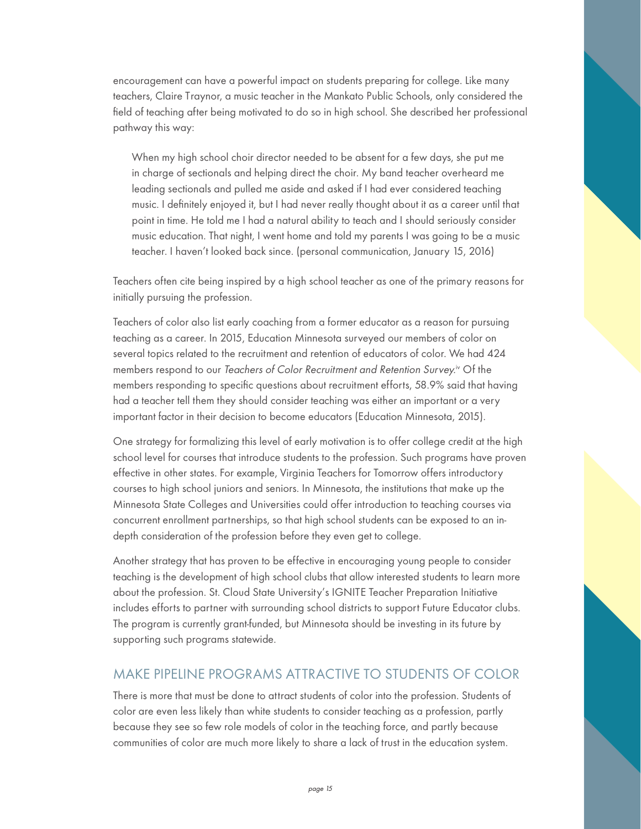encouragement can have a powerful impact on students preparing for college. Like many teachers, Claire Traynor, a music teacher in the Mankato Public Schools, only considered the field of teaching after being motivated to do so in high school. She described her professional pathway this way:

When my high school choir director needed to be absent for a few days, she put me in charge of sectionals and helping direct the choir. My band teacher overheard me leading sectionals and pulled me aside and asked if I had ever considered teaching music. I definitely enjoyed it, but I had never really thought about it as a career until that point in time. He told me I had a natural ability to teach and I should seriously consider music education. That night, I went home and told my parents I was going to be a music teacher. I haven't looked back since. (personal communication, January 15, 2016)

Teachers often cite being inspired by a high school teacher as one of the primary reasons for initially pursuing the profession.

Teachers of color also list early coaching from a former educator as a reason for pursuing teaching as a career. In 2015, Education Minnesota surveyed our members of color on several topics related to the recruitment and retention of educators of color. We had 424 members respond to our Teachers of Color Recruitment and Retention Survey.<sup>iv</sup> Of the members responding to specific questions about recruitment efforts, 58.9% said that having had a teacher tell them they should consider teaching was either an important or a very important factor in their decision to become educators (Education Minnesota, 2015).

One strategy for formalizing this level of early motivation is to offer college credit at the high school level for courses that introduce students to the profession. Such programs have proven effective in other states. For example, Virginia Teachers for Tomorrow offers introductory courses to high school juniors and seniors. In Minnesota, the institutions that make up the Minnesota State Colleges and Universities could offer introduction to teaching courses via concurrent enrollment partnerships, so that high school students can be exposed to an indepth consideration of the profession before they even get to college.

Another strategy that has proven to be effective in encouraging young people to consider teaching is the development of high school clubs that allow interested students to learn more about the profession. St. Cloud State University's IGNITE Teacher Preparation Initiative includes efforts to partner with surrounding school districts to support Future Educator clubs. The program is currently grant-funded, but Minnesota should be investing in its future by supporting such programs statewide.

#### MAKE PIPELINE PROGRAMS ATTRACTIVE TO STUDENTS OF COLOR

There is more that must be done to attract students of color into the profession. Students of color are even less likely than white students to consider teaching as a profession, partly because they see so few role models of color in the teaching force, and partly because communities of color are much more likely to share a lack of trust in the education system.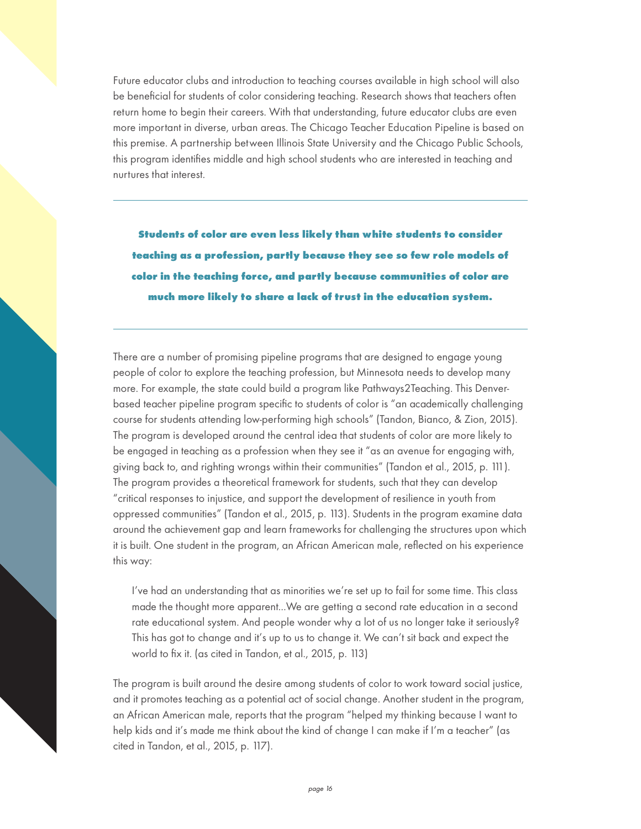Future educator clubs and introduction to teaching courses available in high school will also be beneficial for students of color considering teaching. Research shows that teachers often return home to begin their careers. With that understanding, future educator clubs are even more important in diverse, urban areas. The Chicago Teacher Education Pipeline is based on this premise. A partnership between Illinois State University and the Chicago Public Schools, this program identifies middle and high school students who are interested in teaching and nurtures that interest.

**Students of color are even less likely than white students to consider teaching as a profession, partly because they see so few role models of color in the teaching force, and partly because communities of color are much more likely to share a lack of trust in the education system.**

There are a number of promising pipeline programs that are designed to engage young people of color to explore the teaching profession, but Minnesota needs to develop many more. For example, the state could build a program like Pathways2Teaching. This Denverbased teacher pipeline program specific to students of color is "an academically challenging course for students attending low-performing high schools" (Tandon, Bianco, & Zion, 2015). The program is developed around the central idea that students of color are more likely to be engaged in teaching as a profession when they see it "as an avenue for engaging with, giving back to, and righting wrongs within their communities" (Tandon et al., 2015, p. 111). The program provides a theoretical framework for students, such that they can develop "critical responses to injustice, and support the development of resilience in youth from oppressed communities" (Tandon et al., 2015, p. 113). Students in the program examine data around the achievement gap and learn frameworks for challenging the structures upon which it is built. One student in the program, an African American male, reflected on his experience this way:

I've had an understanding that as minorities we're set up to fail for some time. This class made the thought more apparent...We are getting a second rate education in a second rate educational system. And people wonder why a lot of us no longer take it seriously? This has got to change and it's up to us to change it. We can't sit back and expect the world to fix it. (as cited in Tandon, et al., 2015, p. 113)

The program is built around the desire among students of color to work toward social justice, and it promotes teaching as a potential act of social change. Another student in the program, an African American male, reports that the program "helped my thinking because I want to help kids and it's made me think about the kind of change I can make if I'm a teacher" (as cited in Tandon, et al., 2015, p. 117).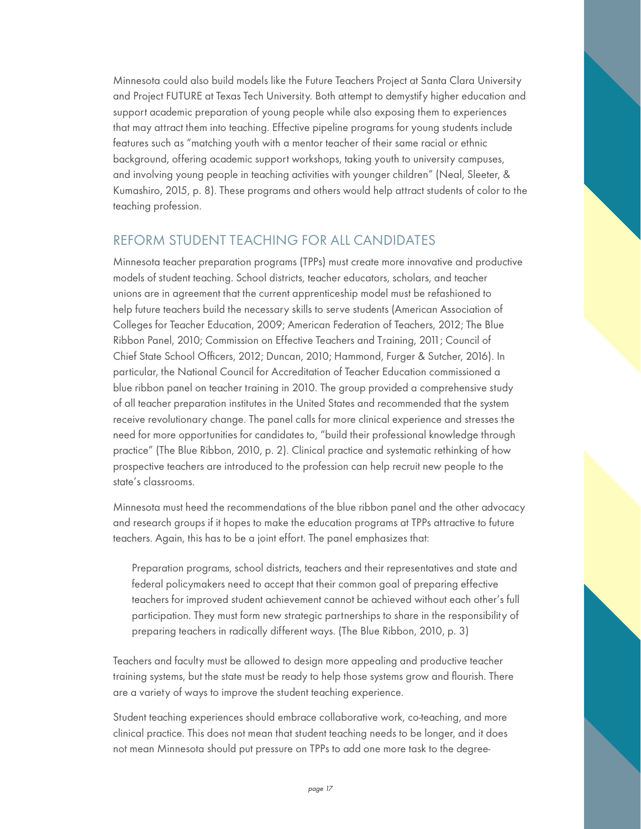Minnesota could also build models like the Future Teachers Project at Santa Clara University and Project FUTURE at Texas Tech University. Both attempt to demystify higher education and support academic preparation of young people while also exposing them to experiences that may attract them into teaching. Effective pipeline programs for young students include features such as "matching youth with a mentor teacher of their same racial or ethnic background, offering academic support workshops, taking youth to university campuses, and involving young people in teaching activities with younger children" (Neal, Sleeter, & Kumashiro, 2015, p. 8). These programs and others would help attract students of color to the teaching profession.

#### REFORM STUDENT TEACHING FOR ALL CANDIDATES

Minnesota teacher preparation programs (TPPs) must create more innovative and productive models of student teaching. School districts, teacher educators, scholars, and teacher unions are in agreement that the current apprenticeship model must be refashioned to help future teachers build the necessary skills to serve students (American Association of Colleges for Teacher Education, 2009; American Federation of Teachers, 2012; The Blue Ribbon Panel, 2010; Commission on Effective Teachers and Training, 2011; Council of Chief State School Officers, 2012; Duncan, 2010; Hammond, Furger & Sutcher, 2016). In particular, the National Council for Accreditation of Teacher Education commissioned a blue ribbon panel on teacher training in 2010. The group provided a comprehensive study of all teacher preparation institutes in the United States and recommended that the system receive revolutionary change. The panel calls for more clinical experience and stresses the need for more opportunities for candidates to, "build their professional knowledge through practice" (The Blue Ribbon, 2010, p. 2). Clinical practice and systematic rethinking of how prospective teachers are introduced to the profession can help recruit new people to the state's classrooms.

Minnesota must heed the recommendations of the blue ribbon panel and the other advocacy and research groups if it hopes to make the education programs at TPPs attractive to future teachers. Again, this has to be a joint effort. The panel emphasizes that:

Preparation programs, school districts, teachers and their representatives and state and federal policymakers need to accept that their common goal of preparing effective teachers for improved student achievement cannot be achieved without each other's full participation. They must form new strategic partnerships to share in the responsibility of preparing teachers in radically different ways. (The Blue Ribbon, 2010, p. 3)

Teachers and faculty must be allowed to design more appealing and productive teacher training systems, but the state must be ready to help those systems grow and flourish. There are a variety of ways to improve the student teaching experience.

Student teaching experiences should embrace collaborative work, co-teaching, and more clinical practice. This does not mean that student teaching needs to be longer, and it does not mean Minnesota should put pressure on TPPs to add one more task to the degree-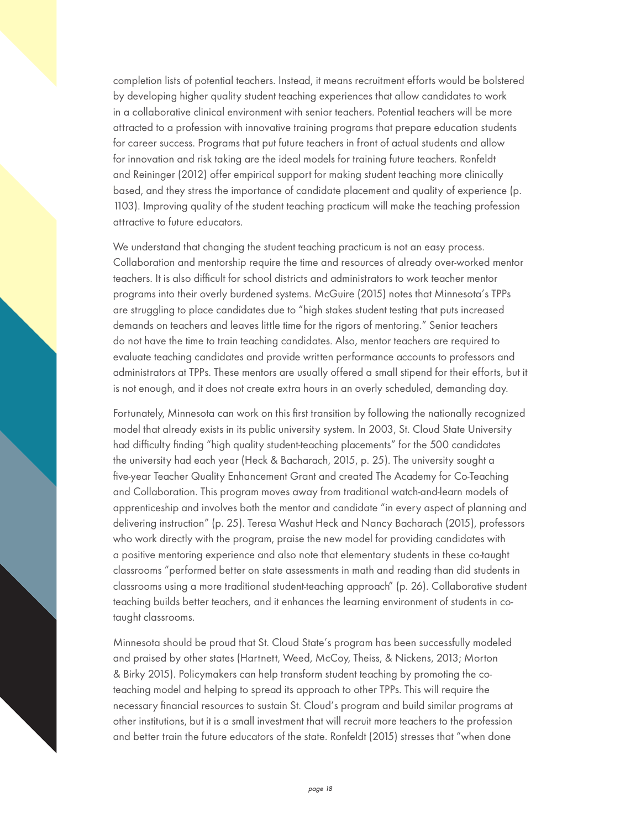completion lists of potential teachers. Instead, it means recruitment efforts would be bolstered by developing higher quality student teaching experiences that allow candidates to work in a collaborative clinical environment with senior teachers. Potential teachers will be more attracted to a profession with innovative training programs that prepare education students for career success. Programs that put future teachers in front of actual students and allow for innovation and risk taking are the ideal models for training future teachers. Ronfeldt and Reininger (2012) offer empirical support for making student teaching more clinically based, and they stress the importance of candidate placement and quality of experience (p. 1103). Improving quality of the student teaching practicum will make the teaching profession attractive to future educators.

We understand that changing the student teaching practicum is not an easy process. Collaboration and mentorship require the time and resources of already over-worked mentor teachers. It is also difficult for school districts and administrators to work teacher mentor programs into their overly burdened systems. McGuire (2015) notes that Minnesota's TPPs are struggling to place candidates due to "high stakes student testing that puts increased demands on teachers and leaves little time for the rigors of mentoring." Senior teachers do not have the time to train teaching candidates. Also, mentor teachers are required to evaluate teaching candidates and provide written performance accounts to professors and administrators at TPPs. These mentors are usually offered a small stipend for their efforts, but it is not enough, and it does not create extra hours in an overly scheduled, demanding day.

Fortunately, Minnesota can work on this first transition by following the nationally recognized model that already exists in its public university system. In 2003, St. Cloud State University had difficulty finding "high quality student-teaching placements" for the 500 candidates the university had each year (Heck & Bacharach, 2015, p. 25). The university sought a five-year Teacher Quality Enhancement Grant and created The Academy for Co-Teaching and Collaboration. This program moves away from traditional watch-and-learn models of apprenticeship and involves both the mentor and candidate "in every aspect of planning and delivering instruction" (p. 25). Teresa Washut Heck and Nancy Bacharach (2015), professors who work directly with the program, praise the new model for providing candidates with a positive mentoring experience and also note that elementary students in these co-taught classrooms "performed better on state assessments in math and reading than did students in classrooms using a more traditional student-teaching approach" (p. 26). Collaborative student teaching builds better teachers, and it enhances the learning environment of students in cotaught classrooms.

Minnesota should be proud that St. Cloud State's program has been successfully modeled and praised by other states (Hartnett, Weed, McCoy, Theiss, & Nickens, 2013; Morton & Birky 2015). Policymakers can help transform student teaching by promoting the coteaching model and helping to spread its approach to other TPPs. This will require the necessary financial resources to sustain St. Cloud's program and build similar programs at other institutions, but it is a small investment that will recruit more teachers to the profession and better train the future educators of the state. Ronfeldt (2015) stresses that "when done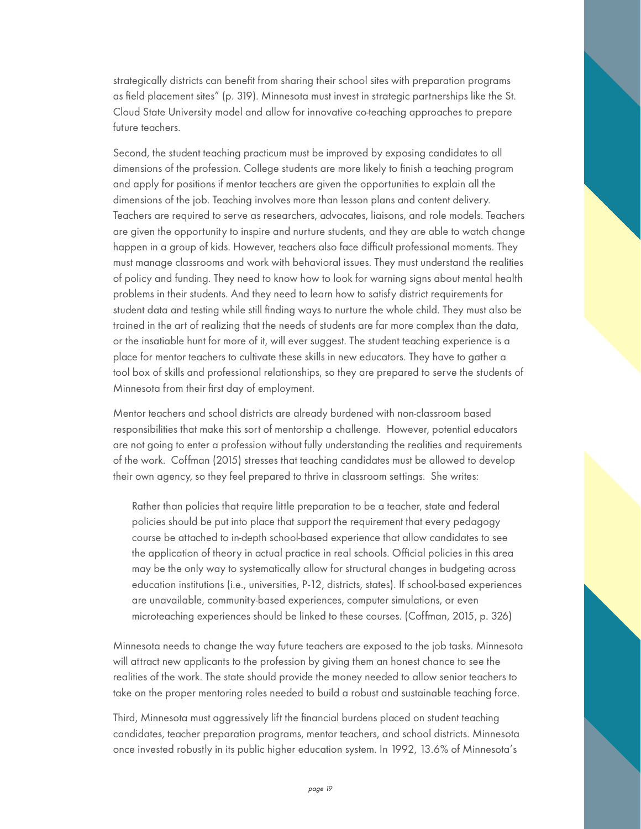strategically districts can benefit from sharing their school sites with preparation programs as field placement sites" (p. 319). Minnesota must invest in strategic partnerships like the St. Cloud State University model and allow for innovative co-teaching approaches to prepare future teachers.

Second, the student teaching practicum must be improved by exposing candidates to all dimensions of the profession. College students are more likely to finish a teaching program and apply for positions if mentor teachers are given the opportunities to explain all the dimensions of the job. Teaching involves more than lesson plans and content delivery. Teachers are required to serve as researchers, advocates, liaisons, and role models. Teachers are given the opportunity to inspire and nurture students, and they are able to watch change happen in a group of kids. However, teachers also face difficult professional moments. They must manage classrooms and work with behavioral issues. They must understand the realities of policy and funding. They need to know how to look for warning signs about mental health problems in their students. And they need to learn how to satisfy district requirements for student data and testing while still finding ways to nurture the whole child. They must also be trained in the art of realizing that the needs of students are far more complex than the data, or the insatiable hunt for more of it, will ever suggest. The student teaching experience is a place for mentor teachers to cultivate these skills in new educators. They have to gather a tool box of skills and professional relationships, so they are prepared to serve the students of Minnesota from their first day of employment.

Mentor teachers and school districts are already burdened with non-classroom based responsibilities that make this sort of mentorship a challenge. However, potential educators are not going to enter a profession without fully understanding the realities and requirements of the work. Coffman (2015) stresses that teaching candidates must be allowed to develop their own agency, so they feel prepared to thrive in classroom settings. She writes:

Rather than policies that require little preparation to be a teacher, state and federal policies should be put into place that support the requirement that every pedagogy course be attached to in-depth school-based experience that allow candidates to see the application of theory in actual practice in real schools. Official policies in this area may be the only way to systematically allow for structural changes in budgeting across education institutions (i.e., universities, P-12, districts, states). If school-based experiences are unavailable, community-based experiences, computer simulations, or even microteaching experiences should be linked to these courses. (Coffman, 2015, p. 326)

Minnesota needs to change the way future teachers are exposed to the job tasks. Minnesota will attract new applicants to the profession by giving them an honest chance to see the realities of the work. The state should provide the money needed to allow senior teachers to take on the proper mentoring roles needed to build a robust and sustainable teaching force.

Third, Minnesota must aggressively lift the financial burdens placed on student teaching candidates, teacher preparation programs, mentor teachers, and school districts. Minnesota once invested robustly in its public higher education system. In 1992, 13.6% of Minnesota's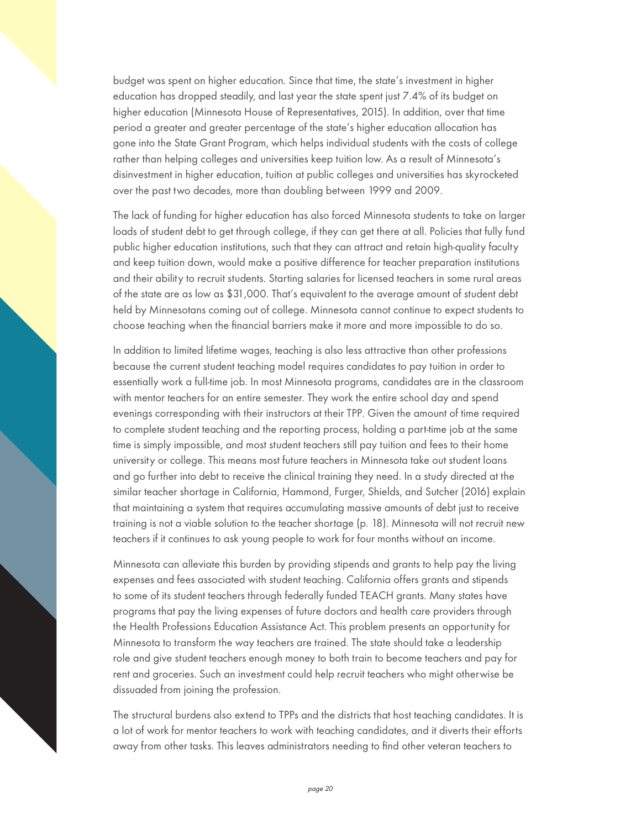budget was spent on higher education. Since that time, the state's investment in higher education has dropped steadily, and last year the state spent just 7.4% of its budget on higher education (Minnesota House of Representatives, 2015). In addition, over that time period a greater and greater percentage of the state's higher education allocation has gone into the State Grant Program, which helps individual students with the costs of college rather than helping colleges and universities keep tuition low. As a result of Minnesota's disinvestment in higher education, tuition at public colleges and universities has skyrocketed over the past two decades, more than doubling between 1999 and 2009.

The lack of funding for higher education has also forced Minnesota students to take on larger loads of student debt to get through college, if they can get there at all. Policies that fully fund public higher education institutions, such that they can attract and retain high-quality faculty and keep tuition down, would make a positive difference for teacher preparation institutions and their ability to recruit students. Starting salaries for licensed teachers in some rural areas of the state are as low as \$31,000. That's equivalent to the average amount of student debt held by Minnesotans coming out of college. Minnesota cannot continue to expect students to choose teaching when the financial barriers make it more and more impossible to do so.

In addition to limited lifetime wages, teaching is also less attractive than other professions because the current student teaching model requires candidates to pay tuition in order to essentially work a full-time job. In most Minnesota programs, candidates are in the classroom with mentor teachers for an entire semester. They work the entire school day and spend evenings corresponding with their instructors at their TPP. Given the amount of time required to complete student teaching and the reporting process, holding a part-time job at the same time is simply impossible, and most student teachers still pay tuition and fees to their home university or college. This means most future teachers in Minnesota take out student loans and go further into debt to receive the clinical training they need. In a study directed at the similar teacher shortage in California, Hammond, Furger, Shields, and Sutcher (2016) explain that maintaining a system that requires accumulating massive amounts of debt just to receive training is not a viable solution to the teacher shortage (p. 18). Minnesota will not recruit new teachers if it continues to ask young people to work for four months without an income.

Minnesota can alleviate this burden by providing stipends and grants to help pay the living expenses and fees associated with student teaching. California offers grants and stipends to some of its student teachers through federally funded TEACH grants. Many states have programs that pay the living expenses of future doctors and health care providers through the Health Professions Education Assistance Act. This problem presents an opportunity for Minnesota to transform the way teachers are trained. The state should take a leadership role and give student teachers enough money to both train to become teachers and pay for rent and groceries. Such an investment could help recruit teachers who might otherwise be dissuaded from joining the profession.

The structural burdens also extend to TPPs and the districts that host teaching candidates. It is a lot of work for mentor teachers to work with teaching candidates, and it diverts their efforts away from other tasks. This leaves administrators needing to find other veteran teachers to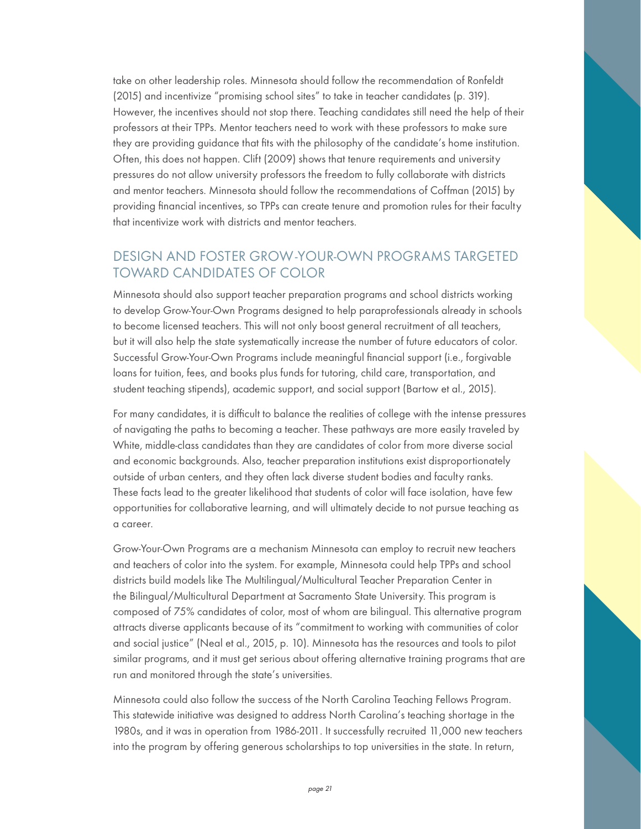take on other leadership roles. Minnesota should follow the recommendation of Ronfeldt (2015) and incentivize "promising school sites" to take in teacher candidates (p. 319). However, the incentives should not stop there. Teaching candidates still need the help of their professors at their TPPs. Mentor teachers need to work with these professors to make sure they are providing guidance that fits with the philosophy of the candidate's home institution. Often, this does not happen. Clift (2009) shows that tenure requirements and university pressures do not allow university professors the freedom to fully collaborate with districts and mentor teachers. Minnesota should follow the recommendations of Coffman (2015) by providing financial incentives, so TPPs can create tenure and promotion rules for their faculty that incentivize work with districts and mentor teachers.

#### DESIGN AND FOSTER GROW-YOUR-OWN PROGRAMS TARGETED TOWARD CANDIDATES OF COLOR

Minnesota should also support teacher preparation programs and school districts working to develop Grow-Your-Own Programs designed to help paraprofessionals already in schools to become licensed teachers. This will not only boost general recruitment of all teachers, but it will also help the state systematically increase the number of future educators of color. Successful Grow-Your-Own Programs include meaningful financial support (i.e., forgivable loans for tuition, fees, and books plus funds for tutoring, child care, transportation, and student teaching stipends), academic support, and social support (Bartow et al., 2015).

For many candidates, it is difficult to balance the realities of college with the intense pressures of navigating the paths to becoming a teacher. These pathways are more easily traveled by White, middle-class candidates than they are candidates of color from more diverse social and economic backgrounds. Also, teacher preparation institutions exist disproportionately outside of urban centers, and they often lack diverse student bodies and faculty ranks. These facts lead to the greater likelihood that students of color will face isolation, have few opportunities for collaborative learning, and will ultimately decide to not pursue teaching as a career.

Grow-Your-Own Programs are a mechanism Minnesota can employ to recruit new teachers and teachers of color into the system. For example, Minnesota could help TPPs and school districts build models like The Multilingual/Multicultural Teacher Preparation Center in the Bilingual/Multicultural Department at Sacramento State University. This program is composed of 75% candidates of color, most of whom are bilingual. This alternative program attracts diverse applicants because of its "commitment to working with communities of color and social justice" (Neal et al., 2015, p. 10). Minnesota has the resources and tools to pilot similar programs, and it must get serious about offering alternative training programs that are run and monitored through the state's universities.

Minnesota could also follow the success of the North Carolina Teaching Fellows Program. This statewide initiative was designed to address North Carolina's teaching shortage in the 1980s, and it was in operation from 1986-2011. It successfully recruited 11,000 new teachers into the program by offering generous scholarships to top universities in the state. In return,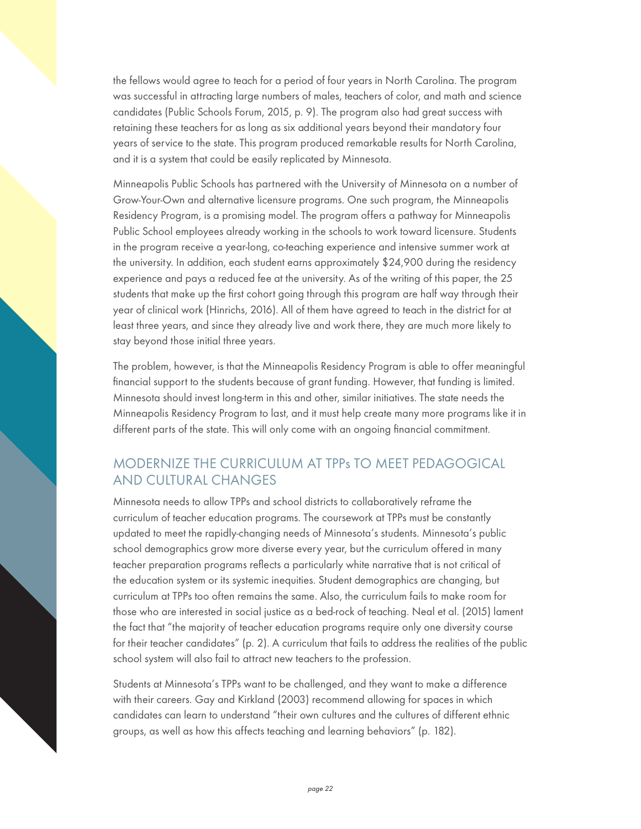the fellows would agree to teach for a period of four years in North Carolina. The program was successful in attracting large numbers of males, teachers of color, and math and science candidates (Public Schools Forum, 2015, p. 9). The program also had great success with retaining these teachers for as long as six additional years beyond their mandatory four years of service to the state. This program produced remarkable results for North Carolina, and it is a system that could be easily replicated by Minnesota.

Minneapolis Public Schools has partnered with the University of Minnesota on a number of Grow-Your-Own and alternative licensure programs. One such program, the Minneapolis Residency Program, is a promising model. The program offers a pathway for Minneapolis Public School employees already working in the schools to work toward licensure. Students in the program receive a year-long, co-teaching experience and intensive summer work at the university. In addition, each student earns approximately \$24,900 during the residency experience and pays a reduced fee at the university. As of the writing of this paper, the 25 students that make up the first cohort going through this program are half way through their year of clinical work (Hinrichs, 2016). All of them have agreed to teach in the district for at least three years, and since they already live and work there, they are much more likely to stay beyond those initial three years.

The problem, however, is that the Minneapolis Residency Program is able to offer meaningful financial support to the students because of grant funding. However, that funding is limited. Minnesota should invest long-term in this and other, similar initiatives. The state needs the Minneapolis Residency Program to last, and it must help create many more programs like it in different parts of the state. This will only come with an ongoing financial commitment.

#### MODERNIZE THE CURRICULUM AT TPPs TO MEET PEDAGOGICAL AND CULTURAL CHANGES

Minnesota needs to allow TPPs and school districts to collaboratively reframe the curriculum of teacher education programs. The coursework at TPPs must be constantly updated to meet the rapidly-changing needs of Minnesota's students. Minnesota's public school demographics grow more diverse every year, but the curriculum offered in many teacher preparation programs reflects a particularly white narrative that is not critical of the education system or its systemic inequities. Student demographics are changing, but curriculum at TPPs too often remains the same. Also, the curriculum fails to make room for those who are interested in social justice as a bed-rock of teaching. Neal et al. (2015) lament the fact that "the majority of teacher education programs require only one diversity course for their teacher candidates" (p. 2). A curriculum that fails to address the realities of the public school system will also fail to attract new teachers to the profession.

Students at Minnesota's TPPs want to be challenged, and they want to make a difference with their careers. Gay and Kirkland (2003) recommend allowing for spaces in which candidates can learn to understand "their own cultures and the cultures of different ethnic groups, as well as how this affects teaching and learning behaviors" (p. 182).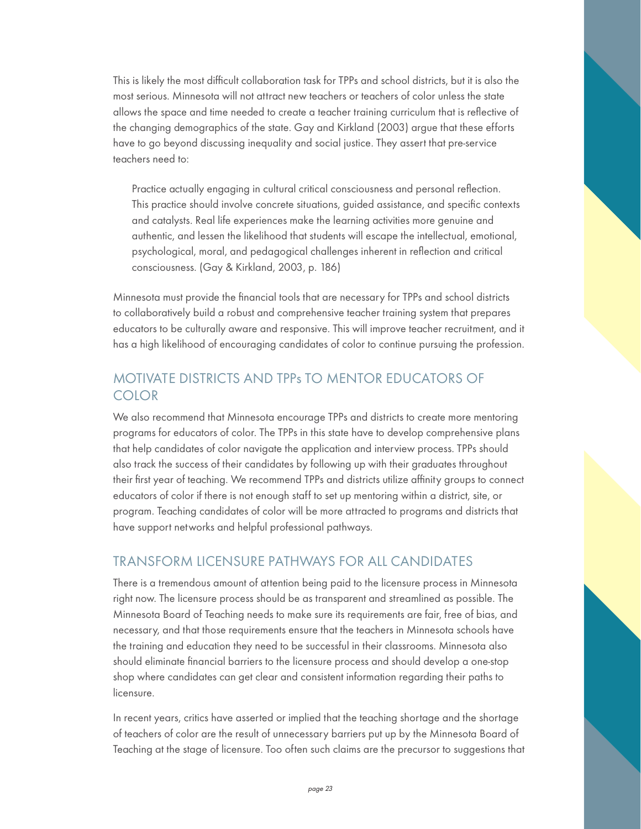This is likely the most difficult collaboration task for TPPs and school districts, but it is also the most serious. Minnesota will not attract new teachers or teachers of color unless the state allows the space and time needed to create a teacher training curriculum that is reflective of the changing demographics of the state. Gay and Kirkland (2003) argue that these efforts have to go beyond discussing inequality and social justice. They assert that pre-service teachers need to:

Practice actually engaging in cultural critical consciousness and personal reflection. This practice should involve concrete situations, guided assistance, and specific contexts and catalysts. Real life experiences make the learning activities more genuine and authentic, and lessen the likelihood that students will escape the intellectual, emotional, psychological, moral, and pedagogical challenges inherent in reflection and critical consciousness. (Gay & Kirkland, 2003, p. 186)

Minnesota must provide the financial tools that are necessary for TPPs and school districts to collaboratively build a robust and comprehensive teacher training system that prepares educators to be culturally aware and responsive. This will improve teacher recruitment, and it has a high likelihood of encouraging candidates of color to continue pursuing the profession.

### MOTIVATE DISTRICTS AND TPPs TO MENTOR EDUCATORS OF COLOR

We also recommend that Minnesota encourage TPPs and districts to create more mentoring programs for educators of color. The TPPs in this state have to develop comprehensive plans that help candidates of color navigate the application and interview process. TPPs should also track the success of their candidates by following up with their graduates throughout their first year of teaching. We recommend TPPs and districts utilize affinity groups to connect educators of color if there is not enough staff to set up mentoring within a district, site, or program. Teaching candidates of color will be more attracted to programs and districts that have support networks and helpful professional pathways.

#### TRANSFORM LICENSURE PATHWAYS FOR ALL CANDIDATES

There is a tremendous amount of attention being paid to the licensure process in Minnesota right now. The licensure process should be as transparent and streamlined as possible. The Minnesota Board of Teaching needs to make sure its requirements are fair, free of bias, and necessary, and that those requirements ensure that the teachers in Minnesota schools have the training and education they need to be successful in their classrooms. Minnesota also should eliminate financial barriers to the licensure process and should develop a one-stop shop where candidates can get clear and consistent information regarding their paths to licensure.

In recent years, critics have asserted or implied that the teaching shortage and the shortage of teachers of color are the result of unnecessary barriers put up by the Minnesota Board of Teaching at the stage of licensure. Too often such claims are the precursor to suggestions that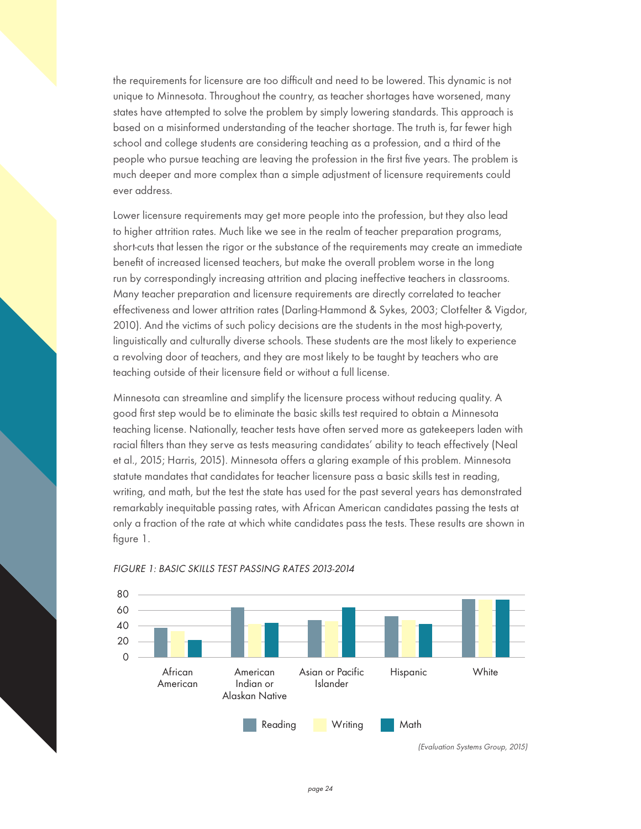the requirements for licensure are too difficult and need to be lowered. This dynamic is not unique to Minnesota. Throughout the country, as teacher shortages have worsened, many states have attempted to solve the problem by simply lowering standards. This approach is based on a misinformed understanding of the teacher shortage. The truth is, far fewer high school and college students are considering teaching as a profession, and a third of the people who pursue teaching are leaving the profession in the first five years. The problem is much deeper and more complex than a simple adjustment of licensure requirements could ever address.

Lower licensure requirements may get more people into the profession, but they also lead to higher attrition rates. Much like we see in the realm of teacher preparation programs, short-cuts that lessen the rigor or the substance of the requirements may create an immediate benefit of increased licensed teachers, but make the overall problem worse in the long run by correspondingly increasing attrition and placing ineffective teachers in classrooms. Many teacher preparation and licensure requirements are directly correlated to teacher effectiveness and lower attrition rates (Darling-Hammond & Sykes, 2003; Clotfelter & Vigdor, 2010). And the victims of such policy decisions are the students in the most high-poverty, linguistically and culturally diverse schools. These students are the most likely to experience a revolving door of teachers, and they are most likely to be taught by teachers who are teaching outside of their licensure field or without a full license.

Minnesota can streamline and simplify the licensure process without reducing quality. A good first step would be to eliminate the basic skills test required to obtain a Minnesota teaching license. Nationally, teacher tests have often served more as gatekeepers laden with racial filters than they serve as tests measuring candidates' ability to teach effectively (Neal et al., 2015; Harris, 2015). Minnesota offers a glaring example of this problem. Minnesota statute mandates that candidates for teacher licensure pass a basic skills test in reading, writing, and math, but the test the state has used for the past several years has demonstrated remarkably inequitable passing rates, with African American candidates passing the tests at only a fraction of the rate at which white candidates pass the tests. These results are shown in figure 1.



#### FIGURE 1: BASIC SKILLS TEST PASSING RATES 2013-2014

(Evaluation Systems Group, 2015)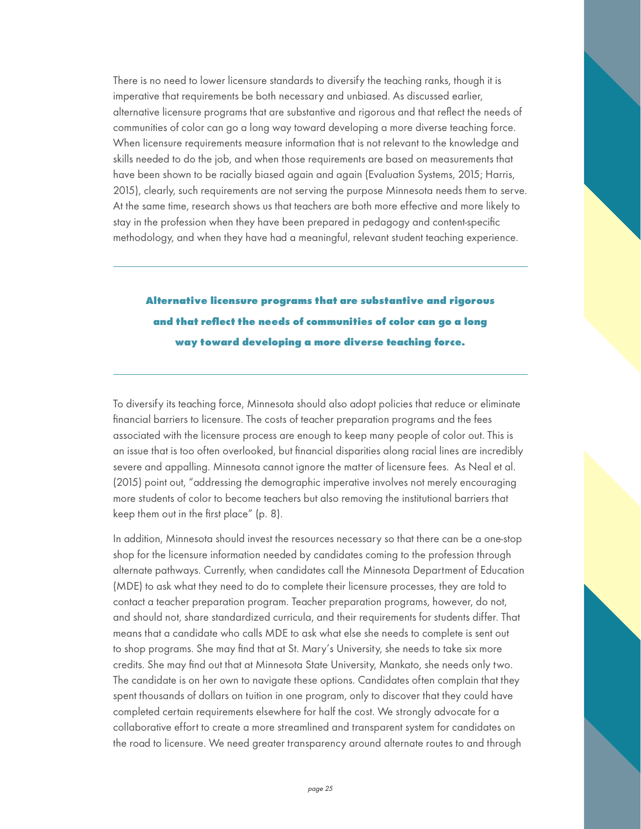There is no need to lower licensure standards to diversify the teaching ranks, though it is imperative that requirements be both necessary and unbiased. As discussed earlier, alternative licensure programs that are substantive and rigorous and that reflect the needs of communities of color can go a long way toward developing a more diverse teaching force. When licensure requirements measure information that is not relevant to the knowledge and skills needed to do the job, and when those requirements are based on measurements that have been shown to be racially biased again and again (Evaluation Systems, 2015; Harris, 2015), clearly, such requirements are not serving the purpose Minnesota needs them to serve. At the same time, research shows us that teachers are both more effective and more likely to stay in the profession when they have been prepared in pedagogy and content-specific methodology, and when they have had a meaningful, relevant student teaching experience.

### **Alternative licensure programs that are substantive and rigorous and that reflect the needs of communities of color can go a long way toward developing a more diverse teaching force.**

To diversify its teaching force, Minnesota should also adopt policies that reduce or eliminate financial barriers to licensure. The costs of teacher preparation programs and the fees associated with the licensure process are enough to keep many people of color out. This is an issue that is too often overlooked, but financial disparities along racial lines are incredibly severe and appalling. Minnesota cannot ignore the matter of licensure fees. As Neal et al. (2015) point out, "addressing the demographic imperative involves not merely encouraging more students of color to become teachers but also removing the institutional barriers that keep them out in the first place" (p. 8).

In addition, Minnesota should invest the resources necessary so that there can be a one-stop shop for the licensure information needed by candidates coming to the profession through alternate pathways. Currently, when candidates call the Minnesota Department of Education (MDE) to ask what they need to do to complete their licensure processes, they are told to contact a teacher preparation program. Teacher preparation programs, however, do not, and should not, share standardized curricula, and their requirements for students differ. That means that a candidate who calls MDE to ask what else she needs to complete is sent out to shop programs. She may find that at St. Mary's University, she needs to take six more credits. She may find out that at Minnesota State University, Mankato, she needs only two. The candidate is on her own to navigate these options. Candidates often complain that they spent thousands of dollars on tuition in one program, only to discover that they could have completed certain requirements elsewhere for half the cost. We strongly advocate for a collaborative effort to create a more streamlined and transparent system for candidates on the road to licensure. We need greater transparency around alternate routes to and through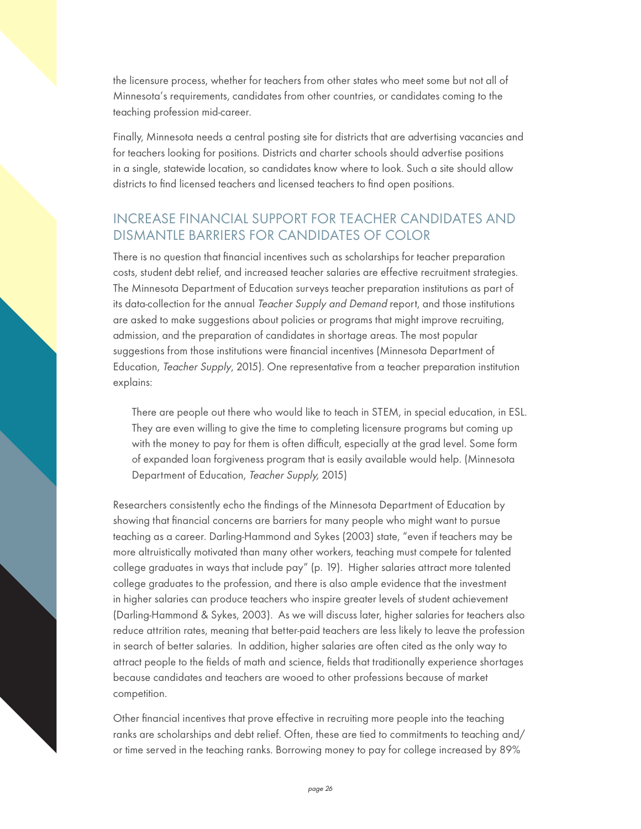the licensure process, whether for teachers from other states who meet some but not all of Minnesota's requirements, candidates from other countries, or candidates coming to the teaching profession mid-career.

Finally, Minnesota needs a central posting site for districts that are advertising vacancies and for teachers looking for positions. Districts and charter schools should advertise positions in a single, statewide location, so candidates know where to look. Such a site should allow districts to find licensed teachers and licensed teachers to find open positions.

### INCREASE FINANCIAL SUPPORT FOR TEACHER CANDIDATES AND DISMANTLE BARRIERS FOR CANDIDATES OF COLOR

There is no question that financial incentives such as scholarships for teacher preparation costs, student debt relief, and increased teacher salaries are effective recruitment strategies. The Minnesota Department of Education surveys teacher preparation institutions as part of its data-collection for the annual Teacher Supply and Demand report, and those institutions are asked to make suggestions about policies or programs that might improve recruiting, admission, and the preparation of candidates in shortage areas. The most popular suggestions from those institutions were financial incentives (Minnesota Department of Education, Teacher Supply, 2015). One representative from a teacher preparation institution explains:

There are people out there who would like to teach in STEM, in special education, in ESL. They are even willing to give the time to completing licensure programs but coming up with the money to pay for them is often difficult, especially at the grad level. Some form of expanded loan forgiveness program that is easily available would help. (Minnesota Department of Education, Teacher Supply, 2015)

Researchers consistently echo the findings of the Minnesota Department of Education by showing that financial concerns are barriers for many people who might want to pursue teaching as a career. Darling-Hammond and Sykes (2003) state, "even if teachers may be more altruistically motivated than many other workers, teaching must compete for talented college graduates in ways that include pay" (p. 19). Higher salaries attract more talented college graduates to the profession, and there is also ample evidence that the investment in higher salaries can produce teachers who inspire greater levels of student achievement (Darling-Hammond & Sykes, 2003). As we will discuss later, higher salaries for teachers also reduce attrition rates, meaning that better-paid teachers are less likely to leave the profession in search of better salaries. In addition, higher salaries are often cited as the only way to attract people to the fields of math and science, fields that traditionally experience shortages because candidates and teachers are wooed to other professions because of market competition.

Other financial incentives that prove effective in recruiting more people into the teaching ranks are scholarships and debt relief. Often, these are tied to commitments to teaching and/ or time served in the teaching ranks. Borrowing money to pay for college increased by 89%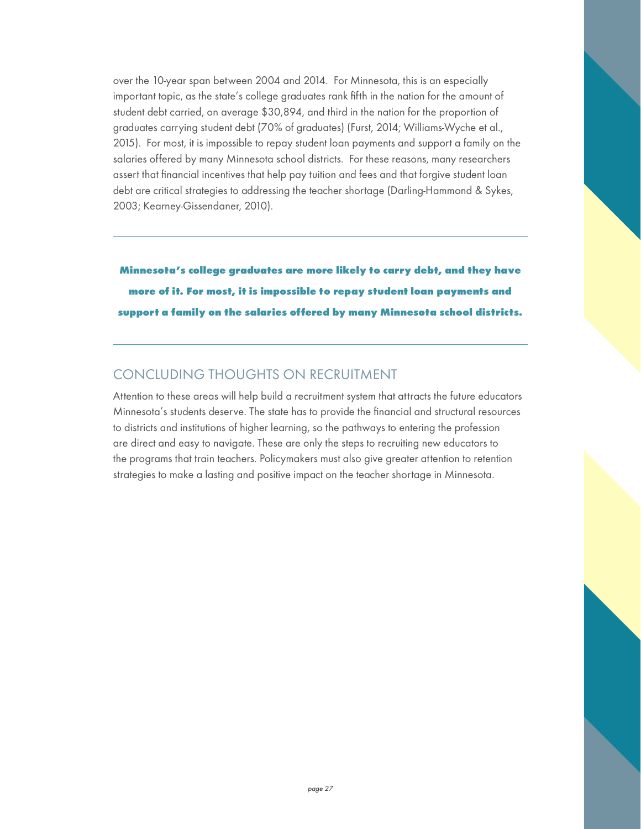over the 10-year span between 2004 and 2014. For Minnesota, this is an especially important topic, as the state's college graduates rank fifth in the nation for the amount of student debt carried, on average \$30,894, and third in the nation for the proportion of graduates carrying student debt (70% of graduates) (Furst, 2014; Williams-Wyche et al., 2015). For most, it is impossible to repay student loan payments and support a family on the salaries offered by many Minnesota school districts. For these reasons, many researchers assert that financial incentives that help pay tuition and fees and that forgive student loan debt are critical strategies to addressing the teacher shortage (Darling-Hammond & Sykes, 2003; Kearney-Gissendaner, 2010).

**Minnesota's college graduates are more likely to carry debt, and they have more of it. For most, it is impossible to repay student loan payments and support a family on the salaries offered by many Minnesota school districts.**

#### CONCLUDING THOUGHTS ON RECRUITMENT

Attention to these areas will help build a recruitment system that attracts the future educators Minnesota's students deserve. The state has to provide the financial and structural resources to districts and institutions of higher learning, so the pathways to entering the profession are direct and easy to navigate. These are only the steps to recruiting new educators to the programs that train teachers. Policymakers must also give greater attention to retention strategies to make a lasting and positive impact on the teacher shortage in Minnesota.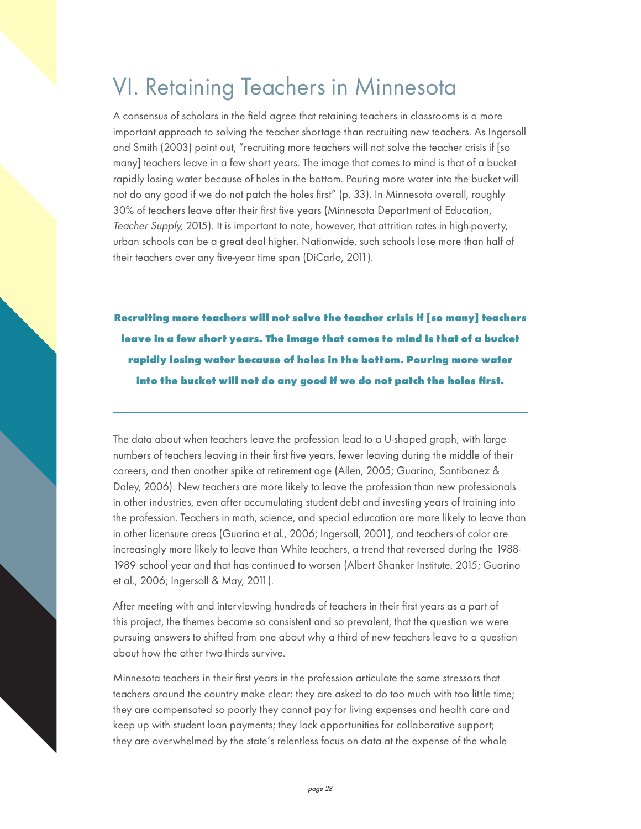# VI. Retaining Teachers in Minnesota

A consensus of scholars in the field agree that retaining teachers in classrooms is a more important approach to solving the teacher shortage than recruiting new teachers. As Ingersoll and Smith (2003) point out, "recruiting more teachers will not solve the teacher crisis if [so many] teachers leave in a few short years. The image that comes to mind is that of a bucket rapidly losing water because of holes in the bottom. Pouring more water into the bucket will not do any good if we do not patch the holes first" (p. 33). In Minnesota overall, roughly 30% of teachers leave after their first five years (Minnesota Department of Education, Teacher Supply, 2015). It is important to note, however, that attrition rates in high-poverty, urban schools can be a great deal higher. Nationwide, such schools lose more than half of their teachers over any five-year time span (DiCarlo, 2011).

**Recruiting more teachers will not solve the teacher crisis if [so many] teachers leave in a few short years. The image that comes to mind is that of a bucket rapidly losing water because of holes in the bottom. Pouring more water into the bucket will not do any good if we do not patch the holes first.**

The data about when teachers leave the profession lead to a U-shaped graph, with large numbers of teachers leaving in their first five years, fewer leaving during the middle of their careers, and then another spike at retirement age (Allen, 2005; Guarino, Santibanez & Daley, 2006). New teachers are more likely to leave the profession than new professionals in other industries, even after accumulating student debt and investing years of training into the profession. Teachers in math, science, and special education are more likely to leave than in other licensure areas (Guarino et al., 2006; Ingersoll, 2001), and teachers of color are increasingly more likely to leave than White teachers, a trend that reversed during the 1988- 1989 school year and that has continued to worsen (Albert Shanker Institute, 2015; Guarino et al., 2006; Ingersoll & May, 2011).

After meeting with and interviewing hundreds of teachers in their first years as a part of this project, the themes became so consistent and so prevalent, that the question we were pursuing answers to shifted from one about why a third of new teachers leave to a question about how the other two-thirds survive.

Minnesota teachers in their first years in the profession articulate the same stressors that teachers around the country make clear: they are asked to do too much with too little time; they are compensated so poorly they cannot pay for living expenses and health care and keep up with student loan payments; they lack opportunities for collaborative support; they are overwhelmed by the state's relentless focus on data at the expense of the whole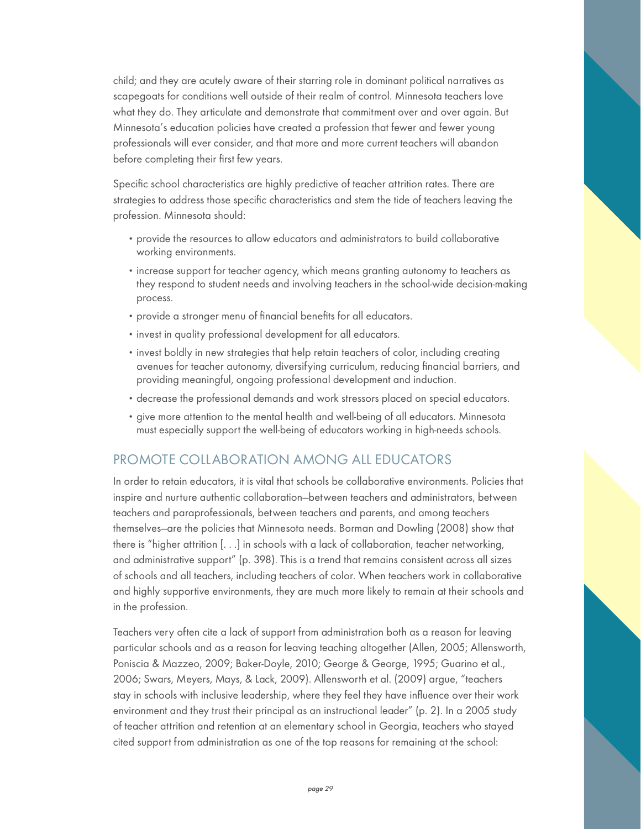child; and they are acutely aware of their starring role in dominant political narratives as scapegoats for conditions well outside of their realm of control. Minnesota teachers love what they do. They articulate and demonstrate that commitment over and over again. But Minnesota's education policies have created a profession that fewer and fewer young professionals will ever consider, and that more and more current teachers will abandon before completing their first few years.

Specific school characteristics are highly predictive of teacher attrition rates. There are strategies to address those specific characteristics and stem the tide of teachers leaving the profession. Minnesota should:

- •provide the resources to allow educators and administrators to build collaborative working environments.
- •increase support for teacher agency, which means granting autonomy to teachers as they respond to student needs and involving teachers in the school-wide decision-making process.
- •provide a stronger menu of financial benefits for all educators.
- •invest in quality professional development for all educators.
- •invest boldly in new strategies that help retain teachers of color, including creating avenues for teacher autonomy, diversifying curriculum, reducing financial barriers, and providing meaningful, ongoing professional development and induction.
- •decrease the professional demands and work stressors placed on special educators.
- •give more attention to the mental health and well-being of all educators. Minnesota must especially support the well-being of educators working in high-needs schools.

### PROMOTE COLLABORATION AMONG ALL EDUCATORS

In order to retain educators, it is vital that schools be collaborative environments. Policies that inspire and nurture authentic collaboration—between teachers and administrators, between teachers and paraprofessionals, between teachers and parents, and among teachers themselves—are the policies that Minnesota needs. Borman and Dowling (2008) show that there is "higher attrition [. . .] in schools with a lack of collaboration, teacher networking, and administrative support" (p. 398). This is a trend that remains consistent across all sizes of schools and all teachers, including teachers of color. When teachers work in collaborative and highly supportive environments, they are much more likely to remain at their schools and in the profession.

Teachers very often cite a lack of support from administration both as a reason for leaving particular schools and as a reason for leaving teaching altogether (Allen, 2005; Allensworth, Poniscia & Mazzeo, 2009; Baker-Doyle, 2010; George & George, 1995; Guarino et al., 2006; Swars, Meyers, Mays, & Lack, 2009). Allensworth et al. (2009) argue, "teachers stay in schools with inclusive leadership, where they feel they have influence over their work environment and they trust their principal as an instructional leader" (p. 2). In a 2005 study of teacher attrition and retention at an elementary school in Georgia, teachers who stayed cited support from administration as one of the top reasons for remaining at the school: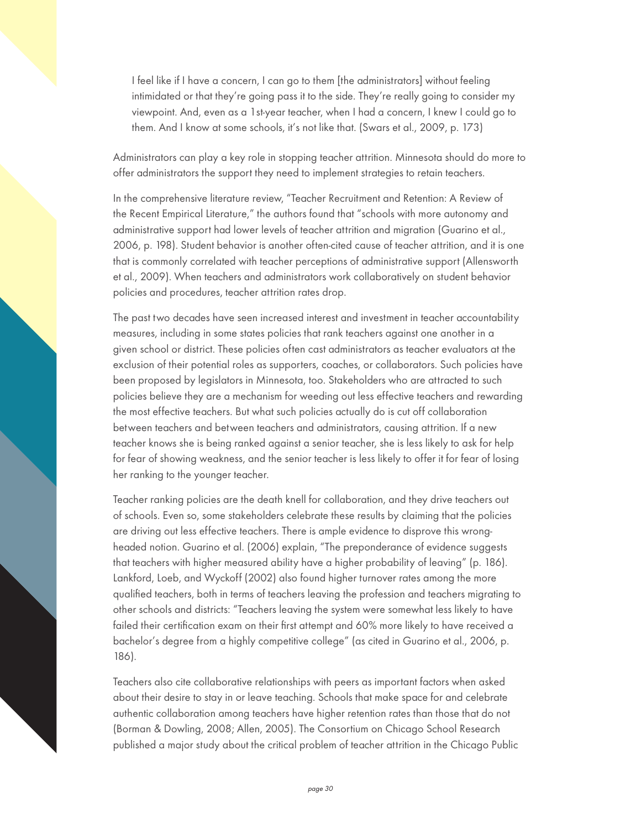I feel like if I have a concern, I can go to them [the administrators] without feeling intimidated or that they're going pass it to the side. They're really going to consider my viewpoint. And, even as a 1st-year teacher, when I had a concern, I knew I could go to them. And I know at some schools, it's not like that. (Swars et al., 2009, p. 173)

Administrators can play a key role in stopping teacher attrition. Minnesota should do more to offer administrators the support they need to implement strategies to retain teachers.

In the comprehensive literature review, "Teacher Recruitment and Retention: A Review of the Recent Empirical Literature," the authors found that "schools with more autonomy and administrative support had lower levels of teacher attrition and migration (Guarino et al., 2006, p. 198). Student behavior is another often-cited cause of teacher attrition, and it is one that is commonly correlated with teacher perceptions of administrative support (Allensworth et al., 2009). When teachers and administrators work collaboratively on student behavior policies and procedures, teacher attrition rates drop.

The past two decades have seen increased interest and investment in teacher accountability measures, including in some states policies that rank teachers against one another in a given school or district. These policies often cast administrators as teacher evaluators at the exclusion of their potential roles as supporters, coaches, or collaborators. Such policies have been proposed by legislators in Minnesota, too. Stakeholders who are attracted to such policies believe they are a mechanism for weeding out less effective teachers and rewarding the most effective teachers. But what such policies actually do is cut off collaboration between teachers and between teachers and administrators, causing attrition. If a new teacher knows she is being ranked against a senior teacher, she is less likely to ask for help for fear of showing weakness, and the senior teacher is less likely to offer it for fear of losing her ranking to the younger teacher.

Teacher ranking policies are the death knell for collaboration, and they drive teachers out of schools. Even so, some stakeholders celebrate these results by claiming that the policies are driving out less effective teachers. There is ample evidence to disprove this wrongheaded notion. Guarino et al. (2006) explain, "The preponderance of evidence suggests that teachers with higher measured ability have a higher probability of leaving" (p. 186). Lankford, Loeb, and Wyckoff (2002) also found higher turnover rates among the more qualified teachers, both in terms of teachers leaving the profession and teachers migrating to other schools and districts: "Teachers leaving the system were somewhat less likely to have failed their certification exam on their first attempt and 60% more likely to have received a bachelor's degree from a highly competitive college" (as cited in Guarino et al., 2006, p. 186).

Teachers also cite collaborative relationships with peers as important factors when asked about their desire to stay in or leave teaching. Schools that make space for and celebrate authentic collaboration among teachers have higher retention rates than those that do not (Borman & Dowling, 2008; Allen, 2005). The Consortium on Chicago School Research published a major study about the critical problem of teacher attrition in the Chicago Public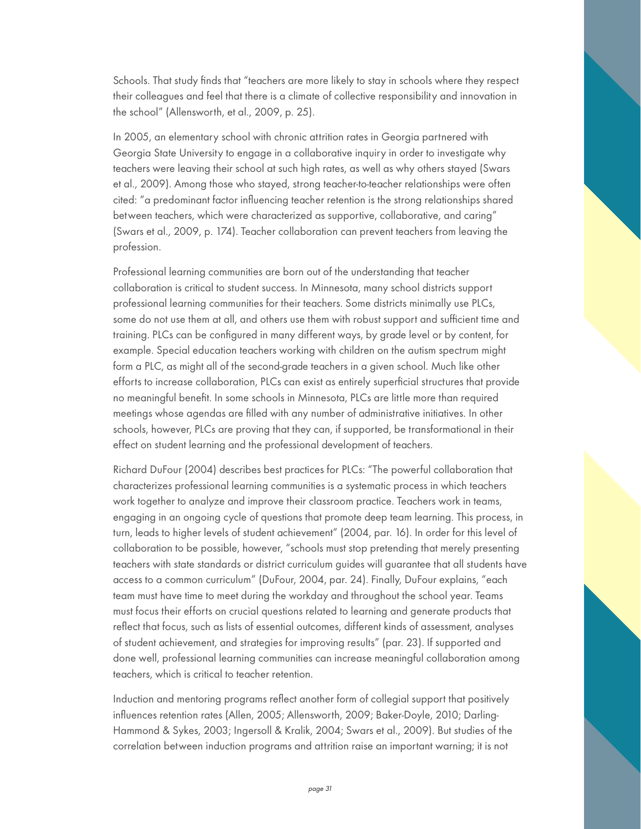Schools. That study finds that "teachers are more likely to stay in schools where they respect their colleagues and feel that there is a climate of collective responsibility and innovation in the school" (Allensworth, et al., 2009, p. 25).

In 2005, an elementary school with chronic attrition rates in Georgia partnered with Georgia State University to engage in a collaborative inquiry in order to investigate why teachers were leaving their school at such high rates, as well as why others stayed (Swars et al., 2009). Among those who stayed, strong teacher-to-teacher relationships were often cited: "a predominant factor influencing teacher retention is the strong relationships shared between teachers, which were characterized as supportive, collaborative, and caring" (Swars et al., 2009, p. 174). Teacher collaboration can prevent teachers from leaving the profession.

Professional learning communities are born out of the understanding that teacher collaboration is critical to student success. In Minnesota, many school districts support professional learning communities for their teachers. Some districts minimally use PLCs, some do not use them at all, and others use them with robust support and sufficient time and training. PLCs can be configured in many different ways, by grade level or by content, for example. Special education teachers working with children on the autism spectrum might form a PLC, as might all of the second-grade teachers in a given school. Much like other efforts to increase collaboration, PLCs can exist as entirely superficial structures that provide no meaningful benefit. In some schools in Minnesota, PLCs are little more than required meetings whose agendas are filled with any number of administrative initiatives. In other schools, however, PLCs are proving that they can, if supported, be transformational in their effect on student learning and the professional development of teachers.

Richard DuFour (2004) describes best practices for PLCs: "The powerful collaboration that characterizes professional learning communities is a systematic process in which teachers work together to analyze and improve their classroom practice. Teachers work in teams, engaging in an ongoing cycle of questions that promote deep team learning. This process, in turn, leads to higher levels of student achievement" (2004, par. 16). In order for this level of collaboration to be possible, however, "schools must stop pretending that merely presenting teachers with state standards or district curriculum guides will guarantee that all students have access to a common curriculum" (DuFour, 2004, par. 24). Finally, DuFour explains, "each team must have time to meet during the workday and throughout the school year. Teams must focus their efforts on crucial questions related to learning and generate products that reflect that focus, such as lists of essential outcomes, different kinds of assessment, analyses of student achievement, and strategies for improving results" (par. 23). If supported and done well, professional learning communities can increase meaningful collaboration among teachers, which is critical to teacher retention.

Induction and mentoring programs reflect another form of collegial support that positively influences retention rates (Allen, 2005; Allensworth, 2009; Baker-Doyle, 2010; Darling-Hammond & Sykes, 2003; Ingersoll & Kralik, 2004; Swars et al., 2009). But studies of the correlation between induction programs and attrition raise an important warning; it is not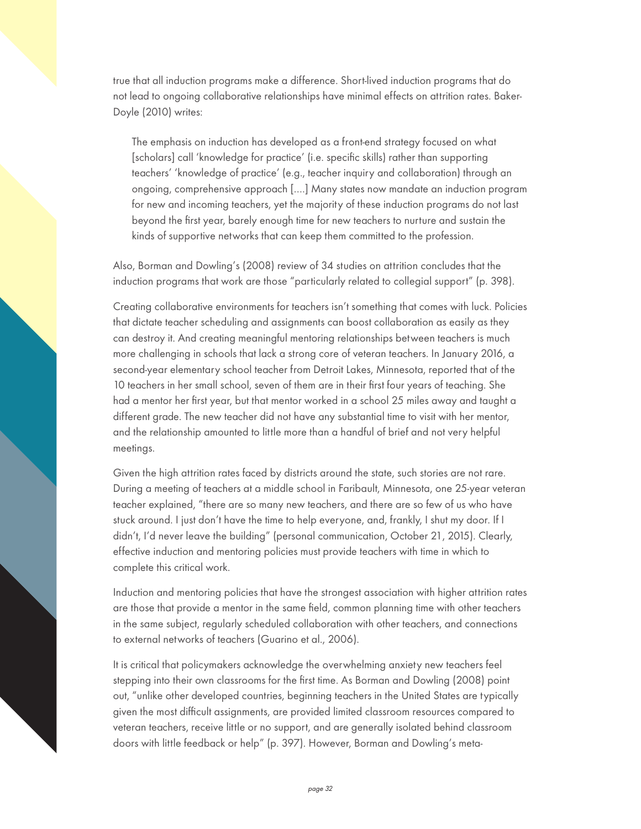true that all induction programs make a difference. Short-lived induction programs that do not lead to ongoing collaborative relationships have minimal effects on attrition rates. Baker-Doyle (2010) writes:

The emphasis on induction has developed as a front-end strategy focused on what [scholars] call 'knowledge for practice' (i.e. specific skills) rather than supporting teachers' 'knowledge of practice' (e.g., teacher inquiry and collaboration) through an ongoing, comprehensive approach [….] Many states now mandate an induction program for new and incoming teachers, yet the majority of these induction programs do not last beyond the first year, barely enough time for new teachers to nurture and sustain the kinds of supportive networks that can keep them committed to the profession.

Also, Borman and Dowling's (2008) review of 34 studies on attrition concludes that the induction programs that work are those "particularly related to collegial support" (p. 398).

Creating collaborative environments for teachers isn't something that comes with luck. Policies that dictate teacher scheduling and assignments can boost collaboration as easily as they can destroy it. And creating meaningful mentoring relationships between teachers is much more challenging in schools that lack a strong core of veteran teachers. In January 2016, a second-year elementary school teacher from Detroit Lakes, Minnesota, reported that of the 10 teachers in her small school, seven of them are in their first four years of teaching. She had a mentor her first year, but that mentor worked in a school 25 miles away and taught a different grade. The new teacher did not have any substantial time to visit with her mentor, and the relationship amounted to little more than a handful of brief and not very helpful meetings.

Given the high attrition rates faced by districts around the state, such stories are not rare. During a meeting of teachers at a middle school in Faribault, Minnesota, one 25-year veteran teacher explained, "there are so many new teachers, and there are so few of us who have stuck around. I just don't have the time to help everyone, and, frankly, I shut my door. If I didn't, I'd never leave the building" (personal communication, October 21, 2015). Clearly, effective induction and mentoring policies must provide teachers with time in which to complete this critical work.

Induction and mentoring policies that have the strongest association with higher attrition rates are those that provide a mentor in the same field, common planning time with other teachers in the same subject, regularly scheduled collaboration with other teachers, and connections to external networks of teachers (Guarino et al., 2006).

It is critical that policymakers acknowledge the overwhelming anxiety new teachers feel stepping into their own classrooms for the first time. As Borman and Dowling (2008) point out, "unlike other developed countries, beginning teachers in the United States are typically given the most difficult assignments, are provided limited classroom resources compared to veteran teachers, receive little or no support, and are generally isolated behind classroom doors with little feedback or help" (p. 397). However, Borman and Dowling's meta-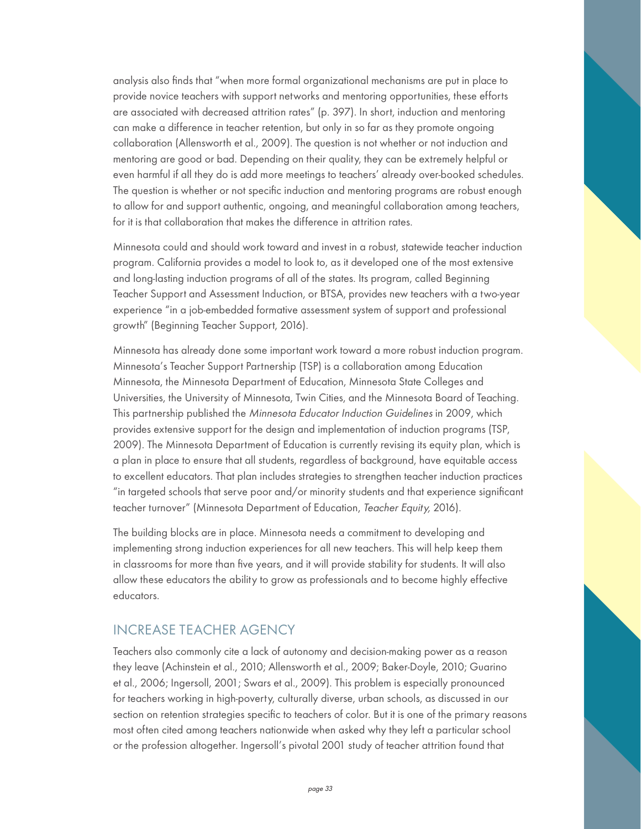analysis also finds that "when more formal organizational mechanisms are put in place to provide novice teachers with support networks and mentoring opportunities, these efforts are associated with decreased attrition rates" (p. 397). In short, induction and mentoring can make a difference in teacher retention, but only in so far as they promote ongoing collaboration (Allensworth et al., 2009). The question is not whether or not induction and mentoring are good or bad. Depending on their quality, they can be extremely helpful or even harmful if all they do is add more meetings to teachers' already over-booked schedules. The question is whether or not specific induction and mentoring programs are robust enough to allow for and support authentic, ongoing, and meaningful collaboration among teachers, for it is that collaboration that makes the difference in attrition rates.

Minnesota could and should work toward and invest in a robust, statewide teacher induction program. California provides a model to look to, as it developed one of the most extensive and long-lasting induction programs of all of the states. Its program, called Beginning Teacher Support and Assessment Induction, or BTSA, provides new teachers with a two-year experience "in a job-embedded formative assessment system of support and professional growth" (Beginning Teacher Support, 2016).

Minnesota has already done some important work toward a more robust induction program. Minnesota's Teacher Support Partnership (TSP) is a collaboration among Education Minnesota, the Minnesota Department of Education, Minnesota State Colleges and Universities, the University of Minnesota, Twin Cities, and the Minnesota Board of Teaching. This partnership published the Minnesota Educator Induction Guidelines in 2009, which provides extensive support for the design and implementation of induction programs (TSP, 2009). The Minnesota Department of Education is currently revising its equity plan, which is a plan in place to ensure that all students, regardless of background, have equitable access to excellent educators. That plan includes strategies to strengthen teacher induction practices "in targeted schools that serve poor and/or minority students and that experience significant teacher turnover" (Minnesota Department of Education, Teacher Equity, 2016).

The building blocks are in place. Minnesota needs a commitment to developing and implementing strong induction experiences for all new teachers. This will help keep them in classrooms for more than five years, and it will provide stability for students. It will also allow these educators the ability to grow as professionals and to become highly effective educators.

#### INCREASE TEACHER AGENCY

Teachers also commonly cite a lack of autonomy and decision-making power as a reason they leave (Achinstein et al., 2010; Allensworth et al., 2009; Baker-Doyle, 2010; Guarino et al., 2006; Ingersoll, 2001; Swars et al., 2009). This problem is especially pronounced for teachers working in high-poverty, culturally diverse, urban schools, as discussed in our section on retention strategies specific to teachers of color. But it is one of the primary reasons most often cited among teachers nationwide when asked why they left a particular school or the profession altogether. Ingersoll's pivotal 2001 study of teacher attrition found that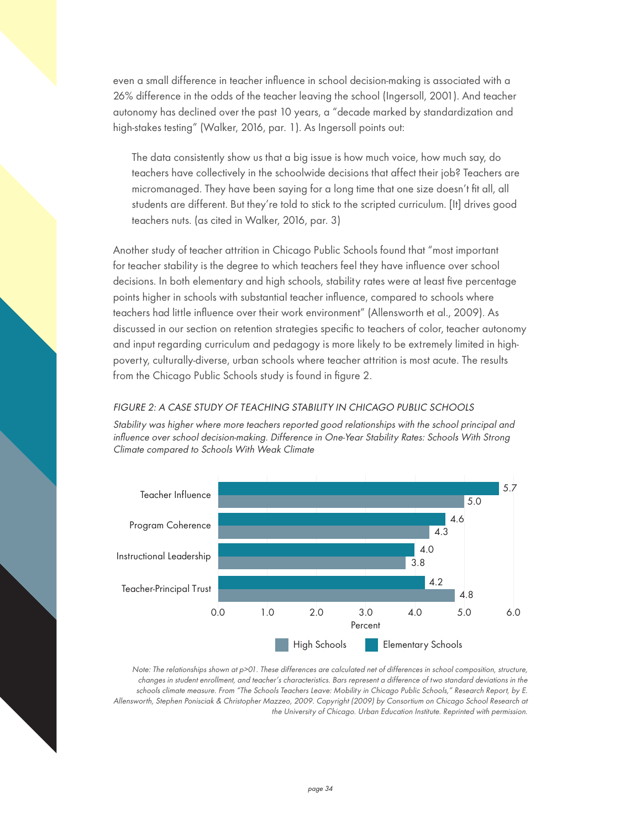even a small difference in teacher influence in school decision-making is associated with a 26% difference in the odds of the teacher leaving the school (Ingersoll, 2001). And teacher autonomy has declined over the past 10 years, a "decade marked by standardization and high-stakes testing" (Walker, 2016, par. 1). As Ingersoll points out:

The data consistently show us that a big issue is how much voice, how much say, do teachers have collectively in the schoolwide decisions that affect their job? Teachers are micromanaged. They have been saying for a long time that one size doesn't fit all, all students are different. But they're told to stick to the scripted curriculum. [It] drives good teachers nuts. (as cited in Walker, 2016, par. 3)

Another study of teacher attrition in Chicago Public Schools found that "most important for teacher stability is the degree to which teachers feel they have influence over school decisions. In both elementary and high schools, stability rates were at least five percentage points higher in schools with substantial teacher influence, compared to schools where teachers had little influence over their work environment" (Allensworth et al., 2009). As discussed in our section on retention strategies specific to teachers of color, teacher autonomy and input regarding curriculum and pedagogy is more likely to be extremely limited in highpoverty, culturally-diverse, urban schools where teacher attrition is most acute. The results from the Chicago Public Schools study is found in figure 2.

#### FIGURE 2: A CASE STUDY OF TEACHING STABILITY IN CHICAGO PUBLIC SCHOOLS

Stability was higher where more teachers reported good relationships with the school principal and influence over school decision-making. Difference in One-Year Stability Rates: Schools With Strong Climate compared to Schools With Weak Climate



Note: The relationships shown at p>01. These differences are calculated net of differences in school composition, structure, changes in student enrollment, and teacher's characteristics. Bars represent a difference of two standard deviations in the schools climate measure. From "The Schools Teachers Leave: Mobility in Chicago Public Schools," Research Report, by E. Allensworth, Stephen Ponisciak & Christopher Mazzeo, 2009. Copyright (2009) by Consortium on Chicago School Research at the University of Chicago. Urban Education Institute. Reprinted with permission.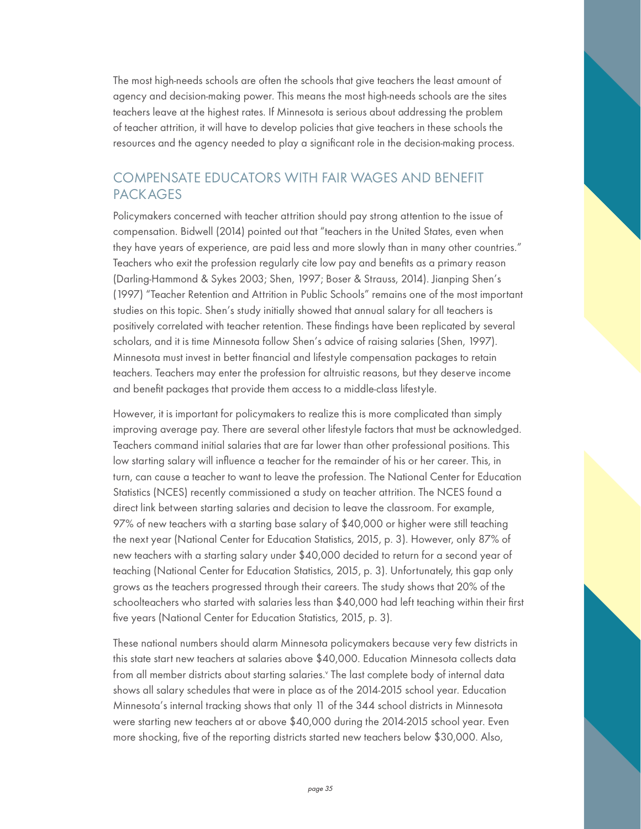The most high-needs schools are often the schools that give teachers the least amount of agency and decision-making power. This means the most high-needs schools are the sites teachers leave at the highest rates. If Minnesota is serious about addressing the problem of teacher attrition, it will have to develop policies that give teachers in these schools the resources and the agency needed to play a significant role in the decision-making process.

## COMPENSATE EDUCATORS WITH FAIR WAGES AND BENEFIT **PACKAGES**

Policymakers concerned with teacher attrition should pay strong attention to the issue of compensation. Bidwell (2014) pointed out that "teachers in the United States, even when they have years of experience, are paid less and more slowly than in many other countries." Teachers who exit the profession regularly cite low pay and benefits as a primary reason (Darling-Hammond & Sykes 2003; Shen, 1997; Boser & Strauss, 2014). Jianping Shen's (1997) "Teacher Retention and Attrition in Public Schools" remains one of the most important studies on this topic. Shen's study initially showed that annual salary for all teachers is positively correlated with teacher retention. These findings have been replicated by several scholars, and it is time Minnesota follow Shen's advice of raising salaries (Shen, 1997). Minnesota must invest in better financial and lifestyle compensation packages to retain teachers. Teachers may enter the profession for altruistic reasons, but they deserve income and benefit packages that provide them access to a middle-class lifestyle.

However, it is important for policymakers to realize this is more complicated than simply improving average pay. There are several other lifestyle factors that must be acknowledged. Teachers command initial salaries that are far lower than other professional positions. This low starting salary will influence a teacher for the remainder of his or her career. This, in turn, can cause a teacher to want to leave the profession. The National Center for Education Statistics (NCES) recently commissioned a study on teacher attrition. The NCES found a direct link between starting salaries and decision to leave the classroom. For example, 97% of new teachers with a starting base salary of \$40,000 or higher were still teaching the next year (National Center for Education Statistics, 2015, p. 3). However, only 87% of new teachers with a starting salary under \$40,000 decided to return for a second year of teaching (National Center for Education Statistics, 2015, p. 3). Unfortunately, this gap only grows as the teachers progressed through their careers. The study shows that 20% of the schoolteachers who started with salaries less than \$40,000 had left teaching within their first five years (National Center for Education Statistics, 2015, p. 3).

These national numbers should alarm Minnesota policymakers because very few districts in this state start new teachers at salaries above \$40,000. Education Minnesota collects data from all member districts about starting salaries.<sup>v</sup> The last complete body of internal data shows all salary schedules that were in place as of the 2014-2015 school year. Education Minnesota's internal tracking shows that only 11 of the 344 school districts in Minnesota were starting new teachers at or above \$40,000 during the 2014-2015 school year. Even more shocking, five of the reporting districts started new teachers below \$30,000. Also,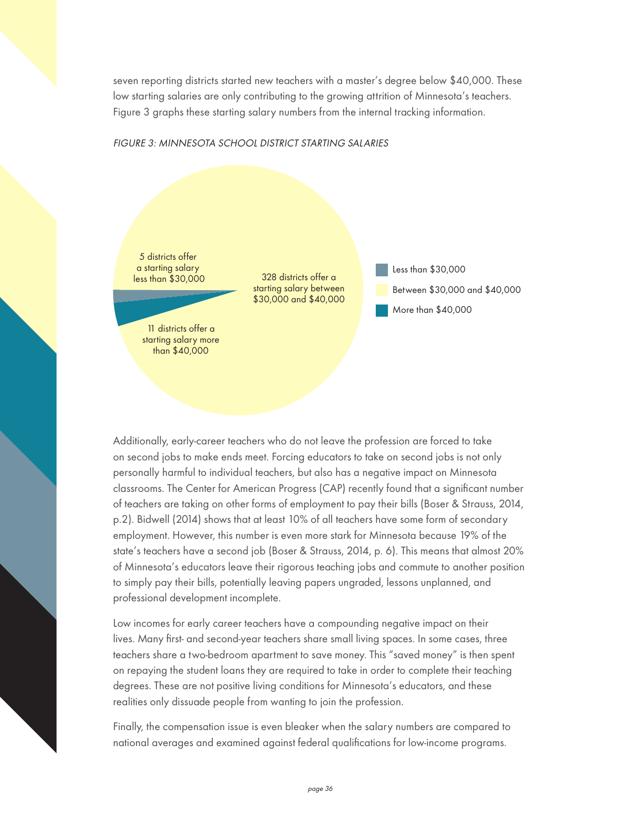seven reporting districts started new teachers with a master's degree below \$40,000. These low starting salaries are only contributing to the growing attrition of Minnesota's teachers. Figure 3 graphs these starting salary numbers from the internal tracking information.

#### FIGURE 3: MINNESOTA SCHOOL DISTRICT STARTING SALARIES

5 districts offer a starting salary less than \$30,000

> 11 districts offer a starting salary more than \$40,000

328 districts offer a starting salary between \$30,000 and \$40,000 Less than \$30,000 Between \$30,000 and \$40,000 More than \$40,000

Additionally, early-career teachers who do not leave the profession are forced to take on second jobs to make ends meet. Forcing educators to take on second jobs is not only personally harmful to individual teachers, but also has a negative impact on Minnesota classrooms. The Center for American Progress (CAP) recently found that a significant number of teachers are taking on other forms of employment to pay their bills (Boser & Strauss, 2014, p.2). Bidwell (2014) shows that at least 10% of all teachers have some form of secondary employment. However, this number is even more stark for Minnesota because 19% of the state's teachers have a second job (Boser & Strauss, 2014, p. 6). This means that almost 20% of Minnesota's educators leave their rigorous teaching jobs and commute to another position to simply pay their bills, potentially leaving papers ungraded, lessons unplanned, and professional development incomplete.

Low incomes for early career teachers have a compounding negative impact on their lives. Many first- and second-year teachers share small living spaces. In some cases, three teachers share a two-bedroom apartment to save money. This "saved money" is then spent on repaying the student loans they are required to take in order to complete their teaching degrees. These are not positive living conditions for Minnesota's educators, and these realities only dissuade people from wanting to join the profession.

Finally, the compensation issue is even bleaker when the salary numbers are compared to national averages and examined against federal qualifications for low-income programs.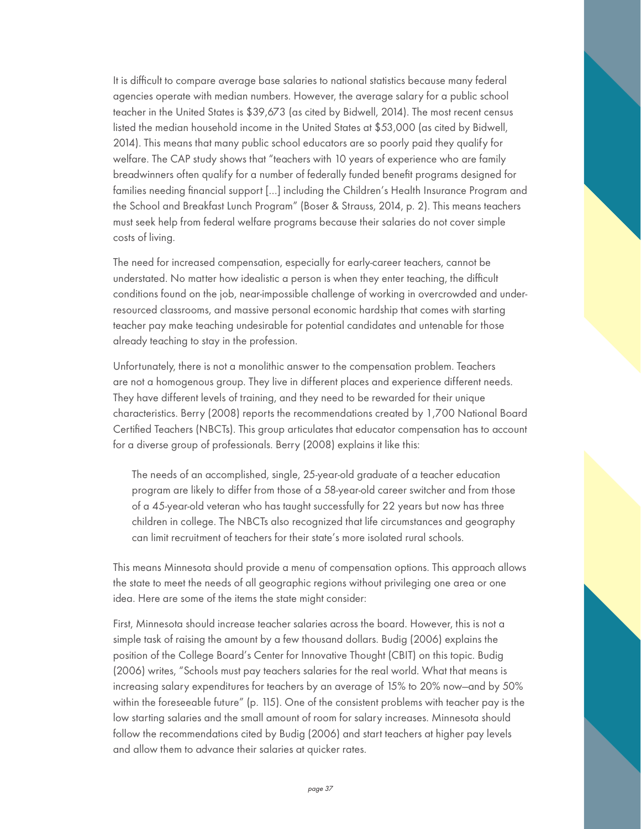It is difficult to compare average base salaries to national statistics because many federal agencies operate with median numbers. However, the average salary for a public school teacher in the United States is \$39,673 (as cited by Bidwell, 2014). The most recent census listed the median household income in the United States at \$53,000 (as cited by Bidwell, 2014). This means that many public school educators are so poorly paid they qualify for welfare. The CAP study shows that "teachers with 10 years of experience who are family breadwinners often qualify for a number of federally funded benefit programs designed for families needing financial support […] including the Children's Health Insurance Program and the School and Breakfast Lunch Program" (Boser & Strauss, 2014, p. 2). This means teachers must seek help from federal welfare programs because their salaries do not cover simple costs of living.

The need for increased compensation, especially for early-career teachers, cannot be understated. No matter how idealistic a person is when they enter teaching, the difficult conditions found on the job, near-impossible challenge of working in overcrowded and underresourced classrooms, and massive personal economic hardship that comes with starting teacher pay make teaching undesirable for potential candidates and untenable for those already teaching to stay in the profession.

Unfortunately, there is not a monolithic answer to the compensation problem. Teachers are not a homogenous group. They live in different places and experience different needs. They have different levels of training, and they need to be rewarded for their unique characteristics. Berry (2008) reports the recommendations created by 1,700 National Board Certified Teachers (NBCTs). This group articulates that educator compensation has to account for a diverse group of professionals. Berry (2008) explains it like this:

The needs of an accomplished, single, 25-year-old graduate of a teacher education program are likely to differ from those of a 58-year-old career switcher and from those of a 45-year-old veteran who has taught successfully for 22 years but now has three children in college. The NBCTs also recognized that life circumstances and geography can limit recruitment of teachers for their state's more isolated rural schools.

This means Minnesota should provide a menu of compensation options. This approach allows the state to meet the needs of all geographic regions without privileging one area or one idea. Here are some of the items the state might consider:

First, Minnesota should increase teacher salaries across the board. However, this is not a simple task of raising the amount by a few thousand dollars. Budig (2006) explains the position of the College Board's Center for Innovative Thought (CBIT) on this topic. Budig (2006) writes, "Schools must pay teachers salaries for the real world. What that means is increasing salary expenditures for teachers by an average of 15% to 20% now—and by 50% within the foreseeable future" (p. 115). One of the consistent problems with teacher pay is the low starting salaries and the small amount of room for salary increases. Minnesota should follow the recommendations cited by Budig (2006) and start teachers at higher pay levels and allow them to advance their salaries at quicker rates.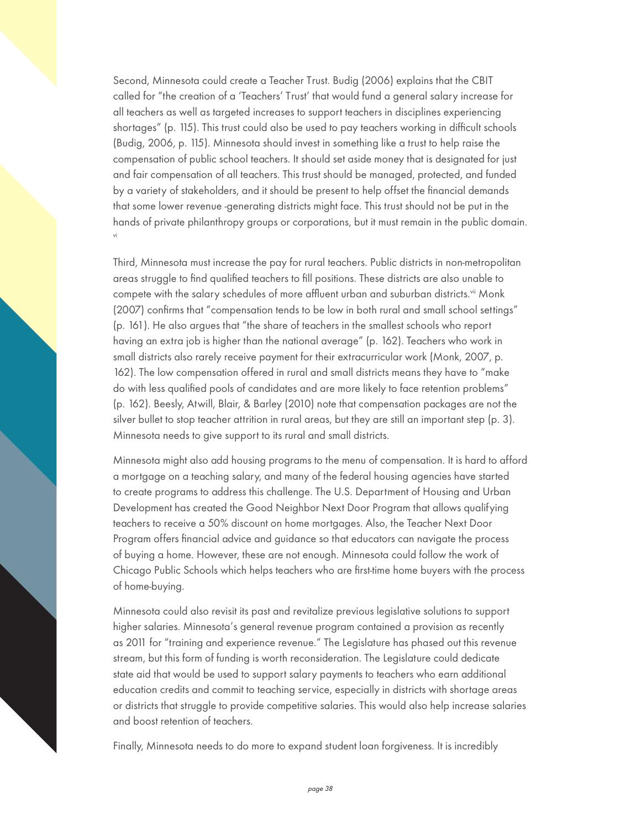Second, Minnesota could create a Teacher Trust. Budig (2006) explains that the CBIT called for "the creation of a 'Teachers' Trust' that would fund a general salary increase for all teachers as well as targeted increases to support teachers in disciplines experiencing shortages" (p. 115). This trust could also be used to pay teachers working in difficult schools (Budig, 2006, p. 115). Minnesota should invest in something like a trust to help raise the compensation of public school teachers. It should set aside money that is designated for just and fair compensation of all teachers. This trust should be managed, protected, and funded by a variety of stakeholders, and it should be present to help offset the financial demands that some lower revenue -generating districts might face. This trust should not be put in the hands of private philanthropy groups or corporations, but it must remain in the public domain. vi

Third, Minnesota must increase the pay for rural teachers. Public districts in non-metropolitan areas struggle to find qualified teachers to fill positions. These districts are also unable to compete with the salary schedules of more affluent urban and suburban districts.<sup>vii</sup> Monk (2007) confirms that "compensation tends to be low in both rural and small school settings" (p. 161). He also argues that "the share of teachers in the smallest schools who report having an extra job is higher than the national average" (p. 162). Teachers who work in small districts also rarely receive payment for their extracurricular work (Monk, 2007, p. 162). The low compensation offered in rural and small districts means they have to "make do with less qualified pools of candidates and are more likely to face retention problems" (p. 162). Beesly, Atwill, Blair, & Barley (2010) note that compensation packages are not the silver bullet to stop teacher attrition in rural areas, but they are still an important step (p. 3). Minnesota needs to give support to its rural and small districts.

Minnesota might also add housing programs to the menu of compensation. It is hard to afford a mortgage on a teaching salary, and many of the federal housing agencies have started to create programs to address this challenge. The U.S. Department of Housing and Urban Development has created the Good Neighbor Next Door Program that allows qualifying teachers to receive a 50% discount on home mortgages. Also, the Teacher Next Door Program offers financial advice and guidance so that educators can navigate the process of buying a home. However, these are not enough. Minnesota could follow the work of Chicago Public Schools which helps teachers who are first-time home buyers with the process of home-buying.

Minnesota could also revisit its past and revitalize previous legislative solutions to support higher salaries. Minnesota's general revenue program contained a provision as recently as 2011 for "training and experience revenue." The Legislature has phased out this revenue stream, but this form of funding is worth reconsideration. The Legislature could dedicate state aid that would be used to support salary payments to teachers who earn additional education credits and commit to teaching service, especially in districts with shortage areas or districts that struggle to provide competitive salaries. This would also help increase salaries and boost retention of teachers.

Finally, Minnesota needs to do more to expand student loan forgiveness. It is incredibly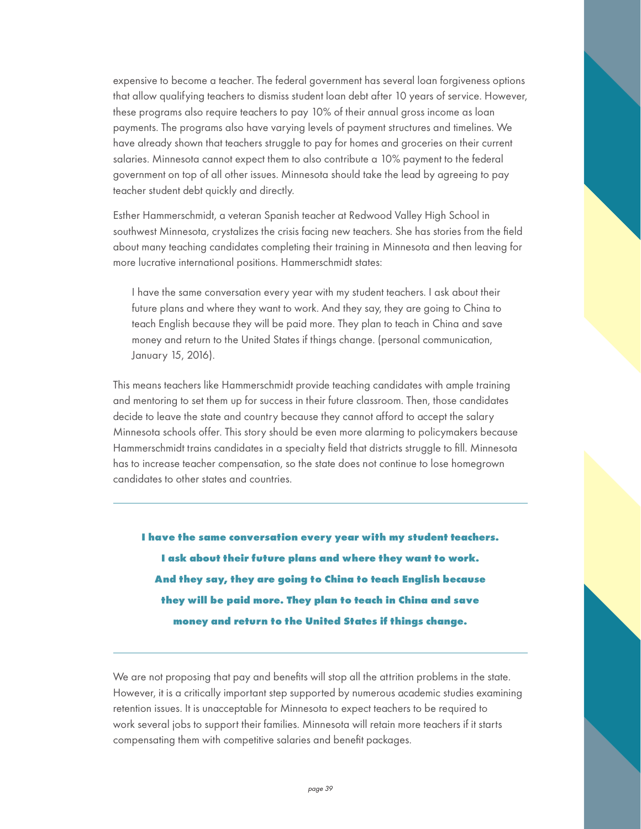expensive to become a teacher. The federal government has several loan forgiveness options that allow qualifying teachers to dismiss student loan debt after 10 years of service. However, these programs also require teachers to pay 10% of their annual gross income as loan payments. The programs also have varying levels of payment structures and timelines. We have already shown that teachers struggle to pay for homes and groceries on their current salaries. Minnesota cannot expect them to also contribute a 10% payment to the federal government on top of all other issues. Minnesota should take the lead by agreeing to pay teacher student debt quickly and directly.

Esther Hammerschmidt, a veteran Spanish teacher at Redwood Valley High School in southwest Minnesota, crystalizes the crisis facing new teachers. She has stories from the field about many teaching candidates completing their training in Minnesota and then leaving for more lucrative international positions. Hammerschmidt states:

I have the same conversation every year with my student teachers. I ask about their future plans and where they want to work. And they say, they are going to China to teach English because they will be paid more. They plan to teach in China and save money and return to the United States if things change. (personal communication, January 15, 2016).

This means teachers like Hammerschmidt provide teaching candidates with ample training and mentoring to set them up for success in their future classroom. Then, those candidates decide to leave the state and country because they cannot afford to accept the salary Minnesota schools offer. This story should be even more alarming to policymakers because Hammerschmidt trains candidates in a specialty field that districts struggle to fill. Minnesota has to increase teacher compensation, so the state does not continue to lose homegrown candidates to other states and countries.

**I have the same conversation every year with my student teachers. I ask about their future plans and where they want to work. And they say, they are going to China to teach English because they will be paid more. They plan to teach in China and save money and return to the United States if things change.**

We are not proposing that pay and benefits will stop all the attrition problems in the state. However, it is a critically important step supported by numerous academic studies examining retention issues. It is unacceptable for Minnesota to expect teachers to be required to work several jobs to support their families. Minnesota will retain more teachers if it starts compensating them with competitive salaries and benefit packages.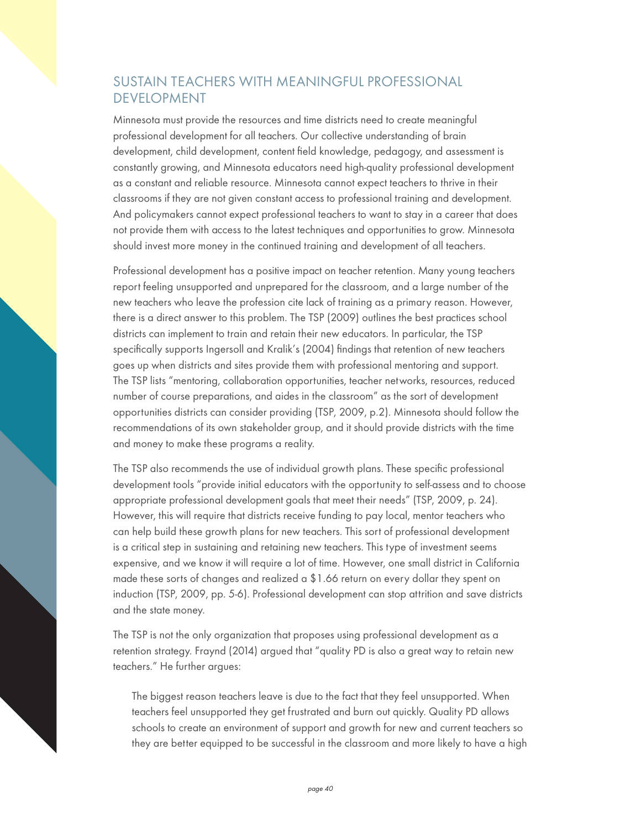## SUSTAIN TEACHERS WITH MEANINGFUL PROFESSIONAL DEVELOPMENT

Minnesota must provide the resources and time districts need to create meaningful professional development for all teachers. Our collective understanding of brain development, child development, content field knowledge, pedagogy, and assessment is constantly growing, and Minnesota educators need high-quality professional development as a constant and reliable resource. Minnesota cannot expect teachers to thrive in their classrooms if they are not given constant access to professional training and development. And policymakers cannot expect professional teachers to want to stay in a career that does not provide them with access to the latest techniques and opportunities to grow. Minnesota should invest more money in the continued training and development of all teachers.

Professional development has a positive impact on teacher retention. Many young teachers report feeling unsupported and unprepared for the classroom, and a large number of the new teachers who leave the profession cite lack of training as a primary reason. However, there is a direct answer to this problem. The TSP (2009) outlines the best practices school districts can implement to train and retain their new educators. In particular, the TSP specifically supports Ingersoll and Kralik's (2004) findings that retention of new teachers goes up when districts and sites provide them with professional mentoring and support. The TSP lists "mentoring, collaboration opportunities, teacher networks, resources, reduced number of course preparations, and aides in the classroom" as the sort of development opportunities districts can consider providing (TSP, 2009, p.2). Minnesota should follow the recommendations of its own stakeholder group, and it should provide districts with the time and money to make these programs a reality.

The TSP also recommends the use of individual growth plans. These specific professional development tools "provide initial educators with the opportunity to self-assess and to choose appropriate professional development goals that meet their needs" (TSP, 2009, p. 24). However, this will require that districts receive funding to pay local, mentor teachers who can help build these growth plans for new teachers. This sort of professional development is a critical step in sustaining and retaining new teachers. This type of investment seems expensive, and we know it will require a lot of time. However, one small district in California made these sorts of changes and realized a \$1.66 return on every dollar they spent on induction (TSP, 2009, pp. 5-6). Professional development can stop attrition and save districts and the state money.

The TSP is not the only organization that proposes using professional development as a retention strategy. Fraynd (2014) argued that "quality PD is also a great way to retain new teachers." He further argues:

The biggest reason teachers leave is due to the fact that they feel unsupported. When teachers feel unsupported they get frustrated and burn out quickly. Quality PD allows schools to create an environment of support and growth for new and current teachers so they are better equipped to be successful in the classroom and more likely to have a high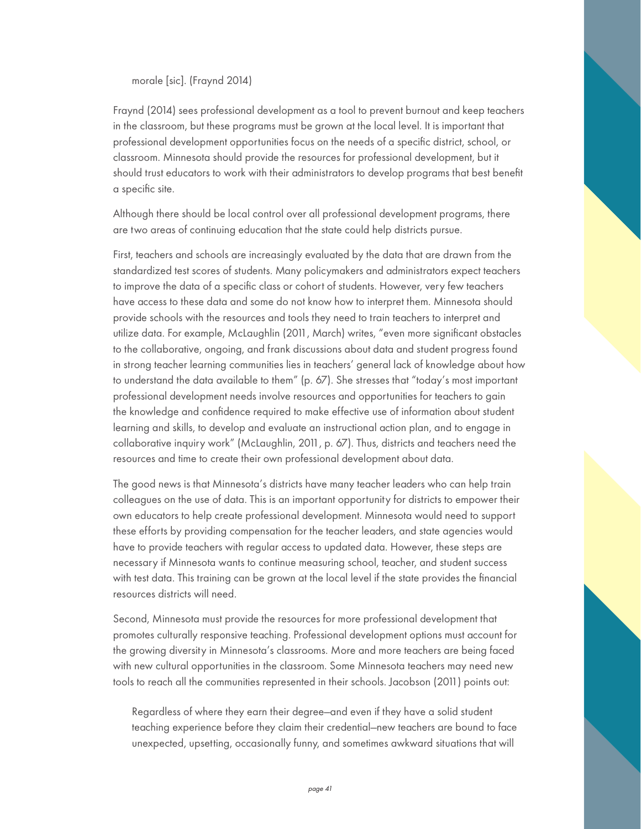morale [sic]. (Fraynd 2014)

Fraynd (2014) sees professional development as a tool to prevent burnout and keep teachers in the classroom, but these programs must be grown at the local level. It is important that professional development opportunities focus on the needs of a specific district, school, or classroom. Minnesota should provide the resources for professional development, but it should trust educators to work with their administrators to develop programs that best benefit a specific site.

Although there should be local control over all professional development programs, there are two areas of continuing education that the state could help districts pursue.

First, teachers and schools are increasingly evaluated by the data that are drawn from the standardized test scores of students. Many policymakers and administrators expect teachers to improve the data of a specific class or cohort of students. However, very few teachers have access to these data and some do not know how to interpret them. Minnesota should provide schools with the resources and tools they need to train teachers to interpret and utilize data. For example, McLaughlin (2011, March) writes, "even more significant obstacles to the collaborative, ongoing, and frank discussions about data and student progress found in strong teacher learning communities lies in teachers' general lack of knowledge about how to understand the data available to them" (p. 67). She stresses that "today's most important professional development needs involve resources and opportunities for teachers to gain the knowledge and confidence required to make effective use of information about student learning and skills, to develop and evaluate an instructional action plan, and to engage in collaborative inquiry work" (McLaughlin, 2011, p. 67). Thus, districts and teachers need the resources and time to create their own professional development about data.

The good news is that Minnesota's districts have many teacher leaders who can help train colleagues on the use of data. This is an important opportunity for districts to empower their own educators to help create professional development. Minnesota would need to support these efforts by providing compensation for the teacher leaders, and state agencies would have to provide teachers with regular access to updated data. However, these steps are necessary if Minnesota wants to continue measuring school, teacher, and student success with test data. This training can be grown at the local level if the state provides the financial resources districts will need.

Second, Minnesota must provide the resources for more professional development that promotes culturally responsive teaching. Professional development options must account for the growing diversity in Minnesota's classrooms. More and more teachers are being faced with new cultural opportunities in the classroom. Some Minnesota teachers may need new tools to reach all the communities represented in their schools. Jacobson (2011) points out:

Regardless of where they earn their degree—and even if they have a solid student teaching experience before they claim their credential—new teachers are bound to face unexpected, upsetting, occasionally funny, and sometimes awkward situations that will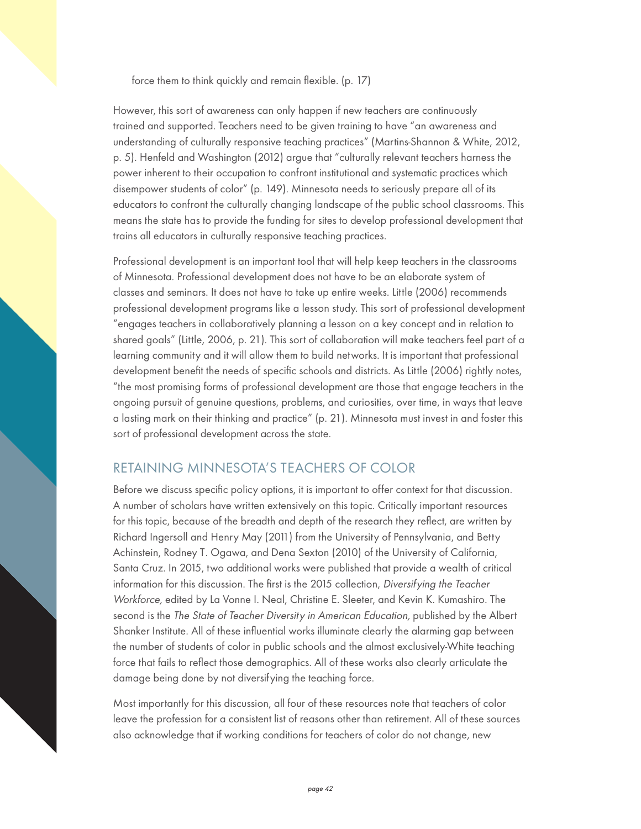force them to think quickly and remain flexible. (p. 17)

However, this sort of awareness can only happen if new teachers are continuously trained and supported. Teachers need to be given training to have "an awareness and understanding of culturally responsive teaching practices" (Martins-Shannon & White, 2012, p. 5). Henfeld and Washington (2012) argue that "culturally relevant teachers harness the power inherent to their occupation to confront institutional and systematic practices which disempower students of color" (p. 149). Minnesota needs to seriously prepare all of its educators to confront the culturally changing landscape of the public school classrooms. This means the state has to provide the funding for sites to develop professional development that trains all educators in culturally responsive teaching practices.

Professional development is an important tool that will help keep teachers in the classrooms of Minnesota. Professional development does not have to be an elaborate system of classes and seminars. It does not have to take up entire weeks. Little (2006) recommends professional development programs like a lesson study. This sort of professional development "engages teachers in collaboratively planning a lesson on a key concept and in relation to shared goals" (Little, 2006, p. 21). This sort of collaboration will make teachers feel part of a learning community and it will allow them to build networks. It is important that professional development benefit the needs of specific schools and districts. As Little (2006) rightly notes, "the most promising forms of professional development are those that engage teachers in the ongoing pursuit of genuine questions, problems, and curiosities, over time, in ways that leave a lasting mark on their thinking and practice" (p. 21). Minnesota must invest in and foster this sort of professional development across the state.

### RETAINING MINNESOTA'S TEACHERS OF COLOR

Before we discuss specific policy options, it is important to offer context for that discussion. A number of scholars have written extensively on this topic. Critically important resources for this topic, because of the breadth and depth of the research they reflect, are written by Richard Ingersoll and Henry May (2011) from the University of Pennsylvania, and Betty Achinstein, Rodney T. Ogawa, and Dena Sexton (2010) of the University of California, Santa Cruz. In 2015, two additional works were published that provide a wealth of critical information for this discussion. The first is the 2015 collection, Diversifying the Teacher Workforce, edited by La Vonne I. Neal, Christine E. Sleeter, and Kevin K. Kumashiro. The second is the The State of Teacher Diversity in American Education, published by the Albert Shanker Institute. All of these influential works illuminate clearly the alarming gap between the number of students of color in public schools and the almost exclusively-White teaching force that fails to reflect those demographics. All of these works also clearly articulate the damage being done by not diversifying the teaching force.

Most importantly for this discussion, all four of these resources note that teachers of color leave the profession for a consistent list of reasons other than retirement. All of these sources also acknowledge that if working conditions for teachers of color do not change, new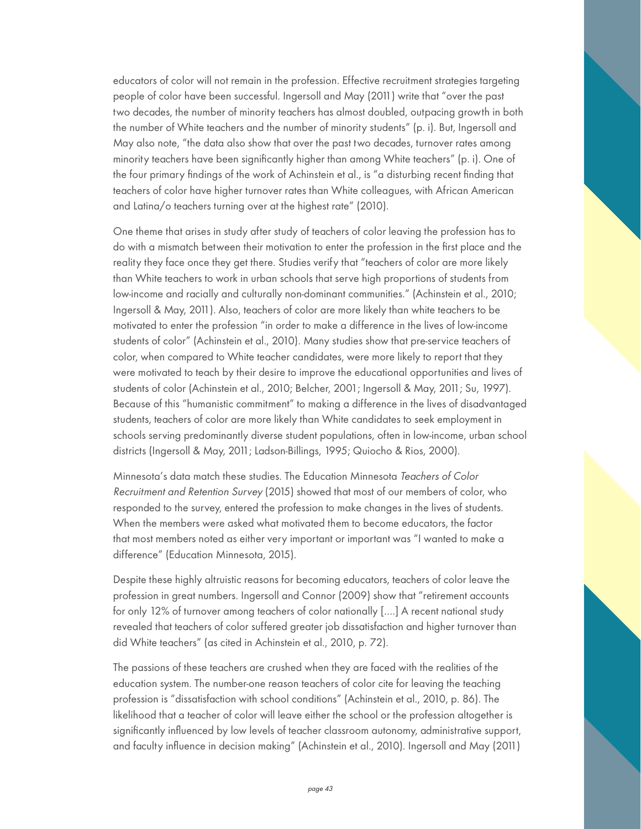educators of color will not remain in the profession. Effective recruitment strategies targeting people of color have been successful. Ingersoll and May (2011) write that "over the past two decades, the number of minority teachers has almost doubled, outpacing growth in both the number of White teachers and the number of minority students" (p. i). But, Ingersoll and May also note, "the data also show that over the past two decades, turnover rates among minority teachers have been significantly higher than among White teachers" (p. i). One of the four primary findings of the work of Achinstein et al., is "a disturbing recent finding that teachers of color have higher turnover rates than White colleagues, with African American and Latina/o teachers turning over at the highest rate" (2010).

One theme that arises in study after study of teachers of color leaving the profession has to do with a mismatch between their motivation to enter the profession in the first place and the reality they face once they get there. Studies verify that "teachers of color are more likely than White teachers to work in urban schools that serve high proportions of students from low-income and racially and culturally non-dominant communities." (Achinstein et al., 2010; Ingersoll & May, 2011). Also, teachers of color are more likely than white teachers to be motivated to enter the profession "in order to make a difference in the lives of low-income students of color" (Achinstein et al., 2010). Many studies show that pre-service teachers of color, when compared to White teacher candidates, were more likely to report that they were motivated to teach by their desire to improve the educational opportunities and lives of students of color (Achinstein et al., 2010; Belcher, 2001; Ingersoll & May, 2011; Su, 1997). Because of this "humanistic commitment" to making a difference in the lives of disadvantaged students, teachers of color are more likely than White candidates to seek employment in schools serving predominantly diverse student populations, often in low-income, urban school districts (Ingersoll & May, 2011; Ladson-Billings, 1995; Quiocho & Rios, 2000).

Minnesota's data match these studies. The Education Minnesota Teachers of Color Recruitment and Retention Survey (2015) showed that most of our members of color, who responded to the survey, entered the profession to make changes in the lives of students. When the members were asked what motivated them to become educators, the factor that most members noted as either very important or important was "I wanted to make a difference" (Education Minnesota, 2015).

Despite these highly altruistic reasons for becoming educators, teachers of color leave the profession in great numbers. Ingersoll and Connor (2009) show that "retirement accounts for only 12% of turnover among teachers of color nationally [….] A recent national study revealed that teachers of color suffered greater job dissatisfaction and higher turnover than did White teachers" (as cited in Achinstein et al., 2010, p. 72).

The passions of these teachers are crushed when they are faced with the realities of the education system. The number-one reason teachers of color cite for leaving the teaching profession is "dissatisfaction with school conditions" (Achinstein et al., 2010, p. 86). The likelihood that a teacher of color will leave either the school or the profession altogether is significantly influenced by low levels of teacher classroom autonomy, administrative support, and faculty influence in decision making" (Achinstein et al., 2010). Ingersoll and May (2011)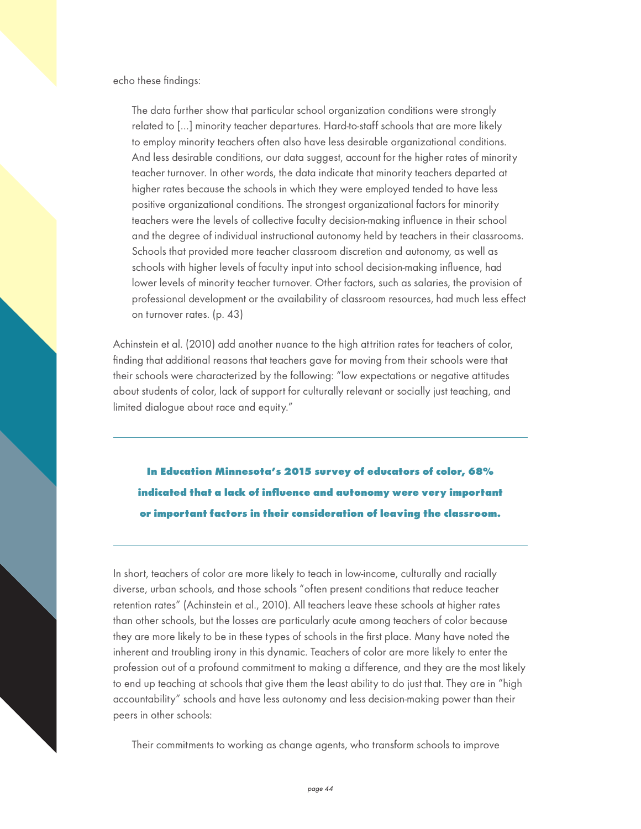echo these findings:

The data further show that particular school organization conditions were strongly related to […] minority teacher departures. Hard-to-staff schools that are more likely to employ minority teachers often also have less desirable organizational conditions. And less desirable conditions, our data suggest, account for the higher rates of minority teacher turnover. In other words, the data indicate that minority teachers departed at higher rates because the schools in which they were employed tended to have less positive organizational conditions. The strongest organizational factors for minority teachers were the levels of collective faculty decision-making influence in their school and the degree of individual instructional autonomy held by teachers in their classrooms. Schools that provided more teacher classroom discretion and autonomy, as well as schools with higher levels of faculty input into school decision-making influence, had lower levels of minority teacher turnover. Other factors, such as salaries, the provision of professional development or the availability of classroom resources, had much less effect on turnover rates. (p. 43)

Achinstein et al. (2010) add another nuance to the high attrition rates for teachers of color, finding that additional reasons that teachers gave for moving from their schools were that their schools were characterized by the following: "low expectations or negative attitudes about students of color, lack of support for culturally relevant or socially just teaching, and limited dialogue about race and equity."

**In Education Minnesota's 2015 survey of educators of color, 68% indicated that a lack of influence and autonomy were very important or important factors in their consideration of leaving the classroom.**

In short, teachers of color are more likely to teach in low-income, culturally and racially diverse, urban schools, and those schools "often present conditions that reduce teacher retention rates" (Achinstein et al., 2010). All teachers leave these schools at higher rates than other schools, but the losses are particularly acute among teachers of color because they are more likely to be in these types of schools in the first place. Many have noted the inherent and troubling irony in this dynamic. Teachers of color are more likely to enter the profession out of a profound commitment to making a difference, and they are the most likely to end up teaching at schools that give them the least ability to do just that. They are in "high accountability" schools and have less autonomy and less decision-making power than their peers in other schools:

Their commitments to working as change agents, who transform schools to improve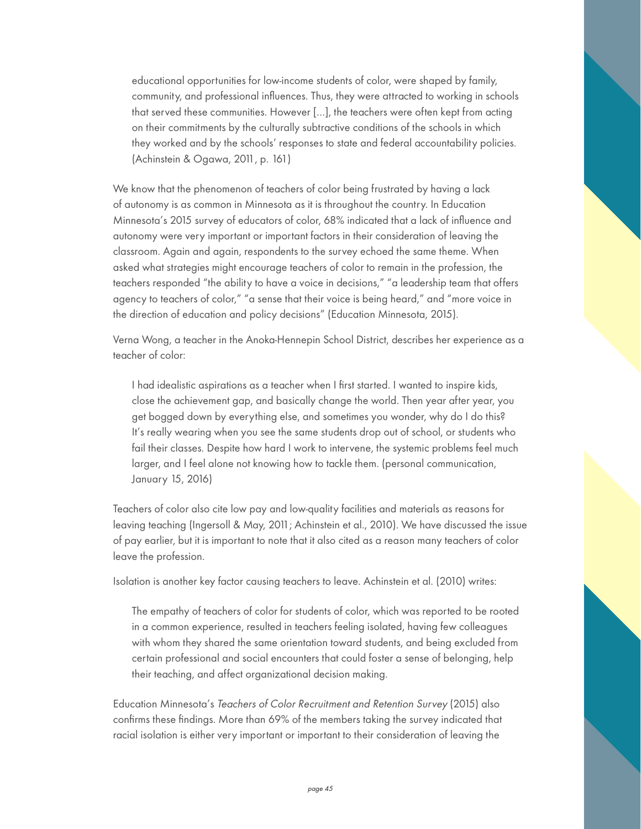educational opportunities for low-income students of color, were shaped by family, community, and professional influences. Thus, they were attracted to working in schools that served these communities. However […], the teachers were often kept from acting on their commitments by the culturally subtractive conditions of the schools in which they worked and by the schools' responses to state and federal accountability policies. (Achinstein & Ogawa, 2011, p. 161)

We know that the phenomenon of teachers of color being frustrated by having a lack of autonomy is as common in Minnesota as it is throughout the country. In Education Minnesota's 2015 survey of educators of color, 68% indicated that a lack of influence and autonomy were very important or important factors in their consideration of leaving the classroom. Again and again, respondents to the survey echoed the same theme. When asked what strategies might encourage teachers of color to remain in the profession, the teachers responded "the ability to have a voice in decisions," "a leadership team that offers agency to teachers of color," "a sense that their voice is being heard," and "more voice in the direction of education and policy decisions" (Education Minnesota, 2015).

Verna Wong, a teacher in the Anoka-Hennepin School District, describes her experience as a teacher of color:

I had idealistic aspirations as a teacher when I first started. I wanted to inspire kids, close the achievement gap, and basically change the world. Then year after year, you get bogged down by everything else, and sometimes you wonder, why do I do this? It's really wearing when you see the same students drop out of school, or students who fail their classes. Despite how hard I work to intervene, the systemic problems feel much larger, and I feel alone not knowing how to tackle them. (personal communication, January 15, 2016)

Teachers of color also cite low pay and low-quality facilities and materials as reasons for leaving teaching (Ingersoll & May, 2011; Achinstein et al., 2010). We have discussed the issue of pay earlier, but it is important to note that it also cited as a reason many teachers of color leave the profession.

Isolation is another key factor causing teachers to leave. Achinstein et al. (2010) writes:

The empathy of teachers of color for students of color, which was reported to be rooted in a common experience, resulted in teachers feeling isolated, having few colleagues with whom they shared the same orientation toward students, and being excluded from certain professional and social encounters that could foster a sense of belonging, help their teaching, and affect organizational decision making.

Education Minnesota's Teachers of Color Recruitment and Retention Survey (2015) also confirms these findings. More than 69% of the members taking the survey indicated that racial isolation is either very important or important to their consideration of leaving the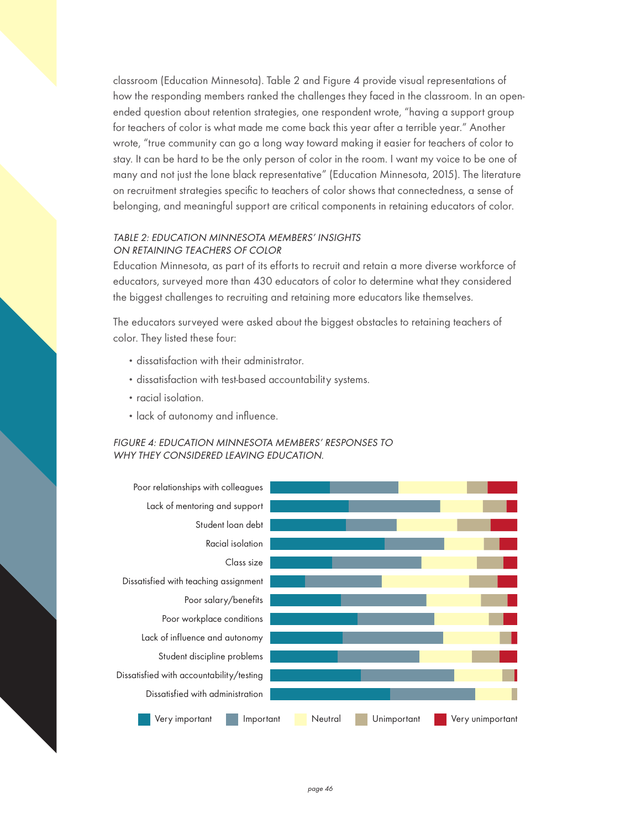classroom (Education Minnesota). Table 2 and Figure 4 provide visual representations of how the responding members ranked the challenges they faced in the classroom. In an openended question about retention strategies, one respondent wrote, "having a support group for teachers of color is what made me come back this year after a terrible year." Another wrote, "true community can go a long way toward making it easier for teachers of color to stay. It can be hard to be the only person of color in the room. I want my voice to be one of many and not just the lone black representative" (Education Minnesota, 2015). The literature on recruitment strategies specific to teachers of color shows that connectedness, a sense of belonging, and meaningful support are critical components in retaining educators of color.

#### TABLE 2: EDUCATION MINNESOTA MEMBERS' INSIGHTS ON RETAINING TEACHERS OF COLOR

Education Minnesota, as part of its efforts to recruit and retain a more diverse workforce of educators, surveyed more than 430 educators of color to determine what they considered the biggest challenges to recruiting and retaining more educators like themselves.

The educators surveyed were asked about the biggest obstacles to retaining teachers of color. They listed these four:

- •dissatisfaction with their administrator.
- •dissatisfaction with test-based accountability systems.
- racial isolation.
- •lack of autonomy and influence.

#### FIGURE 4: EDUCATION MINNESOTA MEMBERS' RESPONSES TO WHY THEY CONSIDERED LEAVING EDUCATION.

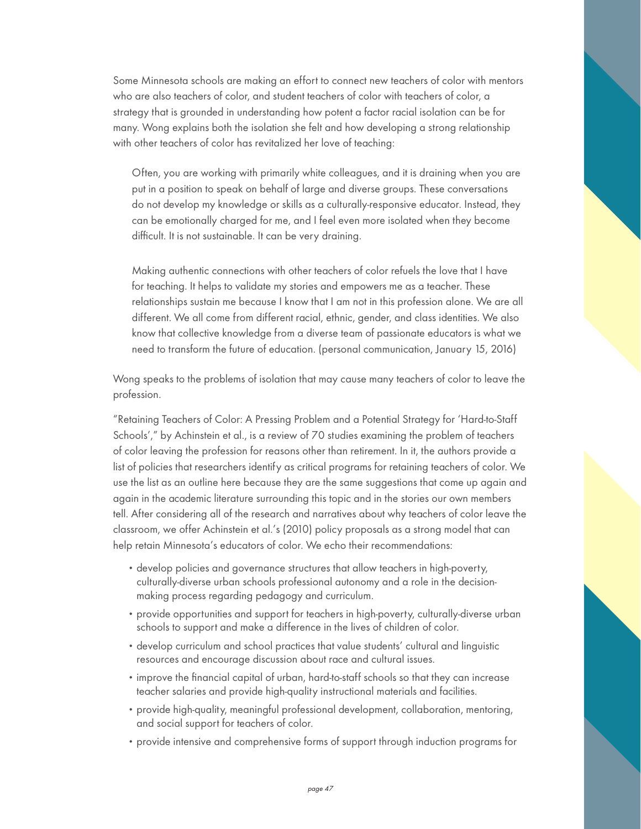Some Minnesota schools are making an effort to connect new teachers of color with mentors who are also teachers of color, and student teachers of color with teachers of color, a strategy that is grounded in understanding how potent a factor racial isolation can be for many. Wong explains both the isolation she felt and how developing a strong relationship with other teachers of color has revitalized her love of teaching:

Often, you are working with primarily white colleagues, and it is draining when you are put in a position to speak on behalf of large and diverse groups. These conversations do not develop my knowledge or skills as a culturally-responsive educator. Instead, they can be emotionally charged for me, and I feel even more isolated when they become difficult. It is not sustainable. It can be very draining.

Making authentic connections with other teachers of color refuels the love that I have for teaching. It helps to validate my stories and empowers me as a teacher. These relationships sustain me because I know that I am not in this profession alone. We are all different. We all come from different racial, ethnic, gender, and class identities. We also know that collective knowledge from a diverse team of passionate educators is what we need to transform the future of education. (personal communication, January 15, 2016)

Wong speaks to the problems of isolation that may cause many teachers of color to leave the profession.

"Retaining Teachers of Color: A Pressing Problem and a Potential Strategy for 'Hard-to-Staff Schools'," by Achinstein et al., is a review of 70 studies examining the problem of teachers of color leaving the profession for reasons other than retirement. In it, the authors provide a list of policies that researchers identify as critical programs for retaining teachers of color. We use the list as an outline here because they are the same suggestions that come up again and again in the academic literature surrounding this topic and in the stories our own members tell. After considering all of the research and narratives about why teachers of color leave the classroom, we offer Achinstein et al.'s (2010) policy proposals as a strong model that can help retain Minnesota's educators of color. We echo their recommendations:

- •develop policies and governance structures that allow teachers in high-poverty, culturally-diverse urban schools professional autonomy and a role in the decisionmaking process regarding pedagogy and curriculum.
- •provide opportunities and support for teachers in high-poverty, culturally-diverse urban schools to support and make a difference in the lives of children of color.
- •develop curriculum and school practices that value students' cultural and linguistic resources and encourage discussion about race and cultural issues.
- •improve the financial capital of urban, hard-to-staff schools so that they can increase teacher salaries and provide high-quality instructional materials and facilities.
- •provide high-quality, meaningful professional development, collaboration, mentoring, and social support for teachers of color.
- •provide intensive and comprehensive forms of support through induction programs for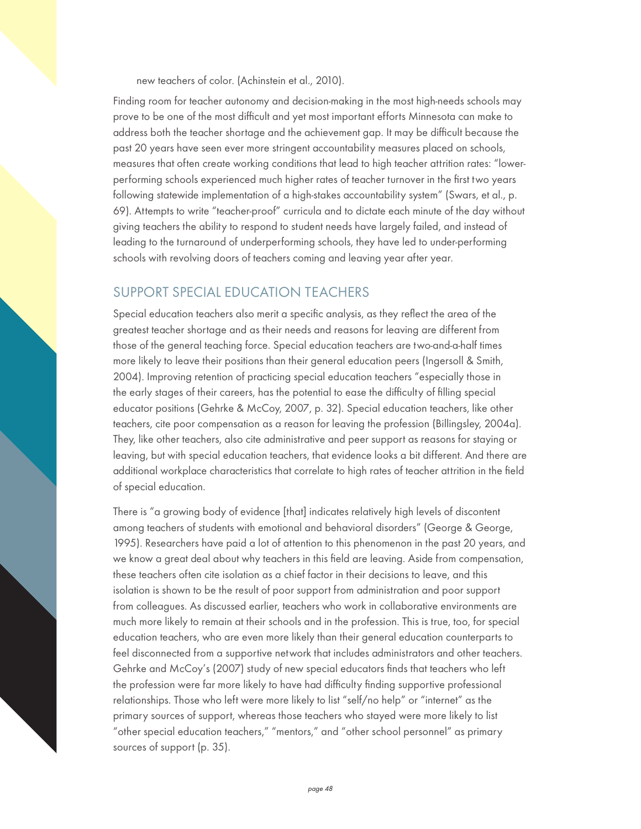new teachers of color. (Achinstein et al., 2010).

Finding room for teacher autonomy and decision-making in the most high-needs schools may prove to be one of the most difficult and yet most important efforts Minnesota can make to address both the teacher shortage and the achievement gap. It may be difficult because the past 20 years have seen ever more stringent accountability measures placed on schools, measures that often create working conditions that lead to high teacher attrition rates: "lowerperforming schools experienced much higher rates of teacher turnover in the first two years following statewide implementation of a high-stakes accountability system" (Swars, et al., p. 69). Attempts to write "teacher-proof" curricula and to dictate each minute of the day without giving teachers the ability to respond to student needs have largely failed, and instead of leading to the turnaround of underperforming schools, they have led to under-performing schools with revolving doors of teachers coming and leaving year after year.

## SUPPORT SPECIAL EDUCATION TEACHERS

Special education teachers also merit a specific analysis, as they reflect the area of the greatest teacher shortage and as their needs and reasons for leaving are different from those of the general teaching force. Special education teachers are two-and-a-half times more likely to leave their positions than their general education peers (Ingersoll & Smith, 2004). Improving retention of practicing special education teachers "especially those in the early stages of their careers, has the potential to ease the difficulty of filling special educator positions (Gehrke & McCoy, 2007, p. 32). Special education teachers, like other teachers, cite poor compensation as a reason for leaving the profession (Billingsley, 2004a). They, like other teachers, also cite administrative and peer support as reasons for staying or leaving, but with special education teachers, that evidence looks a bit different. And there are additional workplace characteristics that correlate to high rates of teacher attrition in the field of special education.

There is "a growing body of evidence [that] indicates relatively high levels of discontent among teachers of students with emotional and behavioral disorders" (George & George, 1995). Researchers have paid a lot of attention to this phenomenon in the past 20 years, and we know a great deal about why teachers in this field are leaving. Aside from compensation, these teachers often cite isolation as a chief factor in their decisions to leave, and this isolation is shown to be the result of poor support from administration and poor support from colleagues. As discussed earlier, teachers who work in collaborative environments are much more likely to remain at their schools and in the profession. This is true, too, for special education teachers, who are even more likely than their general education counterparts to feel disconnected from a supportive network that includes administrators and other teachers. Gehrke and McCoy's (2007) study of new special educators finds that teachers who left the profession were far more likely to have had difficulty finding supportive professional relationships. Those who left were more likely to list "self/no help" or "internet" as the primary sources of support, whereas those teachers who stayed were more likely to list "other special education teachers," "mentors," and "other school personnel" as primary sources of support (p. 35).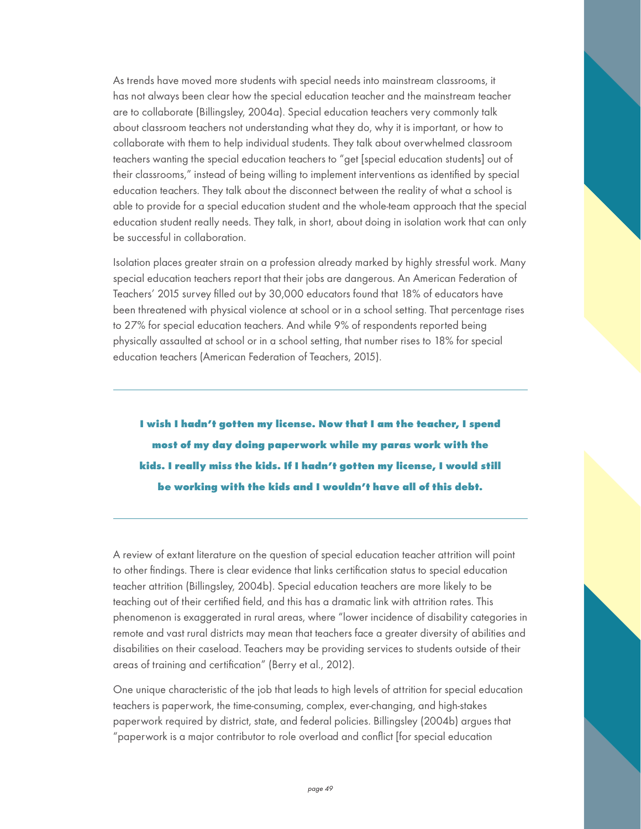As trends have moved more students with special needs into mainstream classrooms, it has not always been clear how the special education teacher and the mainstream teacher are to collaborate (Billingsley, 2004a). Special education teachers very commonly talk about classroom teachers not understanding what they do, why it is important, or how to collaborate with them to help individual students. They talk about overwhelmed classroom teachers wanting the special education teachers to "get [special education students] out of their classrooms," instead of being willing to implement interventions as identified by special education teachers. They talk about the disconnect between the reality of what a school is able to provide for a special education student and the whole-team approach that the special education student really needs. They talk, in short, about doing in isolation work that can only be successful in collaboration.

Isolation places greater strain on a profession already marked by highly stressful work. Many special education teachers report that their jobs are dangerous. An American Federation of Teachers' 2015 survey filled out by 30,000 educators found that 18% of educators have been threatened with physical violence at school or in a school setting. That percentage rises to 27% for special education teachers. And while 9% of respondents reported being physically assaulted at school or in a school setting, that number rises to 18% for special education teachers (American Federation of Teachers, 2015).

**I wish I hadn't gotten my license. Now that I am the teacher, I spend most of my day doing paperwork while my paras work with the kids. I really miss the kids. If I hadn't gotten my license, I would still be working with the kids and I wouldn't have all of this debt.**

A review of extant literature on the question of special education teacher attrition will point to other findings. There is clear evidence that links certification status to special education teacher attrition (Billingsley, 2004b). Special education teachers are more likely to be teaching out of their certified field, and this has a dramatic link with attrition rates. This phenomenon is exaggerated in rural areas, where "lower incidence of disability categories in remote and vast rural districts may mean that teachers face a greater diversity of abilities and disabilities on their caseload. Teachers may be providing services to students outside of their areas of training and certification" (Berry et al., 2012).

One unique characteristic of the job that leads to high levels of attrition for special education teachers is paperwork, the time-consuming, complex, ever-changing, and high-stakes paperwork required by district, state, and federal policies. Billingsley (2004b) argues that "paperwork is a major contributor to role overload and conflict [for special education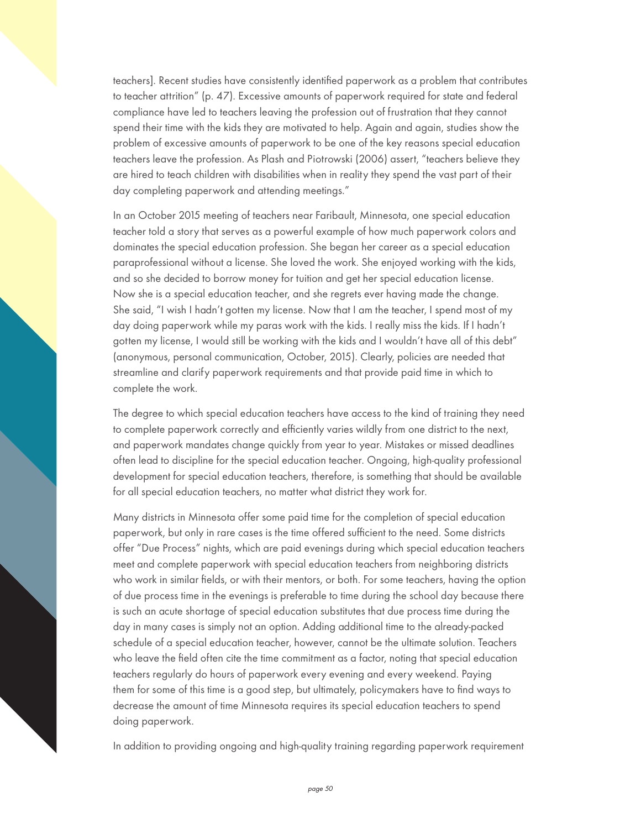teachers]. Recent studies have consistently identified paperwork as a problem that contributes to teacher attrition" (p. 47). Excessive amounts of paperwork required for state and federal compliance have led to teachers leaving the profession out of frustration that they cannot spend their time with the kids they are motivated to help. Again and again, studies show the problem of excessive amounts of paperwork to be one of the key reasons special education teachers leave the profession. As Plash and Piotrowski (2006) assert, "teachers believe they are hired to teach children with disabilities when in reality they spend the vast part of their day completing paperwork and attending meetings."

In an October 2015 meeting of teachers near Faribault, Minnesota, one special education teacher told a story that serves as a powerful example of how much paperwork colors and dominates the special education profession. She began her career as a special education paraprofessional without a license. She loved the work. She enjoyed working with the kids, and so she decided to borrow money for tuition and get her special education license. Now she is a special education teacher, and she regrets ever having made the change. She said, "I wish I hadn't gotten my license. Now that I am the teacher, I spend most of my day doing paperwork while my paras work with the kids. I really miss the kids. If I hadn't gotten my license, I would still be working with the kids and I wouldn't have all of this debt" (anonymous, personal communication, October, 2015). Clearly, policies are needed that streamline and clarify paperwork requirements and that provide paid time in which to complete the work.

The degree to which special education teachers have access to the kind of training they need to complete paperwork correctly and efficiently varies wildly from one district to the next, and paperwork mandates change quickly from year to year. Mistakes or missed deadlines often lead to discipline for the special education teacher. Ongoing, high-quality professional development for special education teachers, therefore, is something that should be available for all special education teachers, no matter what district they work for.

Many districts in Minnesota offer some paid time for the completion of special education paperwork, but only in rare cases is the time offered sufficient to the need. Some districts offer "Due Process" nights, which are paid evenings during which special education teachers meet and complete paperwork with special education teachers from neighboring districts who work in similar fields, or with their mentors, or both. For some teachers, having the option of due process time in the evenings is preferable to time during the school day because there is such an acute shortage of special education substitutes that due process time during the day in many cases is simply not an option. Adding additional time to the already-packed schedule of a special education teacher, however, cannot be the ultimate solution. Teachers who leave the field often cite the time commitment as a factor, noting that special education teachers regularly do hours of paperwork every evening and every weekend. Paying them for some of this time is a good step, but ultimately, policymakers have to find ways to decrease the amount of time Minnesota requires its special education teachers to spend doing paperwork.

In addition to providing ongoing and high-quality training regarding paperwork requirement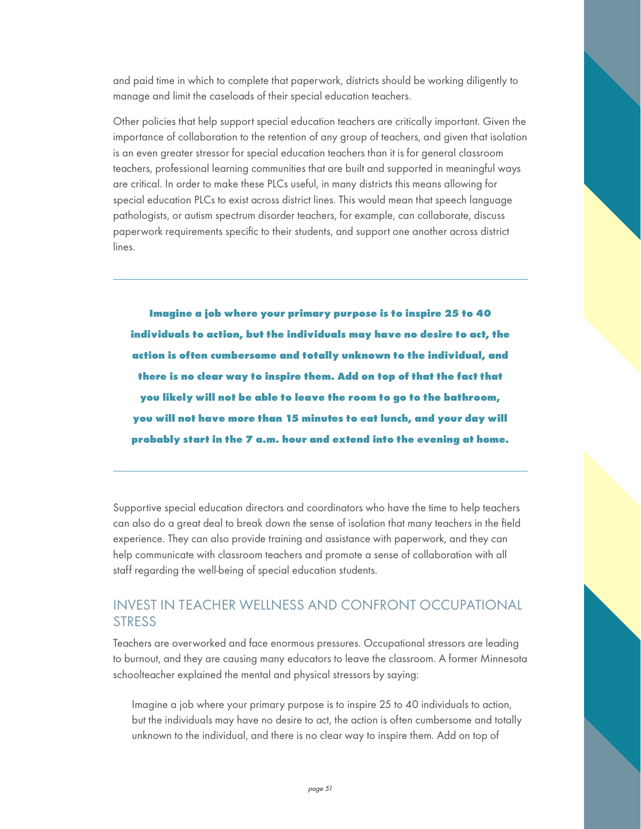and paid time in which to complete that paperwork, districts should be working diligently to manage and limit the caseloads of their special education teachers.

Other policies that help support special education teachers are critically important. Given the importance of collaboration to the retention of any group of teachers, and given that isolation is an even greater stressor for special education teachers than it is for general classroom teachers, professional learning communities that are built and supported in meaningful ways are critical. In order to make these PLCs useful, in many districts this means allowing for special education PLCs to exist across district lines. This would mean that speech language pathologists, or autism spectrum disorder teachers, for example, can collaborate, discuss paperwork requirements specific to their students, and support one another across district lines.

**Imagine a job where your primary purpose is to inspire 25 to 40 individuals to action, but the individuals may have no desire to act, the action is often cumbersome and totally unknown to the individual, and there is no clear way to inspire them. Add on top of that the fact that you likely will not be able to leave the room to go to the bathroom, you will not have more than 15 minutes to eat lunch, and your day will probably start in the 7 a.m. hour and extend into the evening at home.**

Supportive special education directors and coordinators who have the time to help teachers can also do a great deal to break down the sense of isolation that many teachers in the field experience. They can also provide training and assistance with paperwork, and they can help communicate with classroom teachers and promote a sense of collaboration with all staff regarding the well-being of special education students.

## INVEST IN TEACHER WELLNESS AND CONFRONT OCCUPATIONAL **STRESS**

Teachers are overworked and face enormous pressures. Occupational stressors are leading to burnout, and they are causing many educators to leave the classroom. A former Minnesota schoolteacher explained the mental and physical stressors by saying:

Imagine a job where your primary purpose is to inspire 25 to 40 individuals to action, but the individuals may have no desire to act, the action is often cumbersome and totally unknown to the individual, and there is no clear way to inspire them. Add on top of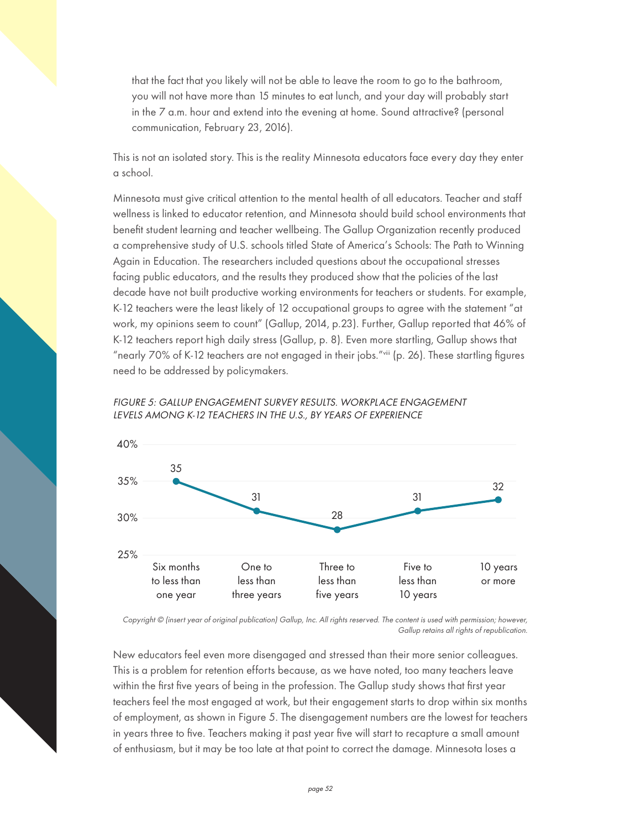that the fact that you likely will not be able to leave the room to go to the bathroom, you will not have more than 15 minutes to eat lunch, and your day will probably start in the 7 a.m. hour and extend into the evening at home. Sound attractive? (personal communication, February 23, 2016).

This is not an isolated story. This is the reality Minnesota educators face every day they enter a school.

Minnesota must give critical attention to the mental health of all educators. Teacher and staff wellness is linked to educator retention, and Minnesota should build school environments that benefit student learning and teacher wellbeing. The Gallup Organization recently produced a comprehensive study of U.S. schools titled State of America's Schools: The Path to Winning Again in Education. The researchers included questions about the occupational stresses facing public educators, and the results they produced show that the policies of the last decade have not built productive working environments for teachers or students. For example, K-12 teachers were the least likely of 12 occupational groups to agree with the statement "at work, my opinions seem to count" (Gallup, 2014, p.23). Further, Gallup reported that 46% of K-12 teachers report high daily stress (Gallup, p. 8). Even more startling, Gallup shows that "nearly 70% of K-12 teachers are not engaged in their jobs."viii (p. 26). These startling figures need to be addressed by policymakers.



#### FIGURE 5: GALLUP ENGAGEMENT SURVEY RESULTS. WORKPLACE ENGAGEMENT LEVELS AMONG K-12 TEACHERS IN THE U.S., BY YEARS OF EXPERIENCE

Copyright © (insert year of original publication) Gallup, Inc. All rights reserved. The content is used with permission; however, Gallup retains all rights of republication.

New educators feel even more disengaged and stressed than their more senior colleagues. This is a problem for retention efforts because, as we have noted, too many teachers leave within the first five years of being in the profession. The Gallup study shows that first year teachers feel the most engaged at work, but their engagement starts to drop within six months of employment, as shown in Figure 5. The disengagement numbers are the lowest for teachers in years three to five. Teachers making it past year five will start to recapture a small amount of enthusiasm, but it may be too late at that point to correct the damage. Minnesota loses a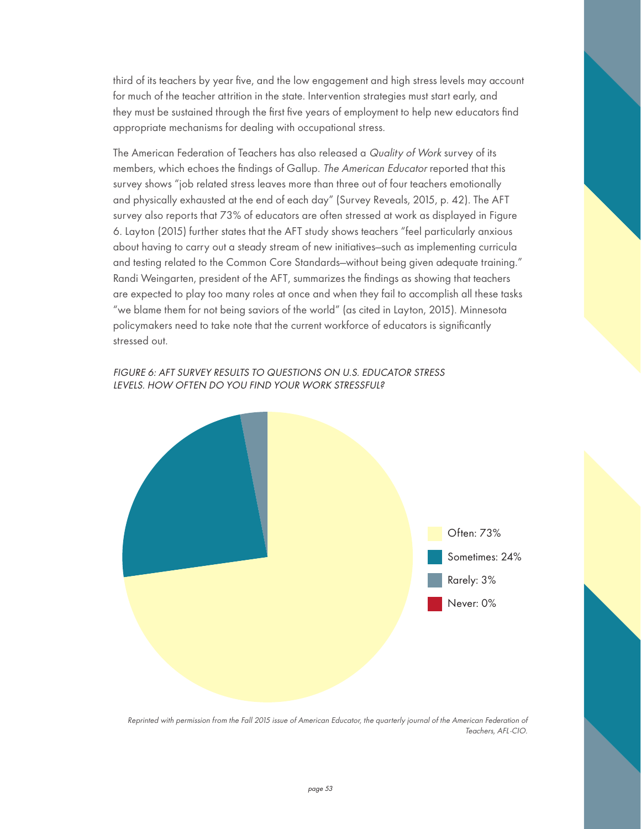third of its teachers by year five, and the low engagement and high stress levels may account for much of the teacher attrition in the state. Intervention strategies must start early, and they must be sustained through the first five years of employment to help new educators find appropriate mechanisms for dealing with occupational stress.

The American Federation of Teachers has also released a Quality of Work survey of its members, which echoes the findings of Gallup. The American Educator reported that this survey shows "job related stress leaves more than three out of four teachers emotionally and physically exhausted at the end of each day" (Survey Reveals, 2015, p. 42). The AFT survey also reports that 73% of educators are often stressed at work as displayed in Figure 6. Layton (2015) further states that the AFT study shows teachers "feel particularly anxious about having to carry out a steady stream of new initiatives—such as implementing curricula and testing related to the Common Core Standards—without being given adequate training." Randi Weingarten, president of the AFT, summarizes the findings as showing that teachers are expected to play too many roles at once and when they fail to accomplish all these tasks "we blame them for not being saviors of the world" (as cited in Layton, 2015). Minnesota policymakers need to take note that the current workforce of educators is significantly stressed out.

#### FIGURE 6: AFT SURVEY RESULTS TO QUESTIONS ON U.S. EDUCATOR STRESS LEVELS. HOW OFTEN DO YOU FIND YOUR WORK STRESSFUL?



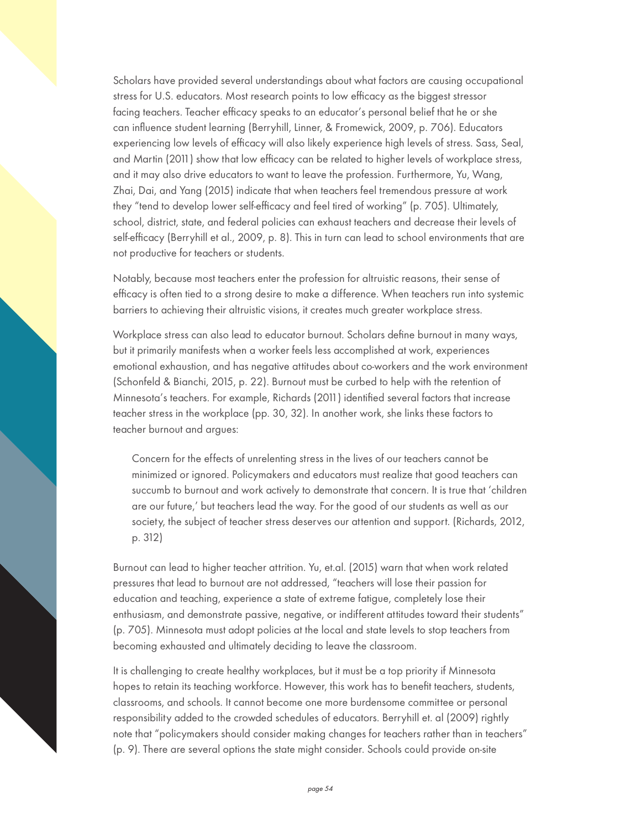Scholars have provided several understandings about what factors are causing occupational stress for U.S. educators. Most research points to low efficacy as the biggest stressor facing teachers. Teacher efficacy speaks to an educator's personal belief that he or she can influence student learning (Berryhill, Linner, & Fromewick, 2009, p. 706). Educators experiencing low levels of efficacy will also likely experience high levels of stress. Sass, Seal, and Martin (2011) show that low efficacy can be related to higher levels of workplace stress, and it may also drive educators to want to leave the profession. Furthermore, Yu, Wang, Zhai, Dai, and Yang (2015) indicate that when teachers feel tremendous pressure at work they "tend to develop lower self-efficacy and feel tired of working" (p. 705). Ultimately, school, district, state, and federal policies can exhaust teachers and decrease their levels of self-efficacy (Berryhill et al., 2009, p. 8). This in turn can lead to school environments that are not productive for teachers or students.

Notably, because most teachers enter the profession for altruistic reasons, their sense of efficacy is often tied to a strong desire to make a difference. When teachers run into systemic barriers to achieving their altruistic visions, it creates much greater workplace stress.

Workplace stress can also lead to educator burnout. Scholars define burnout in many ways, but it primarily manifests when a worker feels less accomplished at work, experiences emotional exhaustion, and has negative attitudes about co-workers and the work environment (Schonfeld & Bianchi, 2015, p. 22). Burnout must be curbed to help with the retention of Minnesota's teachers. For example, Richards (2011) identified several factors that increase teacher stress in the workplace (pp. 30, 32). In another work, she links these factors to teacher burnout and argues:

Concern for the effects of unrelenting stress in the lives of our teachers cannot be minimized or ignored. Policymakers and educators must realize that good teachers can succumb to burnout and work actively to demonstrate that concern. It is true that 'children are our future,' but teachers lead the way. For the good of our students as well as our society, the subject of teacher stress deserves our attention and support. (Richards, 2012, p. 312)

Burnout can lead to higher teacher attrition. Yu, et.al. (2015) warn that when work related pressures that lead to burnout are not addressed, "teachers will lose their passion for education and teaching, experience a state of extreme fatigue, completely lose their enthusiasm, and demonstrate passive, negative, or indifferent attitudes toward their students" (p. 705). Minnesota must adopt policies at the local and state levels to stop teachers from becoming exhausted and ultimately deciding to leave the classroom.

It is challenging to create healthy workplaces, but it must be a top priority if Minnesota hopes to retain its teaching workforce. However, this work has to benefit teachers, students, classrooms, and schools. It cannot become one more burdensome committee or personal responsibility added to the crowded schedules of educators. Berryhill et. al (2009) rightly note that "policymakers should consider making changes for teachers rather than in teachers" (p. 9). There are several options the state might consider. Schools could provide on-site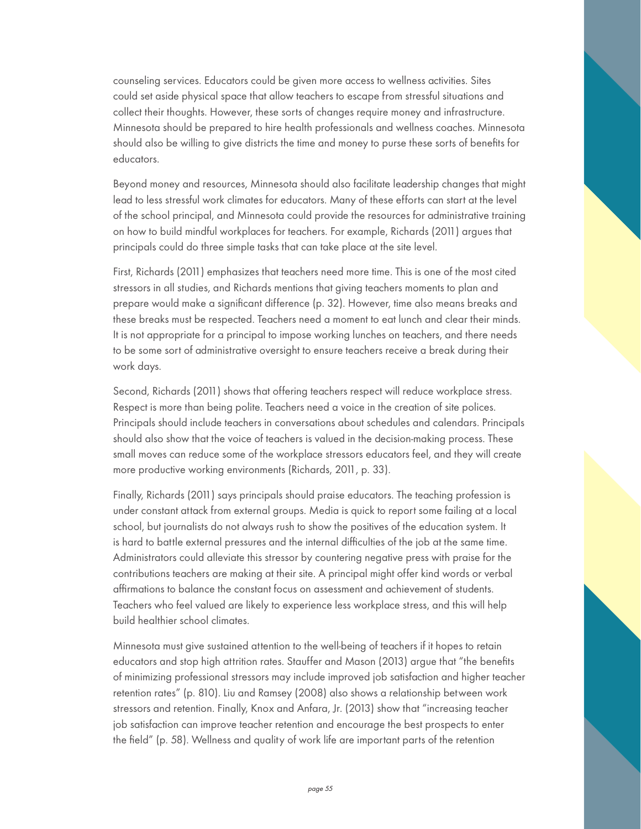counseling services. Educators could be given more access to wellness activities. Sites could set aside physical space that allow teachers to escape from stressful situations and collect their thoughts. However, these sorts of changes require money and infrastructure. Minnesota should be prepared to hire health professionals and wellness coaches. Minnesota should also be willing to give districts the time and money to purse these sorts of benefits for educators.

Beyond money and resources, Minnesota should also facilitate leadership changes that might lead to less stressful work climates for educators. Many of these efforts can start at the level of the school principal, and Minnesota could provide the resources for administrative training on how to build mindful workplaces for teachers. For example, Richards (2011) argues that principals could do three simple tasks that can take place at the site level.

First, Richards (2011) emphasizes that teachers need more time. This is one of the most cited stressors in all studies, and Richards mentions that giving teachers moments to plan and prepare would make a significant difference (p. 32). However, time also means breaks and these breaks must be respected. Teachers need a moment to eat lunch and clear their minds. It is not appropriate for a principal to impose working lunches on teachers, and there needs to be some sort of administrative oversight to ensure teachers receive a break during their work days.

Second, Richards (2011) shows that offering teachers respect will reduce workplace stress. Respect is more than being polite. Teachers need a voice in the creation of site polices. Principals should include teachers in conversations about schedules and calendars. Principals should also show that the voice of teachers is valued in the decision-making process. These small moves can reduce some of the workplace stressors educators feel, and they will create more productive working environments (Richards, 2011, p. 33).

Finally, Richards (2011) says principals should praise educators. The teaching profession is under constant attack from external groups. Media is quick to report some failing at a local school, but journalists do not always rush to show the positives of the education system. It is hard to battle external pressures and the internal difficulties of the job at the same time. Administrators could alleviate this stressor by countering negative press with praise for the contributions teachers are making at their site. A principal might offer kind words or verbal affirmations to balance the constant focus on assessment and achievement of students. Teachers who feel valued are likely to experience less workplace stress, and this will help build healthier school climates.

Minnesota must give sustained attention to the well-being of teachers if it hopes to retain educators and stop high attrition rates. Stauffer and Mason (2013) argue that "the benefits of minimizing professional stressors may include improved job satisfaction and higher teacher retention rates" (p. 810). Liu and Ramsey (2008) also shows a relationship between work stressors and retention. Finally, Knox and Anfara, Jr. (2013) show that "increasing teacher job satisfaction can improve teacher retention and encourage the best prospects to enter the field" (p. 58). Wellness and quality of work life are important parts of the retention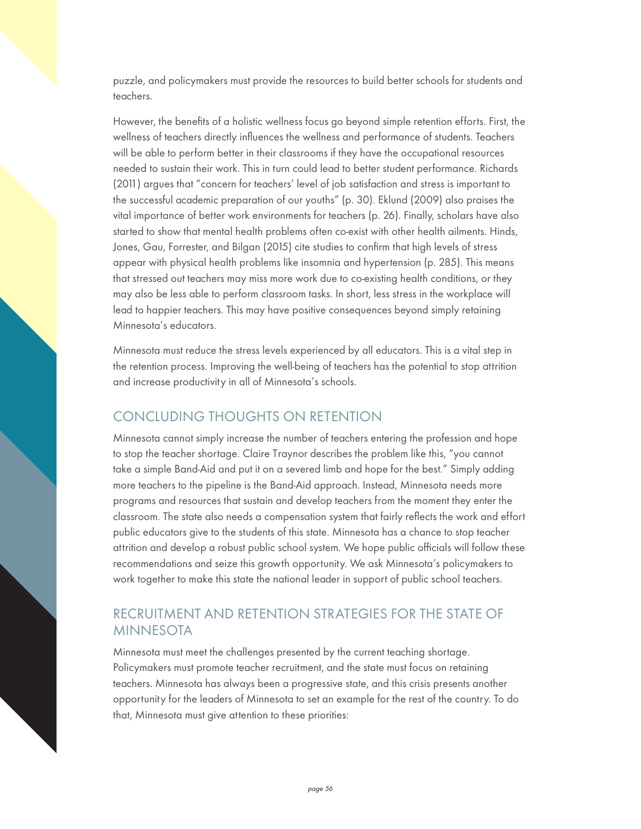puzzle, and policymakers must provide the resources to build better schools for students and teachers.

However, the benefits of a holistic wellness focus go beyond simple retention efforts. First, the wellness of teachers directly influences the wellness and performance of students. Teachers will be able to perform better in their classrooms if they have the occupational resources needed to sustain their work. This in turn could lead to better student performance. Richards (2011) argues that "concern for teachers' level of job satisfaction and stress is important to the successful academic preparation of our youths" (p. 30). Eklund (2009) also praises the vital importance of better work environments for teachers (p. 26). Finally, scholars have also started to show that mental health problems often co-exist with other health ailments. Hinds, Jones, Gau, Forrester, and Bilgan (2015) cite studies to confirm that high levels of stress appear with physical health problems like insomnia and hypertension (p. 285). This means that stressed out teachers may miss more work due to co-existing health conditions, or they may also be less able to perform classroom tasks. In short, less stress in the workplace will lead to happier teachers. This may have positive consequences beyond simply retaining Minnesota's educators.

Minnesota must reduce the stress levels experienced by all educators. This is a vital step in the retention process. Improving the well-being of teachers has the potential to stop attrition and increase productivity in all of Minnesota's schools.

## CONCLUDING THOUGHTS ON RETENTION

Minnesota cannot simply increase the number of teachers entering the profession and hope to stop the teacher shortage. Claire Traynor describes the problem like this, "you cannot take a simple Band-Aid and put it on a severed limb and hope for the best." Simply adding more teachers to the pipeline is the Band-Aid approach. Instead, Minnesota needs more programs and resources that sustain and develop teachers from the moment they enter the classroom. The state also needs a compensation system that fairly reflects the work and effort public educators give to the students of this state. Minnesota has a chance to stop teacher attrition and develop a robust public school system. We hope public officials will follow these recommendations and seize this growth opportunity. We ask Minnesota's policymakers to work together to make this state the national leader in support of public school teachers.

## RECRUITMENT AND RETENTION STRATEGIES FOR THE STATE OF MINNESOTA

Minnesota must meet the challenges presented by the current teaching shortage. Policymakers must promote teacher recruitment, and the state must focus on retaining teachers. Minnesota has always been a progressive state, and this crisis presents another opportunity for the leaders of Minnesota to set an example for the rest of the country. To do that, Minnesota must give attention to these priorities: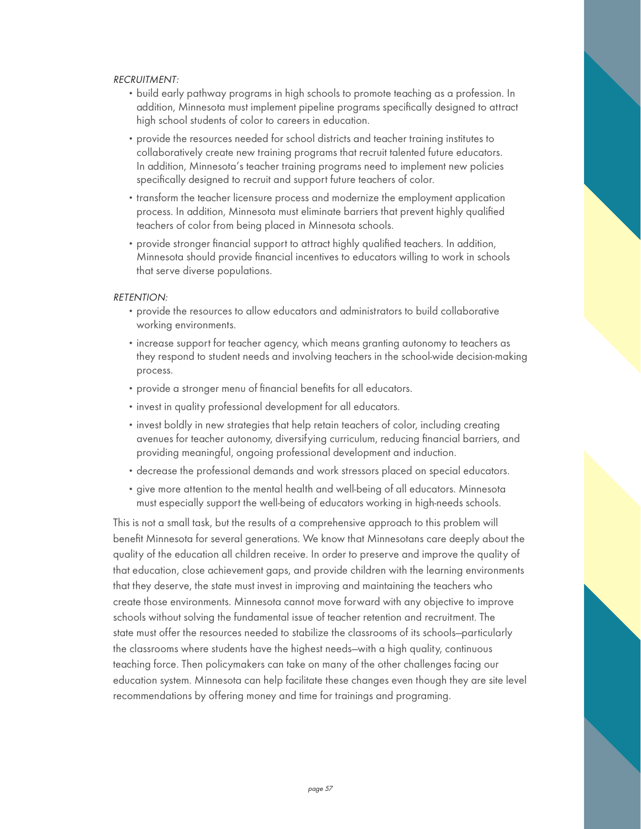#### RECRUITMENT:

- •build early pathway programs in high schools to promote teaching as a profession. In addition, Minnesota must implement pipeline programs specifically designed to attract high school students of color to careers in education.
- •provide the resources needed for school districts and teacher training institutes to collaboratively create new training programs that recruit talented future educators. In addition, Minnesota's teacher training programs need to implement new policies specifically designed to recruit and support future teachers of color.
- •transform the teacher licensure process and modernize the employment application process. In addition, Minnesota must eliminate barriers that prevent highly qualified teachers of color from being placed in Minnesota schools.
- •provide stronger financial support to attract highly qualified teachers. In addition, Minnesota should provide financial incentives to educators willing to work in schools that serve diverse populations.

#### RETENTION:

- •provide the resources to allow educators and administrators to build collaborative working environments.
- •increase support for teacher agency, which means granting autonomy to teachers as they respond to student needs and involving teachers in the school-wide decision-making process.
- •provide a stronger menu of financial benefits for all educators.
- •invest in quality professional development for all educators.
- •invest boldly in new strategies that help retain teachers of color, including creating avenues for teacher autonomy, diversifying curriculum, reducing financial barriers, and providing meaningful, ongoing professional development and induction.
- •decrease the professional demands and work stressors placed on special educators.
- •give more attention to the mental health and well-being of all educators. Minnesota must especially support the well-being of educators working in high-needs schools.

This is not a small task, but the results of a comprehensive approach to this problem will benefit Minnesota for several generations. We know that Minnesotans care deeply about the quality of the education all children receive. In order to preserve and improve the quality of that education, close achievement gaps, and provide children with the learning environments that they deserve, the state must invest in improving and maintaining the teachers who create those environments. Minnesota cannot move forward with any objective to improve schools without solving the fundamental issue of teacher retention and recruitment. The state must offer the resources needed to stabilize the classrooms of its schools—particularly the classrooms where students have the highest needs—with a high quality, continuous teaching force. Then policymakers can take on many of the other challenges facing our education system. Minnesota can help facilitate these changes even though they are site level recommendations by offering money and time for trainings and programing.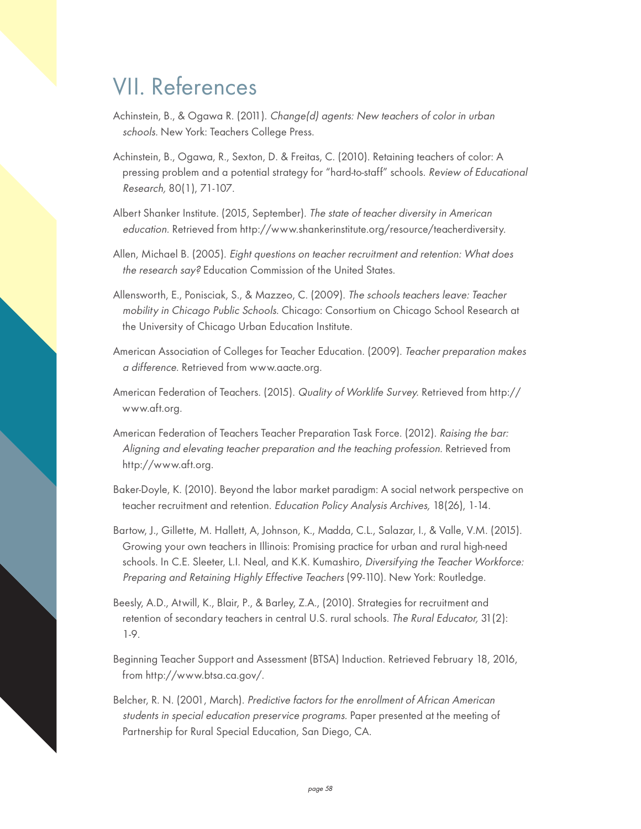## VII. References

- Achinstein, B., & Ogawa R. (2011). Change(d) agents: New teachers of color in urban schools. New York: Teachers College Press.
- Achinstein, B., Ogawa, R., Sexton, D. & Freitas, C. (2010). Retaining teachers of color: A pressing problem and a potential strategy for "hard-to-staff" schools. Review of Educational Research, 80(1), 71-107.
- Albert Shanker Institute. (2015, September). The state of teacher diversity in American education. Retrieved from http://www.shankerinstitute.org/resource/teacherdiversity.
- Allen, Michael B. (2005). Eight questions on teacher recruitment and retention: What does the research say? Education Commission of the United States.
- Allensworth, E., Ponisciak, S., & Mazzeo, C. (2009). The schools teachers leave: Teacher mobility in Chicago Public Schools. Chicago: Consortium on Chicago School Research at the University of Chicago Urban Education Institute.
- American Association of Colleges for Teacher Education. (2009). Teacher preparation makes a difference. Retrieved from www.aacte.org.
- American Federation of Teachers. (2015). Quality of Worklife Survey. Retrieved from http:// www.aft.org.
- American Federation of Teachers Teacher Preparation Task Force. (2012). Raising the bar: Aligning and elevating teacher preparation and the teaching profession. Retrieved from http://www.aft.org.
- Baker-Doyle, K. (2010). Beyond the labor market paradigm: A social network perspective on teacher recruitment and retention. Education Policy Analysis Archives, 18(26), 1-14.
- Bartow, J., Gillette, M. Hallett, A, Johnson, K., Madda, C.L., Salazar, I., & Valle, V.M. (2015). Growing your own teachers in Illinois: Promising practice for urban and rural high-need schools. In C.E. Sleeter, L.I. Neal, and K.K. Kumashiro, Diversifying the Teacher Workforce: Preparing and Retaining Highly Effective Teachers (99-110). New York: Routledge.
- Beesly, A.D., Atwill, K., Blair, P., & Barley, Z.A., (2010). Strategies for recruitment and retention of secondary teachers in central U.S. rural schools. The Rural Educator, 31(2): 1-9.
- Beginning Teacher Support and Assessment (BTSA) Induction. Retrieved February 18, 2016, from http://www.btsa.ca.gov/.
- Belcher, R. N. (2001, March). Predictive factors for the enrollment of African American students in special education preservice programs. Paper presented at the meeting of Partnership for Rural Special Education, San Diego, CA.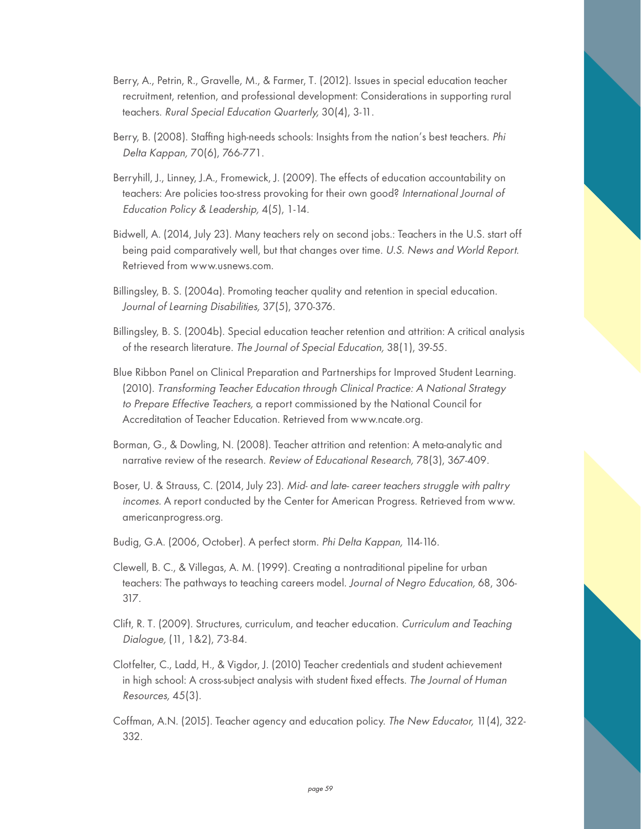- Berry, A., Petrin, R., Gravelle, M., & Farmer, T. (2012). Issues in special education teacher recruitment, retention, and professional development: Considerations in supporting rural teachers. Rural Special Education Quarterly, 30(4), 3-11.
- Berry, B. (2008). Staffing high-needs schools: Insights from the nation's best teachers. Phi Delta Kappan, 70(6), 766-771.
- Berryhill, J., Linney, J.A., Fromewick, J. (2009). The effects of education accountability on teachers: Are policies too-stress provoking for their own good? International Journal of Education Policy & Leadership, 4(5), 1-14.
- Bidwell, A. (2014, July 23). Many teachers rely on second jobs.: Teachers in the U.S. start off being paid comparatively well, but that changes over time. U.S. News and World Report. Retrieved from www.usnews.com.
- Billingsley, B. S. (2004a). Promoting teacher quality and retention in special education. Journal of Learning Disabilities, 37(5), 370-376.
- Billingsley, B. S. (2004b). Special education teacher retention and attrition: A critical analysis of the research literature. The Journal of Special Education, 38(1), 39-55.
- Blue Ribbon Panel on Clinical Preparation and Partnerships for Improved Student Learning. (2010). Transforming Teacher Education through Clinical Practice: A National Strategy to Prepare Effective Teachers, a report commissioned by the National Council for Accreditation of Teacher Education. Retrieved from www.ncate.org.
- Borman, G., & Dowling, N. (2008). Teacher attrition and retention: A meta-analytic and narrative review of the research. Review of Educational Research, 78(3), 367-409.
- Boser, U. & Strauss, C. (2014, July 23). Mid- and late- career teachers struggle with paltry incomes. A report conducted by the Center for American Progress. Retrieved from www. americanprogress.org.
- Budig, G.A. (2006, October). A perfect storm. Phi Delta Kappan, 114-116.
- Clewell, B. C., & Villegas, A. M. (1999). Creating a nontraditional pipeline for urban teachers: The pathways to teaching careers model. Journal of Negro Education, 68, 306- 317.
- Clift, R. T. (2009). Structures, curriculum, and teacher education. Curriculum and Teaching Dialogue, (11, 1&2), 73-84.
- Clotfelter, C., Ladd, H., & Vigdor, J. (2010) Teacher credentials and student achievement in high school: A cross-subject analysis with student fixed effects. The Journal of Human Resources, 45(3).
- Coffman, A.N. (2015). Teacher agency and education policy. The New Educator, 11(4), 322- 332.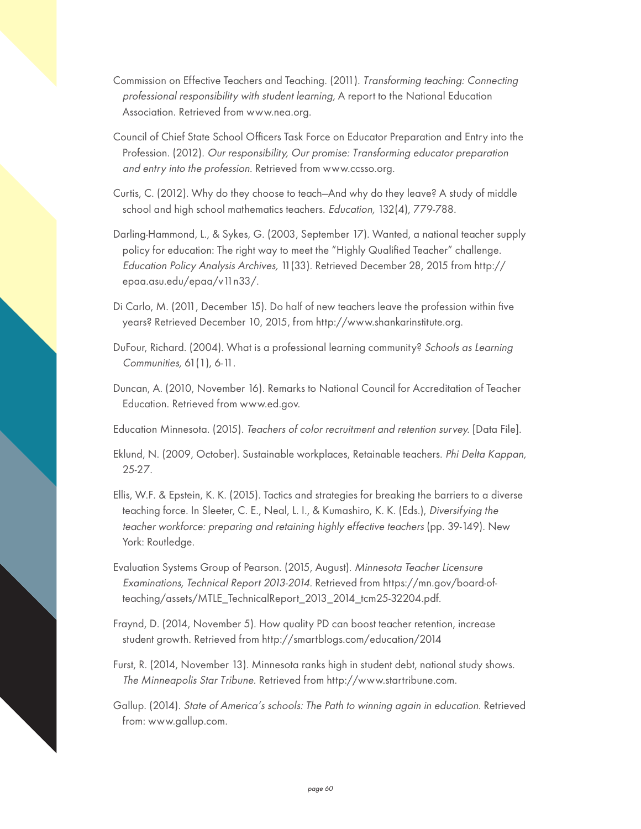- Commission on Effective Teachers and Teaching. (2011). Transforming teaching: Connecting professional responsibility with student learning, A report to the National Education Association. Retrieved from www.nea.org.
- Council of Chief State School Officers Task Force on Educator Preparation and Entry into the Profession. (2012). Our responsibility, Our promise: Transforming educator preparation and entry into the profession. Retrieved from www.ccsso.org.
- Curtis, C. (2012). Why do they choose to teach—And why do they leave? A study of middle school and high school mathematics teachers. Education, 132(4), 779-788.
- Darling-Hammond, L., & Sykes, G. (2003, September 17). Wanted, a national teacher supply policy for education: The right way to meet the "Highly Qualified Teacher" challenge. Education Policy Analysis Archives, 11(33). Retrieved December 28, 2015 from http:// epaa.asu.edu/epaa/v11n33/.
- Di Carlo, M. (2011, December 15). Do half of new teachers leave the profession within five years? Retrieved December 10, 2015, from http://www.shankarinstitute.org.
- DuFour, Richard. (2004). What is a professional learning community? Schools as Learning Communities, 61(1), 6-11.
- Duncan, A. (2010, November 16). Remarks to National Council for Accreditation of Teacher Education. Retrieved from www.ed.gov.

Education Minnesota. (2015). Teachers of color recruitment and retention survey. [Data File].

- Eklund, N. (2009, October). Sustainable workplaces, Retainable teachers. Phi Delta Kappan, 25-27.
- Ellis, W.F. & Epstein, K. K. (2015). Tactics and strategies for breaking the barriers to a diverse teaching force. In Sleeter, C. E., Neal, L. I., & Kumashiro, K. K. (Eds.), Diversifying the teacher workforce: preparing and retaining highly effective teachers (pp. 39-149). New York: Routledge.
- Evaluation Systems Group of Pearson. (2015, August). Minnesota Teacher Licensure Examinations, Technical Report 2013-2014. Retrieved from https://mn.gov/board-ofteaching/assets/MTLE\_TechnicalReport\_2013\_2014\_tcm25-32204.pdf.
- Fraynd, D. (2014, November 5). How quality PD can boost teacher retention, increase student growth. Retrieved from http://smartblogs.com/education/2014
- Furst, R. (2014, November 13). Minnesota ranks high in student debt, national study shows. The Minneapolis Star Tribune. Retrieved from http://www.startribune.com.
- Gallup. (2014). State of America's schools: The Path to winning again in education. Retrieved from: www.gallup.com.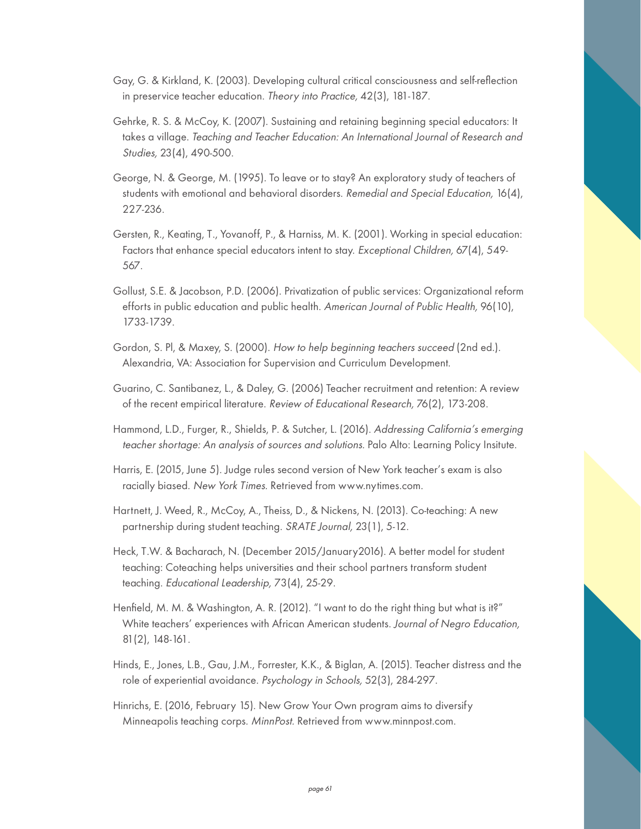- Gay, G. & Kirkland, K. (2003). Developing cultural critical consciousness and self-reflection in preservice teacher education. Theory into Practice, 42(3), 181-187.
- Gehrke, R. S. & McCoy, K. (2007). Sustaining and retaining beginning special educators: It takes a village. Teaching and Teacher Education: An International Journal of Research and Studies, 23(4), 490-500.
- George, N. & George, M. (1995). To leave or to stay? An exploratory study of teachers of students with emotional and behavioral disorders. Remedial and Special Education, 16(4), 227-236.
- Gersten, R., Keating, T., Yovanoff, P., & Harniss, M. K. (2001). Working in special education: Factors that enhance special educators intent to stay. Exceptional Children, 67(4), 549- 567.
- Gollust, S.E. & Jacobson, P.D. (2006). Privatization of public services: Organizational reform efforts in public education and public health. American Journal of Public Health, 96(10), 1733-1739.
- Gordon, S. Pl, & Maxey, S. (2000). How to help beginning teachers succeed (2nd ed.). Alexandria, VA: Association for Supervision and Curriculum Development.
- Guarino, C. Santibanez, L., & Daley, G. (2006) Teacher recruitment and retention: A review of the recent empirical literature. Review of Educational Research, 76(2), 173-208.
- Hammond, L.D., Furger, R., Shields, P. & Sutcher, L. (2016). Addressing California's emerging teacher shortage: An analysis of sources and solutions. Palo Alto: Learning Policy Insitute.
- Harris, E. (2015, June 5). Judge rules second version of New York teacher's exam is also racially biased. New York Times. Retrieved from www.nytimes.com.
- Hartnett, J. Weed, R., McCoy, A., Theiss, D., & Nickens, N. (2013). Co-teaching: A new partnership during student teaching. SRATE Journal, 23(1), 5-12.
- Heck, T.W. & Bacharach, N. (December 2015/January2016). A better model for student teaching: Coteaching helps universities and their school partners transform student teaching. Educational Leadership, 73(4), 25-29.
- Henfield, M. M. & Washington, A. R. (2012). "I want to do the right thing but what is it?" White teachers' experiences with African American students. Journal of Negro Education, 81(2), 148-161.
- Hinds, E., Jones, L.B., Gau, J.M., Forrester, K.K., & Biglan, A. (2015). Teacher distress and the role of experiential avoidance. Psychology in Schools, 52(3), 284-297.
- Hinrichs, E. (2016, February 15). New Grow Your Own program aims to diversify Minneapolis teaching corps. MinnPost. Retrieved from www.minnpost.com.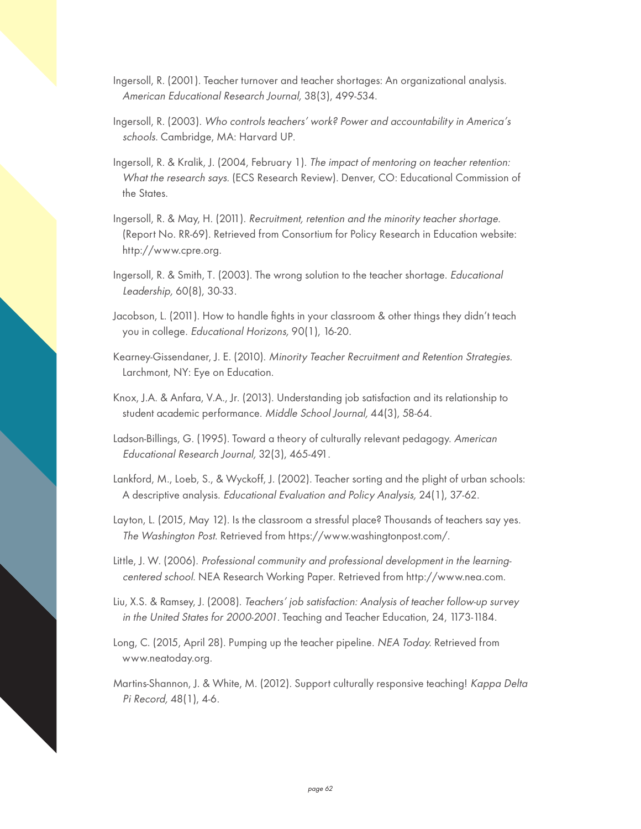- Ingersoll, R. (2001). Teacher turnover and teacher shortages: An organizational analysis. American Educational Research Journal, 38(3), 499-534.
- Ingersoll, R. (2003). Who controls teachers' work? Power and accountability in America's schools. Cambridge, MA: Harvard UP.
- Ingersoll, R. & Kralik, J. (2004, February 1). The impact of mentoring on teacher retention: What the research says. (ECS Research Review). Denver, CO: Educational Commission of the States.
- Ingersoll, R. & May, H. (2011). Recruitment, retention and the minority teacher shortage. (Report No. RR-69). Retrieved from Consortium for Policy Research in Education website: http://www.cpre.org.
- Ingersoll, R. & Smith, T. (2003). The wrong solution to the teacher shortage. Educational Leadership, 60(8), 30-33.
- Jacobson, L. (2011). How to handle fights in your classroom & other things they didn't teach you in college. Educational Horizons, 90(1), 16-20.
- Kearney-Gissendaner, J. E. (2010). Minority Teacher Recruitment and Retention Strategies. Larchmont, NY: Eye on Education.
- Knox, J.A. & Anfara, V.A., Jr. (2013). Understanding job satisfaction and its relationship to student academic performance. Middle School Journal, 44(3), 58-64.
- Ladson-Billings, G. (1995). Toward a theory of culturally relevant pedagogy. American Educational Research Journal, 32(3), 465-491.
- Lankford, M., Loeb, S., & Wyckoff, J. (2002). Teacher sorting and the plight of urban schools: A descriptive analysis. Educational Evaluation and Policy Analysis, 24(1), 37-62.
- Layton, L. (2015, May 12). Is the classroom a stressful place? Thousands of teachers say yes. The Washington Post. Retrieved from https://www.washingtonpost.com/.
- Little, J. W. (2006). Professional community and professional development in the learningcentered school. NEA Research Working Paper. Retrieved from http://www.nea.com.
- Liu, X.S. & Ramsey, J. (2008). Teachers' job satisfaction: Analysis of teacher follow-up survey in the United States for 2000-2001. Teaching and Teacher Education, 24, 1173-1184.
- Long, C. (2015, April 28). Pumping up the teacher pipeline. NEA Today. Retrieved from www.neatoday.org.
- Martins-Shannon, J. & White, M. (2012). Support culturally responsive teaching! Kappa Delta Pi Record, 48(1), 4-6.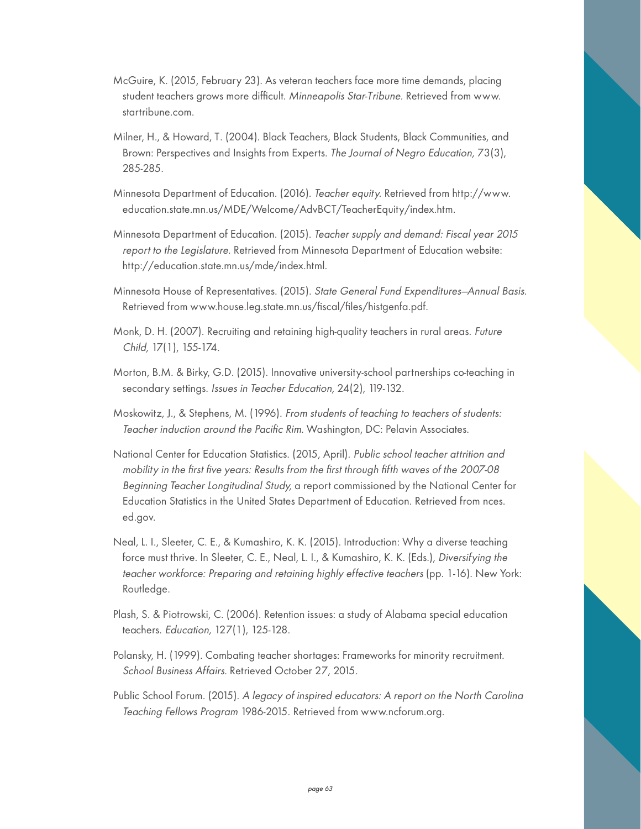- McGuire, K. (2015, February 23). As veteran teachers face more time demands, placing student teachers grows more difficult. Minneapolis Star-Tribune. Retrieved from www. startribune.com.
- Milner, H., & Howard, T. (2004). Black Teachers, Black Students, Black Communities, and Brown: Perspectives and Insights from Experts. The Journal of Negro Education, 73(3), 285-285.
- Minnesota Department of Education. (2016). Teacher equity. Retrieved from http://www. education.state.mn.us/MDE/Welcome/AdvBCT/TeacherEquity/index.htm.
- Minnesota Department of Education. (2015). Teacher supply and demand: Fiscal year 2015 report to the Legislature. Retrieved from Minnesota Department of Education website: http://education.state.mn.us/mde/index.html.
- Minnesota House of Representatives. (2015). State General Fund Expenditures—Annual Basis. Retrieved from www.house.leg.state.mn.us/fiscal/files/histgenfa.pdf.
- Monk, D. H. (2007). Recruiting and retaining high-quality teachers in rural areas. Future Child, 17(1), 155-174.
- Morton, B.M. & Birky, G.D. (2015). Innovative university-school partnerships co-teaching in secondary settings. Issues in Teacher Education, 24(2), 119-132.
- Moskowitz, J., & Stephens, M. (1996). From students of teaching to teachers of students: Teacher induction around the Pacific Rim. Washington, DC: Pelavin Associates.
- National Center for Education Statistics. (2015, April). Public school teacher attrition and mobility in the first five years: Results from the first through fifth waves of the 2007-08 Beginning Teacher Longitudinal Study, a report commissioned by the National Center for Education Statistics in the United States Department of Education. Retrieved from nces. ed.gov.
- Neal, L. I., Sleeter, C. E., & Kumashiro, K. K. (2015). Introduction: Why a diverse teaching force must thrive. In Sleeter, C. E., Neal, L. I., & Kumashiro, K. K. (Eds.), Diversifying the teacher workforce: Preparing and retaining highly effective teachers (pp. 1-16). New York: Routledge.
- Plash, S. & Piotrowski, C. (2006). Retention issues: a study of Alabama special education teachers. Education, 127(1), 125-128.
- Polansky, H. (1999). Combating teacher shortages: Frameworks for minority recruitment. School Business Affairs. Retrieved October 27, 2015.
- Public School Forum. (2015). A legacy of inspired educators: A report on the North Carolina Teaching Fellows Program 1986-2015. Retrieved from www.ncforum.org.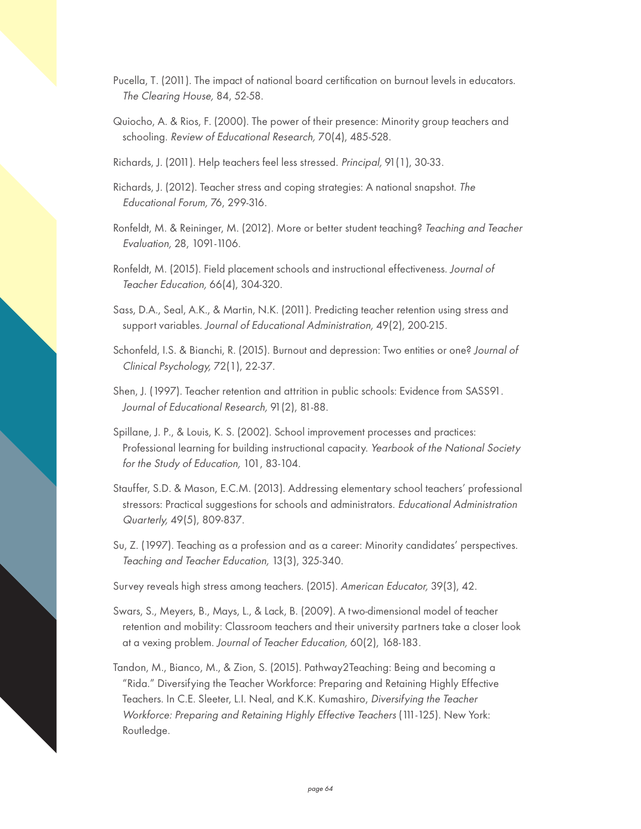- Pucella, T. (2011). The impact of national board certification on burnout levels in educators. The Clearing House, 84, 52-58.
- Quiocho, A. & Rios, F. (2000). The power of their presence: Minority group teachers and schooling. Review of Educational Research, 70(4), 485-528.
- Richards, J. (2011). Help teachers feel less stressed. Principal, 91(1), 30-33.
- Richards, J. (2012). Teacher stress and coping strategies: A national snapshot. The Educational Forum, 76, 299-316.
- Ronfeldt, M. & Reininger, M. (2012). More or better student teaching? Teaching and Teacher Evaluation, 28, 1091-1106.
- Ronfeldt, M. (2015). Field placement schools and instructional effectiveness. Journal of Teacher Education, 66(4), 304-320.
- Sass, D.A., Seal, A.K., & Martin, N.K. (2011). Predicting teacher retention using stress and support variables. Journal of Educational Administration, 49(2), 200-215.
- Schonfeld, I.S. & Bianchi, R. (2015). Burnout and depression: Two entities or one? Journal of Clinical Psychology, 72(1), 22-37.
- Shen, J. (1997). Teacher retention and attrition in public schools: Evidence from SASS91. Journal of Educational Research, 91(2), 81-88.
- Spillane, J. P., & Louis, K. S. (2002). School improvement processes and practices: Professional learning for building instructional capacity. Yearbook of the National Society for the Study of Education, 101, 83-104.
- Stauffer, S.D. & Mason, E.C.M. (2013). Addressing elementary school teachers' professional stressors: Practical suggestions for schools and administrators. Educational Administration Quarterly, 49(5), 809-837.
- Su, Z. (1997). Teaching as a profession and as a career: Minority candidates' perspectives. Teaching and Teacher Education, 13(3), 325-340.
- Survey reveals high stress among teachers. (2015). American Educator, 39(3), 42.
- Swars, S., Meyers, B., Mays, L., & Lack, B. (2009). A two-dimensional model of teacher retention and mobility: Classroom teachers and their university partners take a closer look at a vexing problem. Journal of Teacher Education, 60(2), 168-183.
- Tandon, M., Bianco, M., & Zion, S. (2015). Pathway2Teaching: Being and becoming a "Rida." Diversifying the Teacher Workforce: Preparing and Retaining Highly Effective Teachers. In C.E. Sleeter, L.I. Neal, and K.K. Kumashiro, Diversifying the Teacher Workforce: Preparing and Retaining Highly Effective Teachers (111-125). New York: Routledge.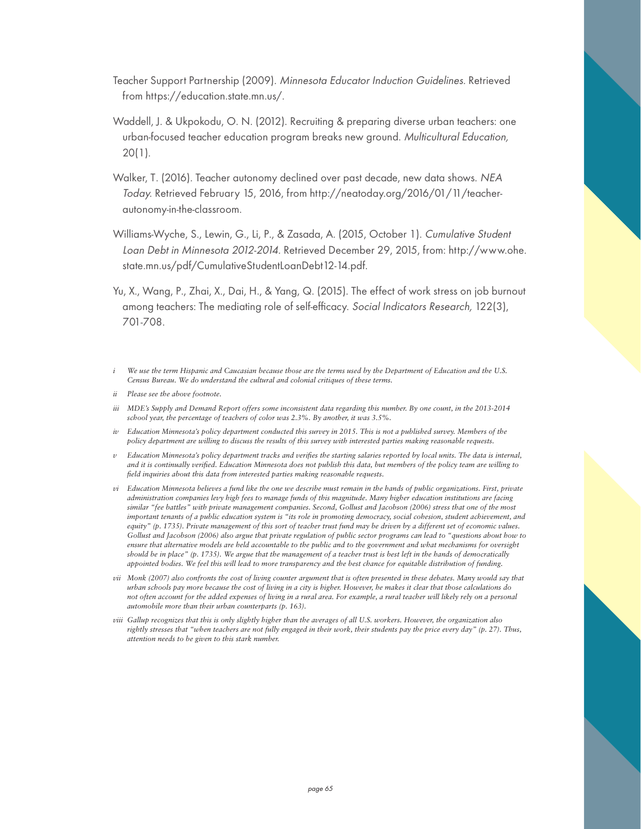- Teacher Support Partnership (2009). Minnesota Educator Induction Guidelines. Retrieved from https://education.state.mn.us/.
- Waddell, J. & Ukpokodu, O. N. (2012). Recruiting & preparing diverse urban teachers: one urban-focused teacher education program breaks new ground. Multicultural Education, 20(1).
- Walker, T. (2016). Teacher autonomy declined over past decade, new data shows. NEA Today. Retrieved February 15, 2016, from http://neatoday.org/2016/01/11/teacherautonomy-in-the-classroom.
- Williams-Wyche, S., Lewin, G., Li, P., & Zasada, A. (2015, October 1). Cumulative Student Loan Debt in Minnesota 2012-2014. Retrieved December 29, 2015, from: http://www.ohe. state.mn.us/pdf/CumulativeStudentLoanDebt12-14.pdf.
- Yu, X., Wang, P., Zhai, X., Dai, H., & Yang, Q. (2015). The effect of work stress on job burnout among teachers: The mediating role of self-efficacy. Social Indicators Research, 122(3), 701-708.
- *i We use the term Hispanic and Caucasian because those are the terms used by the Department of Education and the U.S. Census Bureau. We do understand the cultural and colonial critiques of these terms.*
- *ii Please see the above footnote.*
- *iii MDE's Supply and Demand Report offers some inconsistent data regarding this number. By one count, in the 2013-2014 school year, the percentage of teachers of color was 2.3%. By another, it was 3.5%.*
- *iv Education Minnesota's policy department conducted this survey in 2015. This is not a published survey. Members of the policy department are willing to discuss the results of this survey with interested parties making reasonable requests.*
- *v Education Minnesota's policy department tracks and verifies the starting salaries reported by local units. The data is internal, and it is continually verified. Education Minnesota does not publish this data, but members of the policy team are willing to field inquiries about this data from interested parties making reasonable requests.*
- *vi Education Minnesota believes a fund like the one we describe must remain in the hands of public organizations. First, private administration companies levy high fees to manage funds of this magnitude. Many higher education institutions are facing similar "fee battles" with private management companies. Second, Gollust and Jacobson (2006) stress that one of the most important tenants of a public education system is "its role in promoting democracy, social cohesion, student achievement, and equity" (p. 1735). Private management of this sort of teacher trust fund may be driven by a different set of economic values. Gollust and Jacobson (2006) also argue that private regulation of public sector programs can lead to "questions about how to ensure that alternative models are held accountable to the public and to the government and what mechanisms for oversight should be in place" (p. 1735). We argue that the management of a teacher trust is best left in the hands of democratically appointed bodies. We feel this will lead to more transparency and the best chance for equitable distribution of funding.*
- *vii Monk (2007) also confronts the cost of living counter argument that is often presented in these debates. Many would say that urban schools pay more because the cost of living in a city is higher. However, he makes it clear that those calculations do not often account for the added expenses of living in a rural area. For example, a rural teacher will likely rely on a personal automobile more than their urban counterparts (p. 163).*
- *viii Gallup recognizes that this is only slightly higher than the averages of all U.S. workers. However, the organization also rightly stresses that "when teachers are not fully engaged in their work, their students pay the price every day" (p. 27). Thus, attention needs to be given to this stark number.*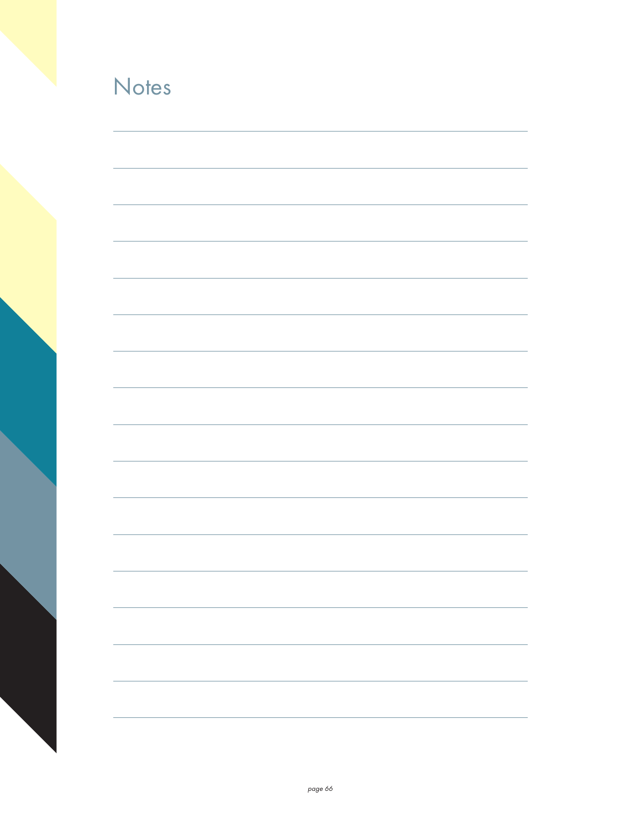# **Notes**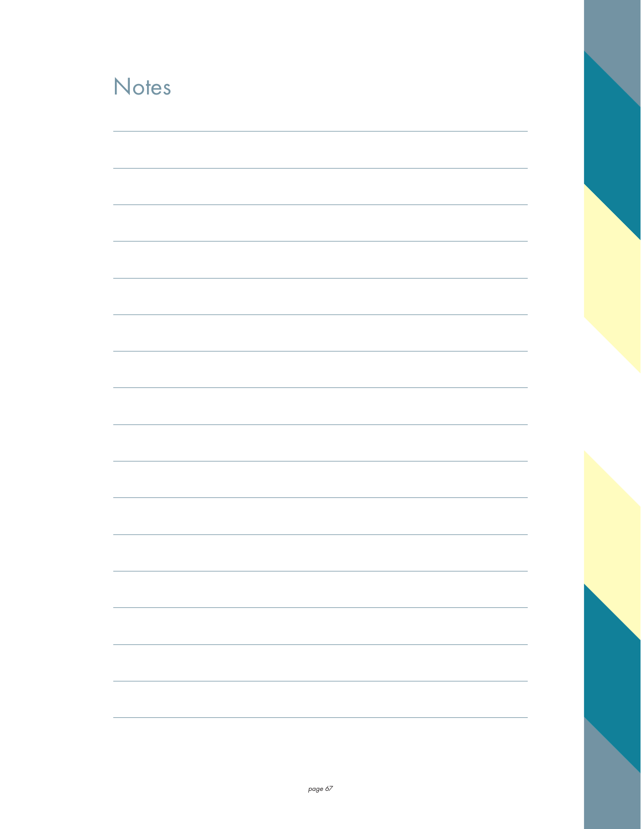|  | <b>Notes</b> |
|--|--------------|
|--|--------------|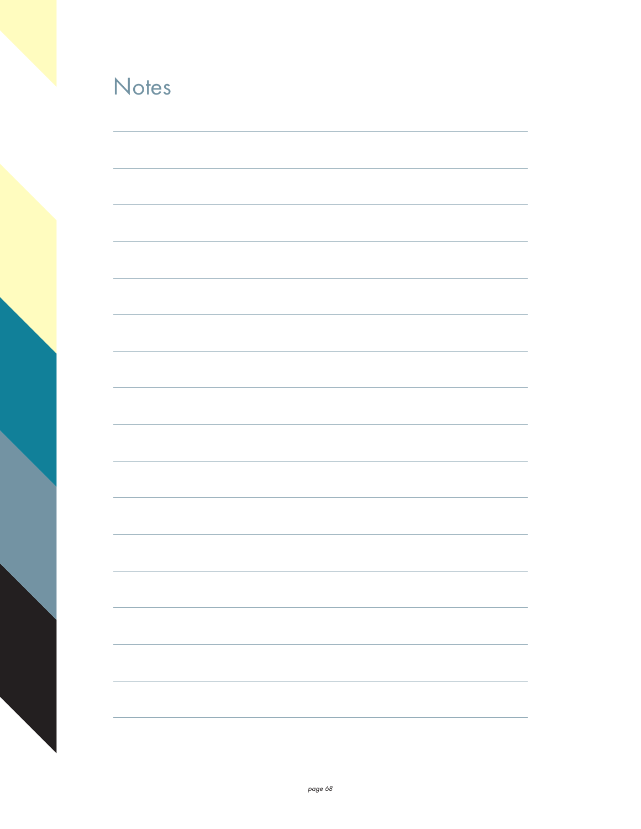# **Notes**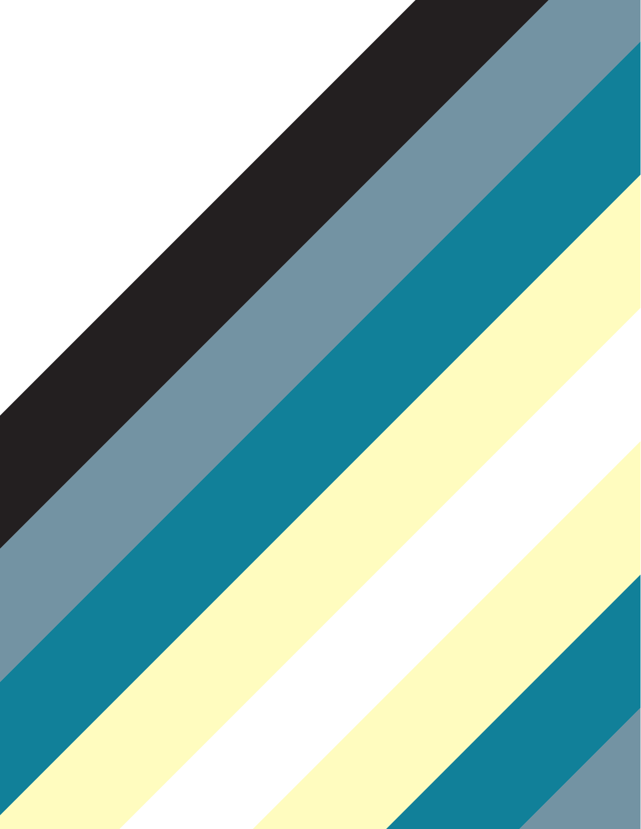